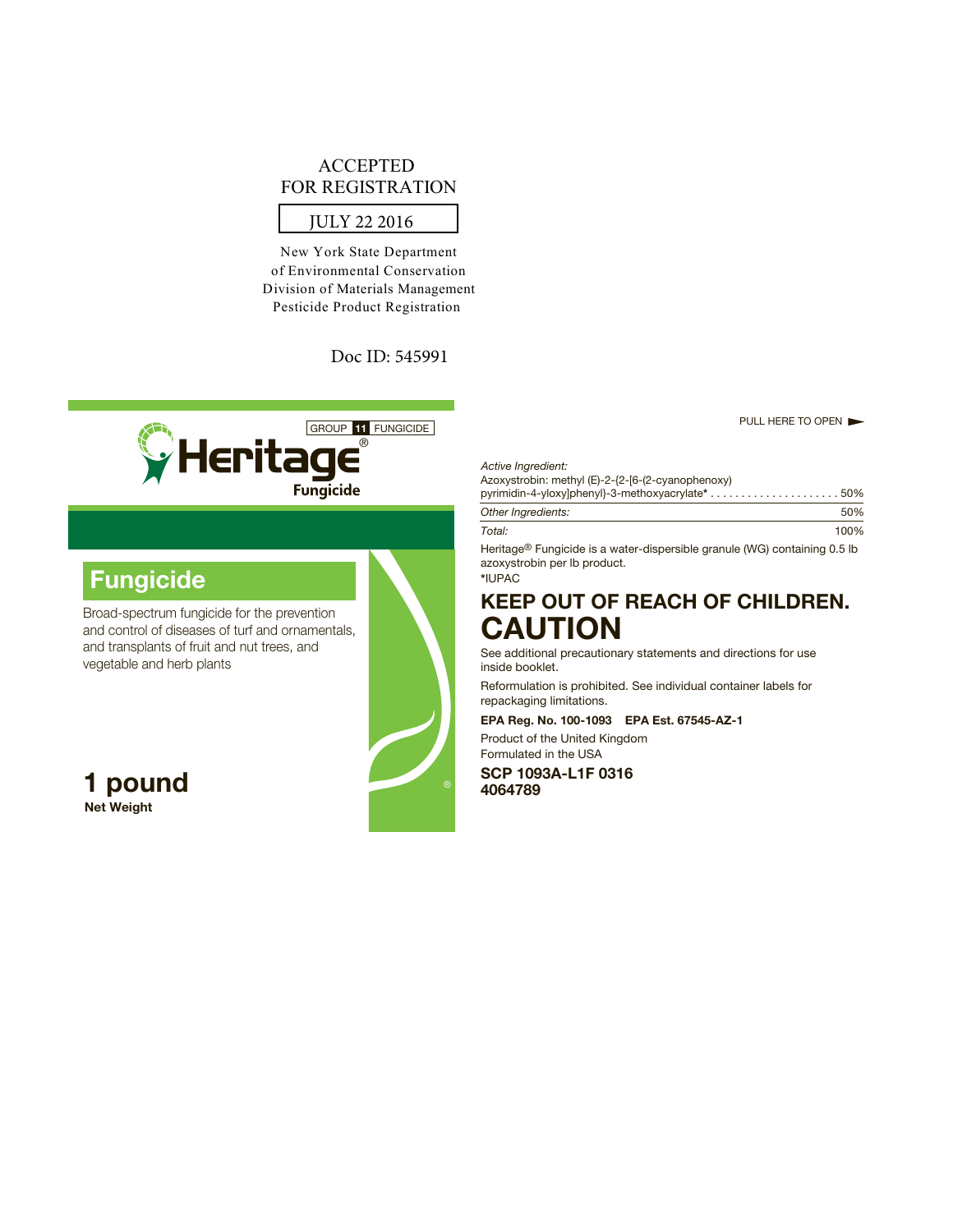# ACCEPTED FOR REGISTRATION

# JULY 22 2016

New York State Department of Environmental Conservation Division of Materials Management Pesticide Product Registration

Doc ID: 545991



# **Fungicide**

Broad-spectrum fungicide for the prevention and control of diseases of turf and ornamentals, and transplants of fruit and nut trees, and vegetable and herb plants

**Net Weight**



#### *Active Ingredient:*

Azoxystrobin: methyl (E)-2-{2-[6-(2-cyanophenoxy)

| pyrimidin-4-yloxy]phenyl}-3-methoxyacrylate* $\ldots \ldots \ldots \ldots \ldots \ldots \ldots 50\%$ |      |
|------------------------------------------------------------------------------------------------------|------|
| Other Ingredients:                                                                                   | 50%  |
| Total:                                                                                               | 100% |

Heritage® Fungicide is a water-dispersible granule (WG) containing 0.5 lb azoxystrobin per lb product.

# **\***IUPAC

# **KEEP OUT OF REACH OF CHILDREN. CAUTION**

See additional precautionary statements and directions for use inside booklet.

Reformulation is prohibited. See individual container labels for repackaging limitations.

# **EPA Reg. No. 100-1093 EPA Est. 67545-AZ-1**

Product of the United Kingdom Formulated in the USA

**SCP 1093A-L1F 0316 1 pound <sup>4064789</sup>**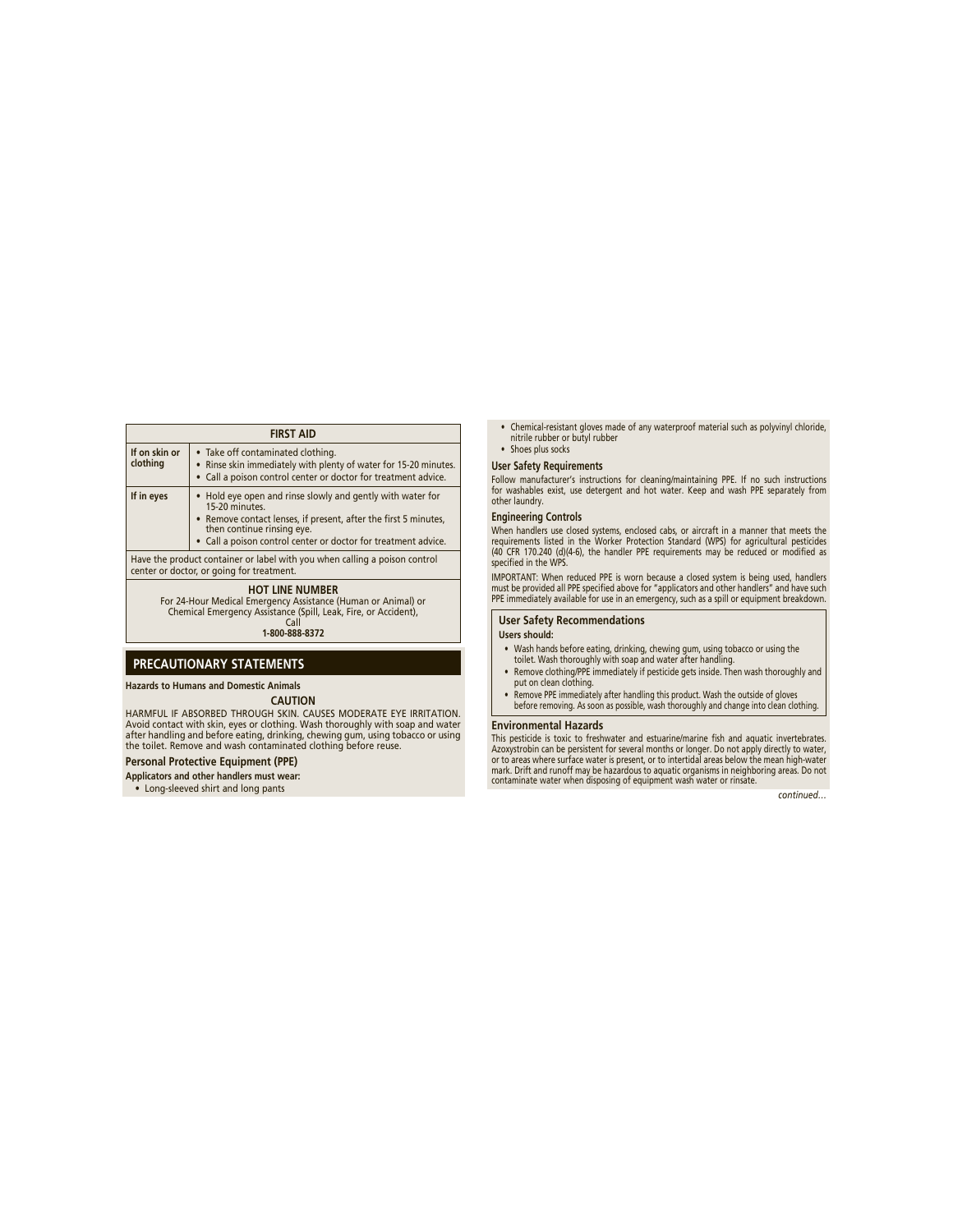#### **FIRST AID**

| If on skin or<br>clothing                                                                                                                                                            | • Take off contaminated clothing.<br>• Rinse skin immediately with plenty of water for 15-20 minutes.<br>• Call a poison control center or doctor for treatment advice. |  |  |
|--------------------------------------------------------------------------------------------------------------------------------------------------------------------------------------|-------------------------------------------------------------------------------------------------------------------------------------------------------------------------|--|--|
| If in eyes                                                                                                                                                                           | • Hold eye open and rinse slowly and gently with water for<br>15-20 minutes.                                                                                            |  |  |
|                                                                                                                                                                                      | • Remove contact lenses, if present, after the first 5 minutes,<br>then continue rinsing eye.                                                                           |  |  |
|                                                                                                                                                                                      | • Call a poison control center or doctor for treatment advice.                                                                                                          |  |  |
| Have the product container or label with you when calling a poison control<br>center or doctor, or going for treatment.                                                              |                                                                                                                                                                         |  |  |
| <b>HOT LINE NUMBER</b><br>For 24-Hour Medical Emergency Assistance (Human or Animal) or<br>Chemical Emergency Assistance (Spill, Leak, Fire, or Accident),<br>Call<br>1-800-888-8372 |                                                                                                                                                                         |  |  |

# **PRECAUTIONARY STATEMENTS**

**Hazards to Humans and Domestic Animals CAUTION**

HARMFUL IF ABSORBED THROUGH SKIN. CAUSES MODERATE EYE IRRITATION. Avoid contact with skin, eyes or clothing. Wash thoroughly with soap and water after handling and before eating, drinking, chewing gum, using tobacco or using the toilet. Remove and wash contaminated clothing before reuse.

# **Personal Protective Equipment (PPE)**

**Applicators and other handlers must wear:**

• Long-sleeved shirt and long pants

- Chemical-resistant gloves made of any waterproof material such as polyvinyl chloride, nitrile rubber or butyl rubber
- Shoes plus socks

#### **User Safety Requirements**

Follow manufacturer's instructions for cleaning/maintaining PPE. If no such instructions for washables exist, use detergent and hot water. Keep and wash PPE separately from other laundry.

### **Engineering Controls**

When handlers use closed systems, enclosed cabs, or aircraft in a manner that meets the<br>requirements listed in the Worker Protection Standard (WPS) for agricultural pesticides<br>(40 CFR 170.240 (d)(4-6), the handler PPE requ specified in the WPS.

IMPORTANT: When reduced PPE is worn because a closed system is being used, handlers must be provided all PPE specified above for "applicators and other handlers" and have such PPE immediately available for use in an emergency, such as a spill or equipment breakdown.

**User Safety Recommendations**

## **Users should:**

- Wash hands before eating, drinking, chewing gum, using tobacco or using the toilet. Wash thoroughly with soap and water after handling.
- Remove clothing/PPE immediately if pesticide gets inside. Then wash thoroughly and put on clean clothing.
- Remove PPE immediately after handling this product. Wash the outside of gloves before removing. As soon as possible, wash thoroughly and change into clean clothing.

#### **Environmental Hazards**

This pesticide is toxic to freshwater and estuarine/marine fish and aquatic invertebrates.<br>Azoxystrobin can be persistent for several months or longer. Do not apply directly to water,<br>or to areas where surface water is pre mark. Drift and runoff may be hazardous to aquatic organisms in neighboring areas. Do not contaminate water when disposing of equipment wash water or rinsate.

*continued…*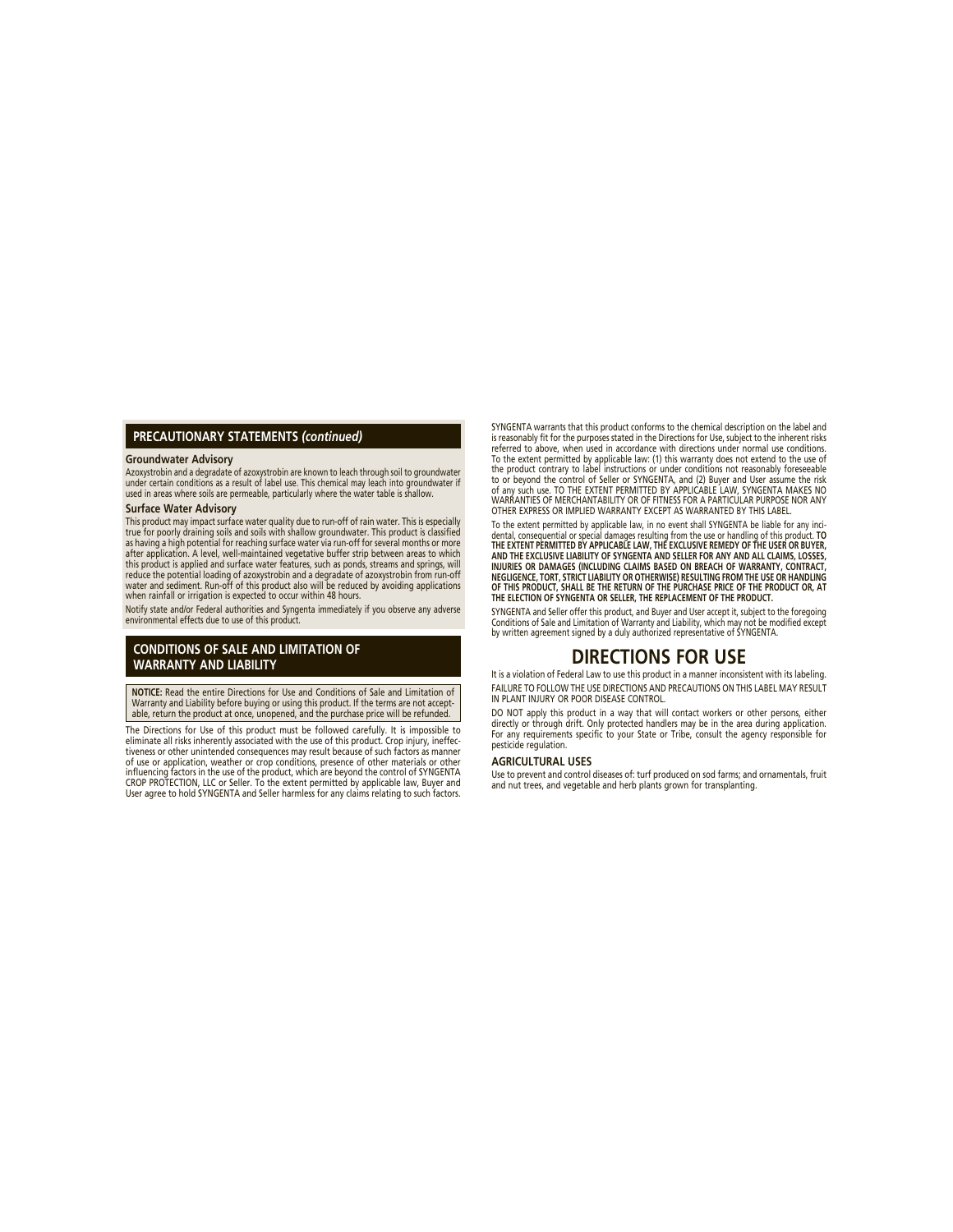### **PRECAUTIONARY STATEMENTS** *(continued)*

#### **Groundwater Advisory**

Azoxystrobin and a degradate of azoxystrobin are known to leach through soil to groundwater<br>under certain conditions as a result of label use. This chemical may leach into groundwater if<br>used in areas where soils are perme

#### **Surface Water Advisory**

This product may impact surface water quality due to run-off of rain water. This is especially true for poorly draining soils and soils with shallow groundwater. This product is classified as having a high potential for reaching surface water via run-off for several months or more after application. A level, well-maintained vegetative buffer strip between areas to which this product is applied and surface water features, such as ponds, streams and springs, will reduce the potential loading of azoxystrobin and a degradate of azoxystrobin from run-off<br>water and sediment. Run-off of this product also will be reduced by avoiding applications<br>when rainfall or irrigation is expected to

Notify state and/or Federal authorities and Syngenta immediately if you observe any adverse environmental effects due to use of this product.

## **CONDITIONS OF SALE AND LIMITATION OF WARRANTY AND LIABILITY**

**NOTICE:** Read the entire Directions for Use and Conditions of Sale and Limitation of Warranty and Liability before buying or using this product. If the terms are not accept-able, return the product at once, unopened, and the purchase price will be refunded.

The Directions for Use of this product must be followed carefully. It is impossible to eliminate all risks inherently associated with the use of this product. Crop injury, ineffectiveness or other unintended consequences may result because of such factors as manner of use or application, weather or crop conditions, presence of other materials or other<br>influencing factors in the use of the product, which are beyond the control of SYNGENTA CROP PROTECTION, LLC or Seller. To the extent permitted by applicable law, Buyer and User agree to hold SYNGENTA and Seller harmless for any claims relating to such factors. SYNGENTA warrants that this product conforms to the chemical description on the label and is reasonably fit for the purposes stated in the Directions for Use, subject to the inherent risks referred to above, when used in accordance with directions under normal use conditions. To the extent permitted by applicable law: (1) this warranty does not extend to the use of the product contrary to label instructions or under conditions not reasonably foreseeable to or beyond the control of Seller or SYNGENTA, and (2) Buyer and User assume the risk of any such use. TO THE EXTENT PERMITTED BY APPLICABLE LAW, SYNGENTA MAKES NO WARRANTIES OF MERCHANTABILITY OR OF FITNESS FOR A PARTICULAR PURPOSE NOR ANY OTHER EXPRESS OR IMPLIED WARRANTY EXCEPT AS WARRANTED BY THIS LABEL.

To the extent permitted by applicable law, in no event shall SYNGENTA be liable for any incidental, consequential or special damages resulting from the use or handling of this product. **TO THE EXTENT PERMITTED BY APPLICABLE LAW, THE EXCLUSIVE REMEDY OF THE USER OR BUYER, AND THE EXCLUSIVE LIABILITY OF SYNGENTA AND SELLER FOR ANY AND ALL CLAIMS, LOSSES, INJURIES OR DAMAGES (INCLUDING CLAIMS BASED ON BREACH OF WARRANTY, CONTRACT, NEGLIGENCE, TORT, STRICT LIABILITY OR OTHERWISE) RESULTING FROM THE USE OR HANDLING OF THIS PRODUCT, SHALL BE THE RETURN OF THE PURCHASE PRICE OF THE PRODUCT OR, AT THE ELECTION OF SYNGENTA OR SELLER, THE REPLACEMENT OF THE PRODUCT.**

SYNGENTA and Seller offer this product, and Buyer and User accept it, subject to the foregoing<br>Conditions of Sale and Limitation of Warranty and Liability, which may not be modified except by written agreement signed by a duly authorized representative of SYNGENTA.

# **DIRECTIONS FOR USE**

It is a violation of Federal Law to use this product in a manner inconsistent with its labeling. FAILURE TO FOLLOW THE USE DIRECTIONS AND PRECAUTIONS ON THIS LABEL MAY RESULT IN PLANT INJURY OR POOR DISEASE CONTROL.

DO NOT apply this product in a way that will contact workers or other persons, either directly or through drift. Only protected handlers may be in the area during application. For any requirements specific to your State or Tribe, consult the agency responsible for pesticide regulation.

### **AGRICULTURAL USES**

Use to prevent and control diseases of: turf produced on sod farms; and ornamentals, fruit and nut trees, and vegetable and herb plants grown for transplanting.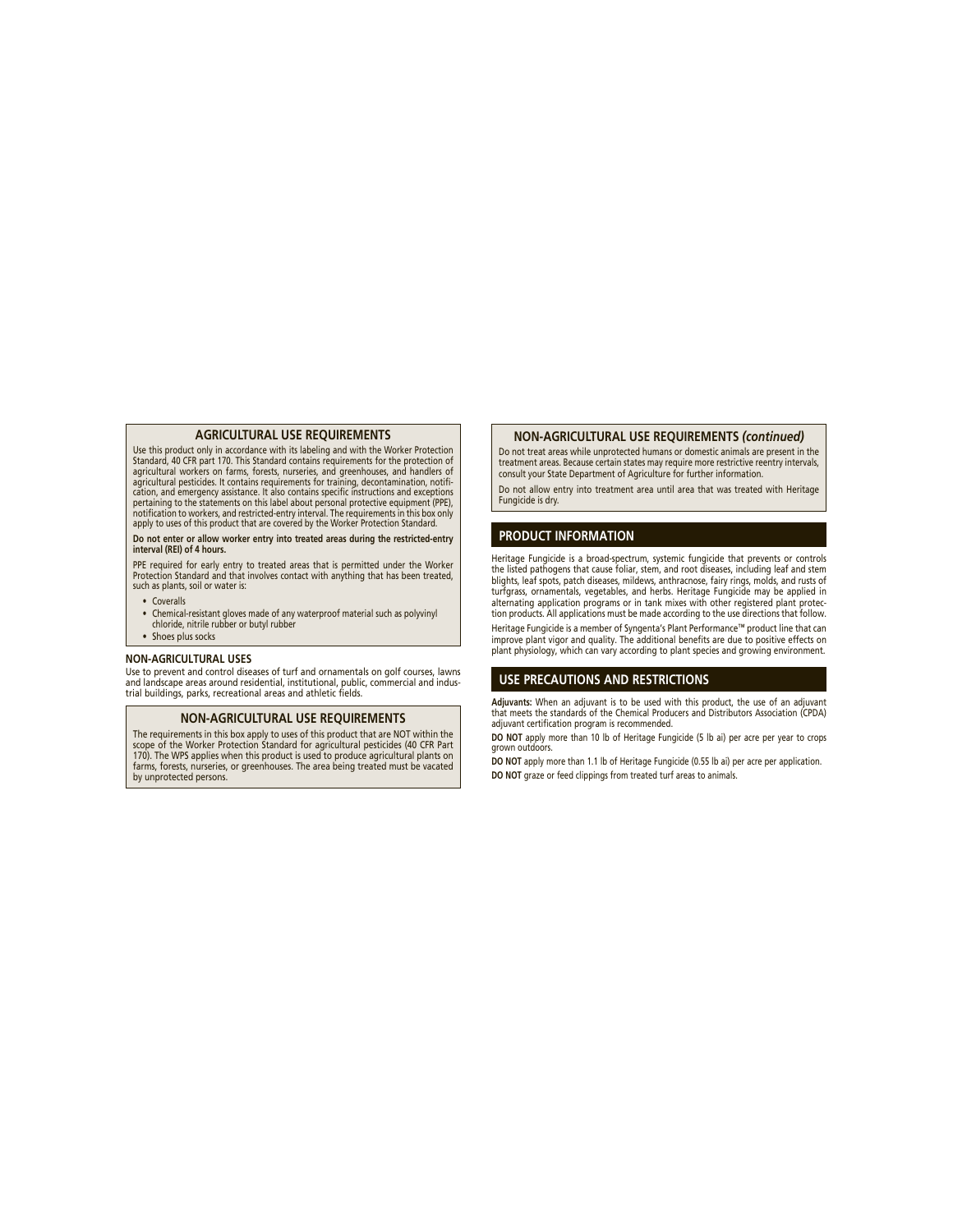#### **AGRICULTURAL USE REQUIREMENTS**

Use this product only in accordance with its labeling and with the Worker Protection Standard, 40 CFR part 170. This Standard contains requirements for the protection of agricultural workers on farms, forests, nurseries, and greenhouses, and handlers of agricultural pesticides. It contains requirements for training, decontamination, notifi cation, and emergency assistance. It also contains specific instructions and exceptions pertaining to the statements on this label about personal protective equipment (PPE),<br>notification to workers, and restricted-entry interval. The requirements in this box only apply to uses of this product that are covered by the Worker Protection Standard.

#### **Do not enter or allow worker entry into treated areas during the restricted-entry interval (REI) of 4 hours.**

PPE required for early entry to treated areas that is permitted under the Worker Protection Standard and that involves contact with anything that has been treated, such as plants, soil or water is:

- Coveralls
- Chemical-resistant gloves made of any waterproof material such as polyvinyl chloride, nitrile rubber or butyl rubber
- Shoes plus socks

#### **NON-AGRICULTURAL USES**

Use to prevent and control diseases of turf and ornamentals on golf courses, lawns and landscape areas around residential, institutional, public, commercial and industrial buildings, parks, recreational areas and athletic fields.

#### **NON-AGRICULTURAL USE REQUIREMENTS**

The requirements in this box apply to uses of this product that are NOT within the scope of the Worker Protection Standard for agricultural pesticides (40 CFR Part 170). The WPS applies when this product is used to produce agricultural plants on farms, forests, nurseries, or greenhouses. The area being treated must be vacated by unprotected persons.

#### **NON-AGRICULTURAL USE REQUIREMENTS** *(continued)*

Do not treat areas while unprotected humans or domestic animals are present in the treatment areas. Because certain states may require more restrictive reentry intervals, consult your State Department of Agriculture for further information.

Do not allow entry into treatment area until area that was treated with Heritage Fungicide is dry.

## **PRODUCT INFORMATION**

Heritage Fungicide is a broad-spectrum, systemic fungicide that prevents or controls the listed pathogens that cause foliar, stem, and root diseases, including leaf and stem blights, leaf spots, patch diseases, mildews, anthracnose, fairy rings, molds, and rusts of turfgrass, ornamentals, vegetables, and herbs. Heritage Fungicide may be applied in alternating application programs or in tank mixes with other registered plant protection products. All applications must be made according to the use directions that follow.

Heritage Fungicide is a member of Syngenta's Plant Performance™ product line that can improve plant vigor and quality. The additional benefits are due to positive effects on plant physiology, which can vary according to plant species and growing environment.

#### **USE PRECAUTIONS AND RESTRICTIONS**

**Adjuvants:** When an adjuvant is to be used with this product, the use of an adjuvant that meets the standards of the Chemical Producers and Distributors Association (CPDA) adjuvant certification program is recommended.

**DO NOT** apply more than 10 lb of Heritage Fungicide (5 lb ai) per acre per year to crops grown outdoors.

**DO NOT** apply more than 1.1 lb of Heritage Fungicide (0.55 lb ai) per acre per application. **DO NOT** graze or feed clippings from treated turf areas to animals.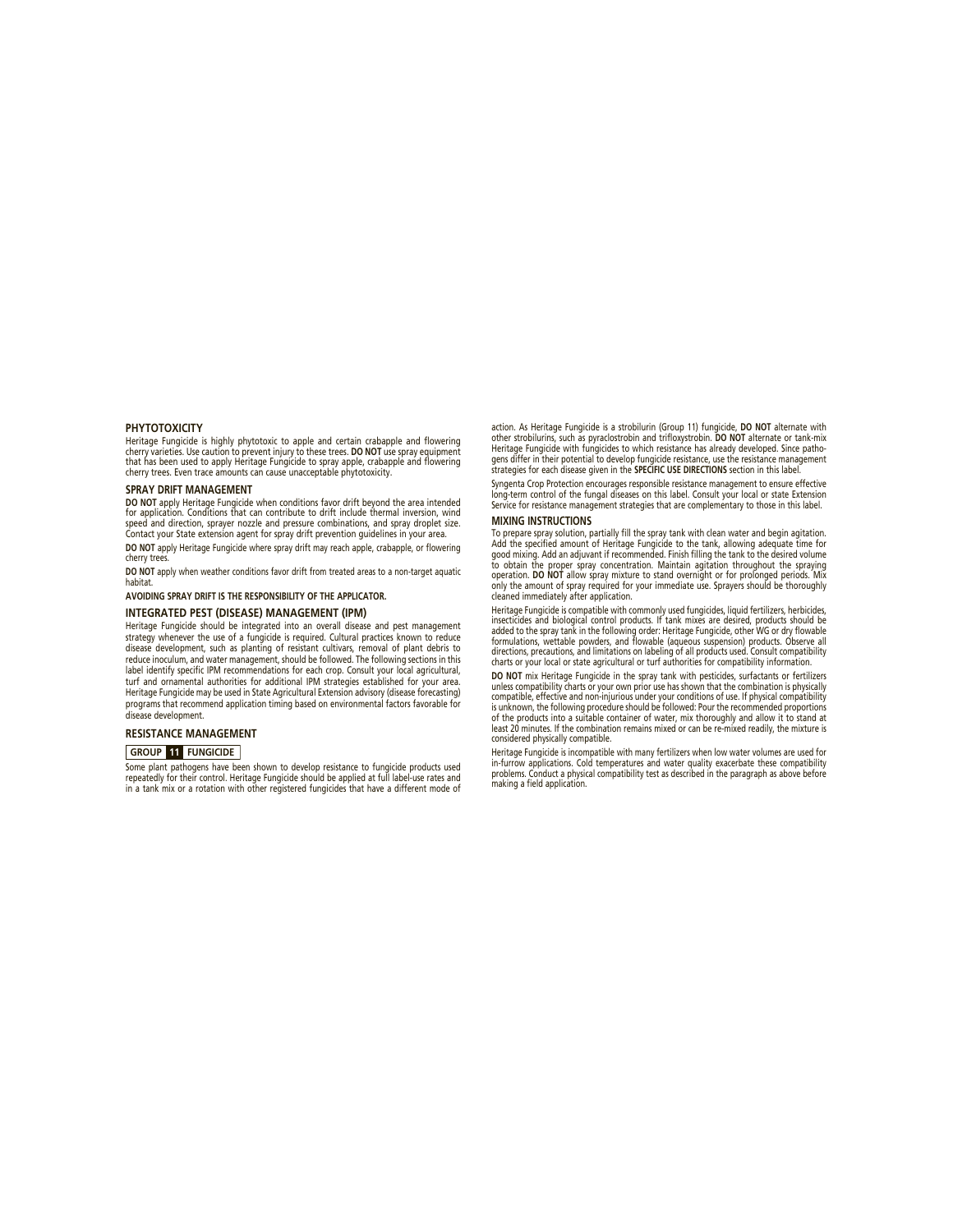#### **PHYTOTOXICITY**

Heritage Fungicide is highly phytotoxic to apple and certain crabapple and flowering cherry varieties. Use caution to prevent injury to these trees. **DO NOT** use spray equipment that has been used to apply Heritage Fungicide to spray apple, crabapple and flowering cherry trees. Even trace amounts can cause unacceptable phytotoxicity.

#### **SPRAY DRIFT MANAGEMENT**

**DO NOT** apply Heritage Fungicide when conditions favor drift beyond the area intended for application. Conditions that can contribute to drift include thermal inversion, wind speed and direction, sprayer nozzle and pressure combinations, and spray droplet size. Contact your State extension agent for spray drift prevention guidelines in your area. **DO NOT** apply Heritage Fungicide where spray drift may reach apple, crabapple, or flowering

cherry trees. **DO NOT** apply when weather conditions favor drift from treated areas to a non-target aquatic

habitat.

# **AVOIDING SPRAY DRIFT IS THE RESPONSIBILITY OF THE APPLICATOR.**

#### **INTEGRATED PEST (DISEASE) MANAGEMENT (IPM)**

Heritage Fungicide should be integrated into an overall disease and pest management strategy whenever the use of a fungicide is required. Cultural practices known to reduce disease development, such as planting of resistant cultivars, removal of plant debris to reduce inoculum, and water management, should be followed. The following sections in this label identify specific IPM recommendations for each crop. Consult your local agricultural, turf and ornamental authorities for additional IPM strategies established for your area. Heritage Fungicide may be used in State Agricultural Extension advisory (disease forecasting) programs that recommend application timing based on environmental factors favorable for disease development.

#### **RESISTANCE MANAGEMENT**

#### **GROUP 11 FUNGICIDE**

Some plant pathogens have been shown to develop resistance to fungicide products used repeatedly for their control. Heritage Fungicide should be applied at full label-use rates and in a tank mix or a rotation with other registered fungicides that have a different mode of action. As Heritage Fungicide is a strobilurin (Group 11) fungicide, **DO NOT** alternate with other strobilurins, such as pyraclostrobin and trifloxystrobin. **DO NOT** alternate or tank-mix Heritage Fungicide with fungicides to which resistance has already developed. Since pathogens differ in their potential to develop fungicide resistance, use the resistance management strategies for each disease given in the **SPECIFIC USE DIRECTIONS** section in this label.

Syngenta Crop Protection encourages responsible resistance management to ensure effective long-term control of the fungal diseases on this label. Consult your local or state Extension Service for resistance management strategies that are complementary to those in this label.

#### **MIXING INSTRUCTIONS**

To prepare spray solution, partially fill the spray tank with clean water and begin agitation. Add the specified amount of Heritage Fungicide to the tank, allowing adequate time for good mixing. Add an adjuvant if recommended. Finish filling the tank to the desired volume to obtain the proper spray concentration. Maintain agitation throughout the spraying operation. **DO NOT** allow spray mixture to stand overnight or for prolonged periods. Mix only the amount of spray required for your immediate use. Sprayers should be thoroughly cleaned immediately after application.

Heritage Fungicide is compatible with commonly used fungicides, liquid fertilizers, herbicides, insecticides and biological control products. If tank mixes are desired, products should be added to the spray tank in the following order: Heritage Fungicide, other WG or dry flowable formulations, wettable powders, and flowable (aqueous suspension) products. Observe all directions, precautions, and limitations on labeling of all products used. Consult compatibility charts or your local or state agricultural or turf authorities for compatibility information.

**DO NOT** mix Heritage Fungicide in the spray tank with pesticides, surfactants or fertilizers unless compatibility charts or your own prior use has shown that the combination is physically compatible, effective and non-injurious under your conditions of use. If physical compatibility is unknown, the following procedure should be followed: Pour the recommended proportions of the products into a suitable container of water, mix thoroughly and allow it to stand at least 20 minutes. If the combination remains mixed or can be re-mixed readily, the mixture is considered physically compatible.

Heritage Fungicide is incompatible with many fertilizers when low water volumes are used for in-furrow applications. Cold temperatures and water quality exacerbate these compatibility problems. Conduct a physical compatibility test as described in the paragraph as above before making a field application.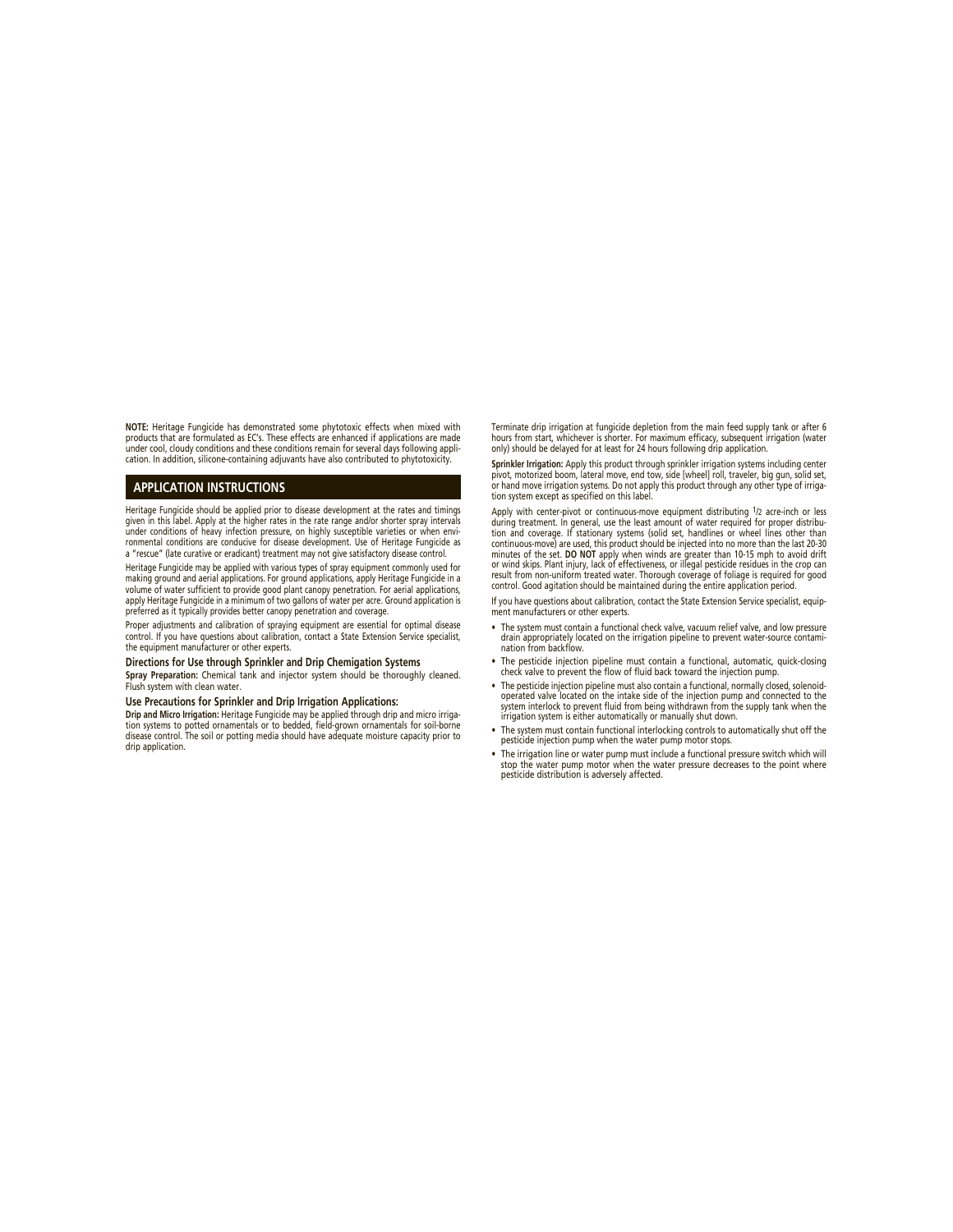**NOTE:** Heritage Fungicide has demonstrated some phytotoxic effects when mixed with products that are formulated as EC's. These effects are enhanced if applications are made under cool, cloudy conditions and these conditions remain for several days following application. In addition, silicone-containing adjuvants have also contributed to phytotoxicity.

# **APPLICATION INSTRUCTIONS**

Heritage Fungicide should be applied prior to disease development at the rates and timings given in this label. Apply at the higher rates in the rate range and/or shorter spray intervals under conditions of heavy infection pressure, on highly susceptible varieties or when envi-ronmental conditions are conducive for disease development. Use of Heritage Fungicide as a "rescue" (late curative or eradicant) treatment may not give satisfactory disease control.

Heritage Fungicide may be applied with various types of spray equipment commonly used for making ground and aerial applications. For ground applications, apply Heritage Fungicide in a volume of water sufficient to provide good plant canopy penetration. For aerial applications, apply Heritage Fungicide in a minimum of two gallons of water per acre. Ground application is preferred as it typically provides better canopy penetration and coverage.

Proper adjustments and calibration of spraying equipment are essential for optimal disease control. If you have questions about calibration, contact a State Extension Service specialist, the equipment manufacturer or other experts.

#### **Directions for Use through Sprinkler and Drip Chemigation Systems**

**Spray Preparation:** Chemical tank and injector system should be thoroughly cleaned. Flush system with clean water.

#### **Use Precautions for Sprinkler and Drip Irrigation Applications:**

**Drip and Micro Irrigation:** Heritage Fungicide may be applied through drip and micro irrigation systems to potted ornamentals or to bedded, field-grown ornamentals for soil-borne disease control. The soil or potting media should have adequate moisture capacity prior to drip application.

Terminate drip irrigation at fungicide depletion from the main feed supply tank or after 6 hours from start, whichever is shorter. For maximum efficacy, subsequent irrigation (water only) should be delayed for at least for 24 hours following drip application.

**Sprinkler Irrigation:** Apply this product through sprinkler irrigation systems including center pivot, motorized boom, lateral move, end tow, side [wheel] roll, traveler, big gun, solid set, or hand move irrigation systems. Do not apply this product through any other type of irrigation system except as specified on this label.

Apply with center-pivot or continuous-move equipment distributing <sup>1</sup>/2 acre-inch or less<br>during treatment. In general, use the least amount of water required for proper distribu-<br>tion and coverage. If stationary systems ( minutes of the set. **DO NO**T apply when winds are greater than 10-15 mph to avoid drift<br>or wind skips. Plant injury, lack of effectiveness, or illegal pesticide residues in the crop can<br>result from non-uniform treated wate control. Good agitation should be maintained during the entire application period.

If you have questions about calibration, contact the State Extension Service specialist, equipment manufacturers or other experts.

- The system must contain a functional check valve, vacuum relief valve, and low pressure drain appropriately located on the irrigation pipeline to prevent water-source contami-nation from backflow.
- The pesticide injection pipeline must contain a functional, automatic, quick-closing check valve to prevent the flow of fluid back toward the injection pump.
- The pesticide injection pipeline must also contain a functional, normally closed, solenoidoperated valve located on the intake side of the injection pump and connected to the system interlock to prevent fluid from being withdrawn from the supply tank when the irrigation system is either automatically or manually shut down.
- The system must contain functional interlocking controls to automatically shut off the pesticide injection pump when the water pump motor stops.
- The irrigation line or water pump must include a functional pressure switch which will stop the water pump motor when the water pressure decreases to the point where pesticide distribution is adversely affected.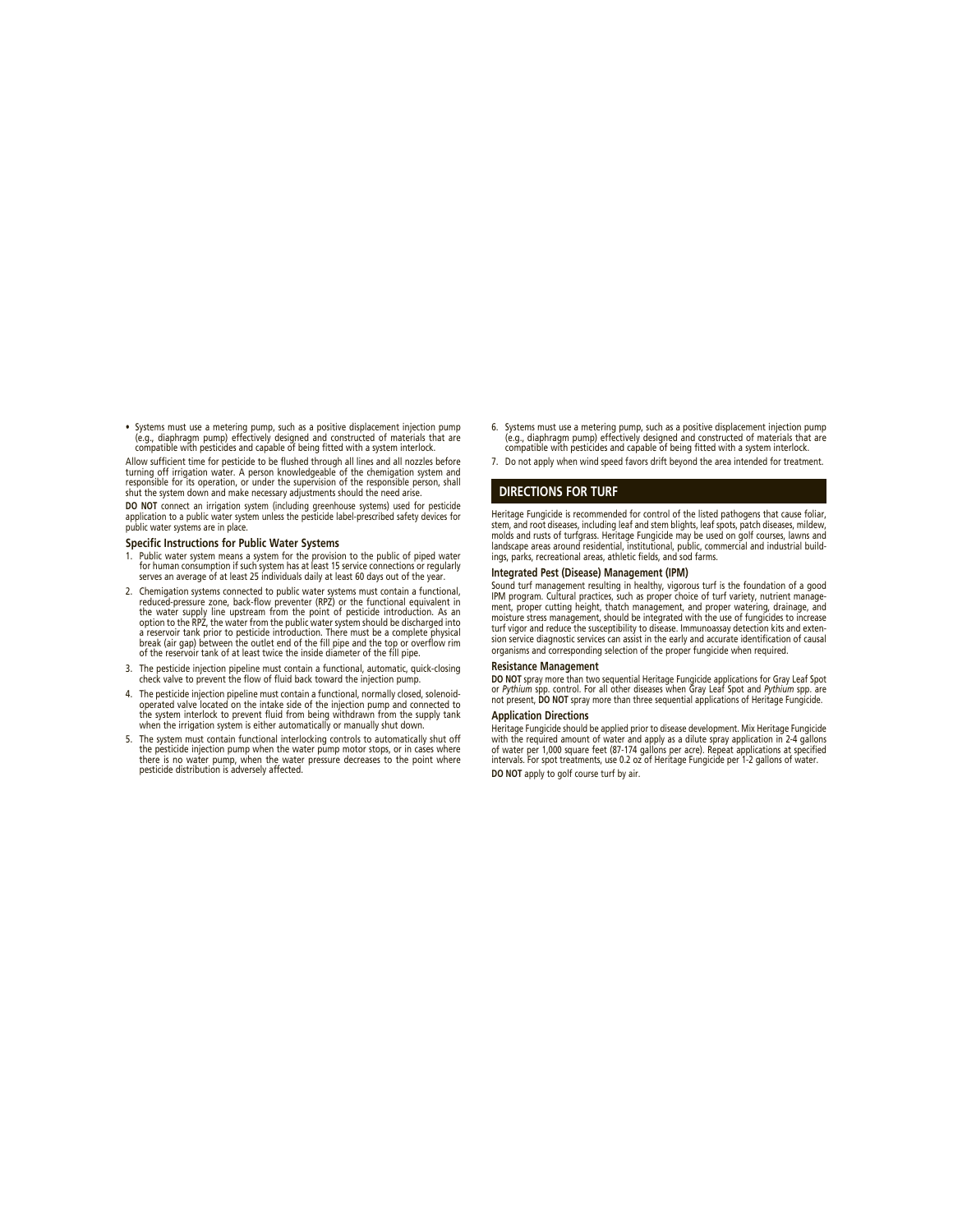• Systems must use a metering pump, such as a positive displacement injection pump<br>(e.g., diaphragm pump) effectively designed and constructed of materials that are<br>compatible with pesticides and capable of being fitted wi

Allow sufficient time for pesticide to be flushed through all lines and all nozzles before turning off irrigation water. A person knowledgeable of the chemigation system and responsible for its operation, or under the supervision of the responsible person, shall shut the system down and make necessary adjustments should the need arise.

**DO NOT** connect an irrigation system (including greenhouse systems) used for pesticide application to a public water system unless the pesticide label-prescribed safety devices for public water systems are in place.

#### **Specific Instructions for Public Water Systems**

- 1. Public water system means a system for the provision to the public of piped water for human consumption if such system has at least 15 service connections or regularly serves an average of at least 25 individuals daily at least 60 days out of the year.
- 2. Chemigation systems connected to public water systems must contain a functional, reduced-pressure zone, back-flow preventer (RPZ) or the functional equivalent in<br>the water supply line upstream from the point of pesticide introduction. As an<br>option to the RPZ, the water from the public water system shou
- 3. The pesticide injection pipeline must contain a functional, automatic, quick-closing check valve to prevent the flow of fluid back toward the injection pump.
- 4. The pesticide injection pipeline must contain a functional, normally closed, solenoidoperated valve located on the intake side of the injection pump and connected to the system interlock to prevent fluid from being withdrawn from the supply tank when the irrigation system is either automatically or manually shut down.
- 5. The system must contain functional interlocking controls to automatically shut off the pesticide injection pump when the water pump motor stops, or in cases where there is no water pump, when the water pressure decreases to the point where pesticide distribution is adversely affected.
- 6. Systems must use a metering pump, such as a positive displacement injection pump<br>e.g., diaphragm pump) effectively designed and constructed of materials that are<br>compatible with pesticides and capable of being fitted wi
- 7. Do not apply when wind speed favors drift beyond the area intended for treatment.

#### **DIRECTIONS FOR TURF**

Heritage Fungicide is recommended for control of the listed pathogens that cause foliar, stem, and root diseases, including leaf and stem blights, leaf spots, patch diseases, mildew, molds and rusts of turfgrass. Heritage Fungicide may be used on golf courses, lawns and landscape areas around residential, institutional, public, commercial and industrial buildings, parks, recreational areas, athletic fields, and sod farms.

#### **Integrated Pest (Disease) Management (IPM)**

Sound turf management resulting in healthy, vigorous turf is the foundation of a good IPM program. Cultural practices, such as proper choice of turf variety, nutrient management, proper cutting height, thatch management, and proper watering, drainage, and moisture stress management, should be integrated with the use of fungicides to increase turf vigor and reduce the susceptibility to disease. Immunoassay detection kits and extension service diagnostic services can assist in the early and accurate identification of causal organisms and corresponding selection of the proper fungicide when required.

#### **Resistance Management**

**DO NOT** spray more than two sequential Heritage Fungicide applications for Gray Leaf Spot or *Pythium* spp. control. For all other diseases when Gray Leaf Spot and *Pythium* spp. are not present, **DO NOT** spray more than three sequential applications of Heritage Fungicide.

### **Application Directions**

Heritage Fungicide should be applied prior to disease development. Mix Heritage Fungicide<br>with the required amount of water and apply as a dilute spray application in 2-4 gallons<br>of water per 1,000 square feet (87-174 gall **DO NOT** apply to golf course turf by air.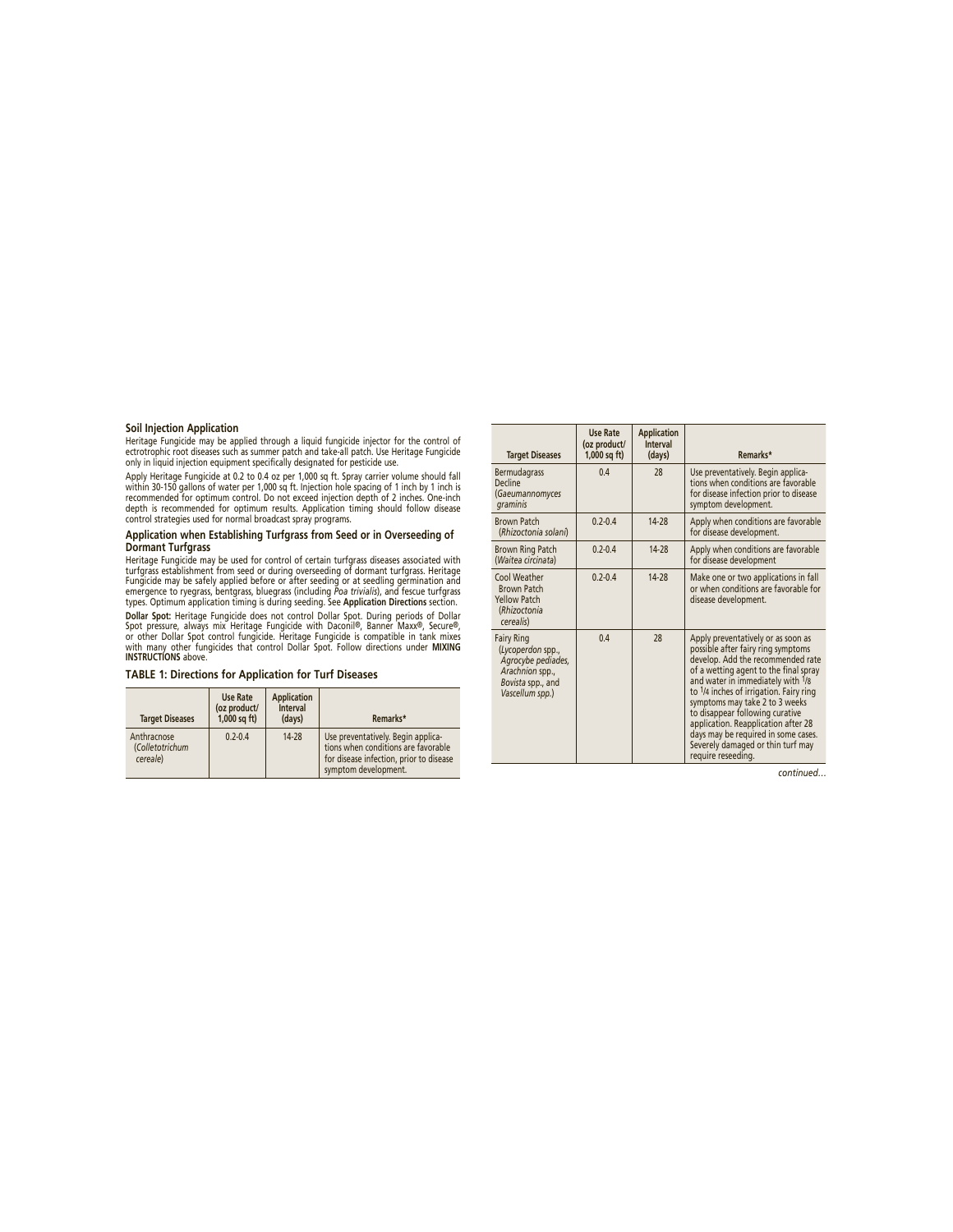# **Soil Injection Application**

Heritage Fungicide may be applied through a liquid fungicide injector for the control of ectrotrophic root diseases such as summer patch and take-all patch. Use Heritage Fungicide only in liquid injection equipment specifically designated for pesticide use.

Apply Heritage Fungicide at 0.2 to 0.4 oz per 1,000 sq ft. Spray carrier volume should fall<br>within 30-150 gallons of water per 1,000 sq ft. Injection hole spacing of 1 inch by 1 inch is<br>recommended for optimum contol. Do n

#### **Application when Establishing Turfgrass from Seed or in Overseeding of Dormant Turfgrass**

Heritage Fungicide may be used for control of certain turtgrass diseases associated with<br>turfgrass establishment from seed or during overseeding of dormant turfgrass. Heritage<br>Fungicide may be safely applied before or afte

Dollar Spot: Heritage Fungicide does not control Dollar Spot. During periods of Dollar<br>Spot pressure, always mix Heritage Fungicide with Daconil®, Banner Maxx®, Secure®,<br>or other Dollar Spot control fungicide. Heritage Fun

# **TABLE 1: Directions for Application for Turf Diseases**

| <b>Target Diseases</b>                     | <b>Use Rate</b><br>(oz product/<br>$1,000$ sq ft) | <b>Application</b><br><b>Interval</b><br>(days) | Remarks*                                                                                                                                     |
|--------------------------------------------|---------------------------------------------------|-------------------------------------------------|----------------------------------------------------------------------------------------------------------------------------------------------|
| Anthracnose<br>(Colletotrichum<br>cereale) | $0.2 - 0.4$                                       | 14-28                                           | Use preventatively. Begin applica-<br>tions when conditions are favorable<br>for disease infection, prior to disease<br>symptom development. |

| <b>Target Diseases</b>                                                                                                  | <b>Use Rate</b><br>(oz product/<br>$1,000$ sq ft) | <b>Application</b><br><b>Interval</b><br>(days) | Remarks*                                                                                                                                                                                                                                                                                                                                                                                                                                             |
|-------------------------------------------------------------------------------------------------------------------------|---------------------------------------------------|-------------------------------------------------|------------------------------------------------------------------------------------------------------------------------------------------------------------------------------------------------------------------------------------------------------------------------------------------------------------------------------------------------------------------------------------------------------------------------------------------------------|
| <b>Bermudagrass</b><br>Decline<br>(Gaeumannomyces<br>graminis                                                           | 04                                                | 28                                              | Use preventatively. Begin applica-<br>tions when conditions are favorable<br>for disease infection prior to disease<br>symptom development.                                                                                                                                                                                                                                                                                                          |
| <b>Brown Patch</b><br>(Rhizoctonia solani)                                                                              | $0.2 - 0.4$                                       | 14-28                                           | Apply when conditions are favorable<br>for disease development.                                                                                                                                                                                                                                                                                                                                                                                      |
| <b>Brown Ring Patch</b><br>(Waitea circinata)                                                                           | $0.2 - 0.4$                                       | $14-28$                                         | Apply when conditions are favorable<br>for disease development                                                                                                                                                                                                                                                                                                                                                                                       |
| Cool Weather<br><b>Brown Patch</b><br><b>Yellow Patch</b><br>(Rhizoctonia<br>cerealis)                                  | $0.2 - 0.4$                                       | 14-28                                           | Make one or two applications in fall<br>or when conditions are favorable for<br>disease development.                                                                                                                                                                                                                                                                                                                                                 |
| <b>Fairy Ring</b><br>(Lycoperdon spp.,<br>Agrocybe pediades,<br>Arachnion spp.,<br>Bovista spp., and<br>Vascellum spp.) | 04                                                | 28                                              | Apply preventatively or as soon as<br>possible after fairy ring symptoms<br>develop. Add the recommended rate<br>of a wetting agent to the final spray<br>and water in immediately with 1/8<br>to 1/4 inches of irrigation. Fairy ring<br>symptoms may take 2 to 3 weeks<br>to disappear following curative<br>application. Reapplication after 28<br>days may be required in some cases.<br>Severely damaged or thin turf may<br>require reseeding. |

*continued…*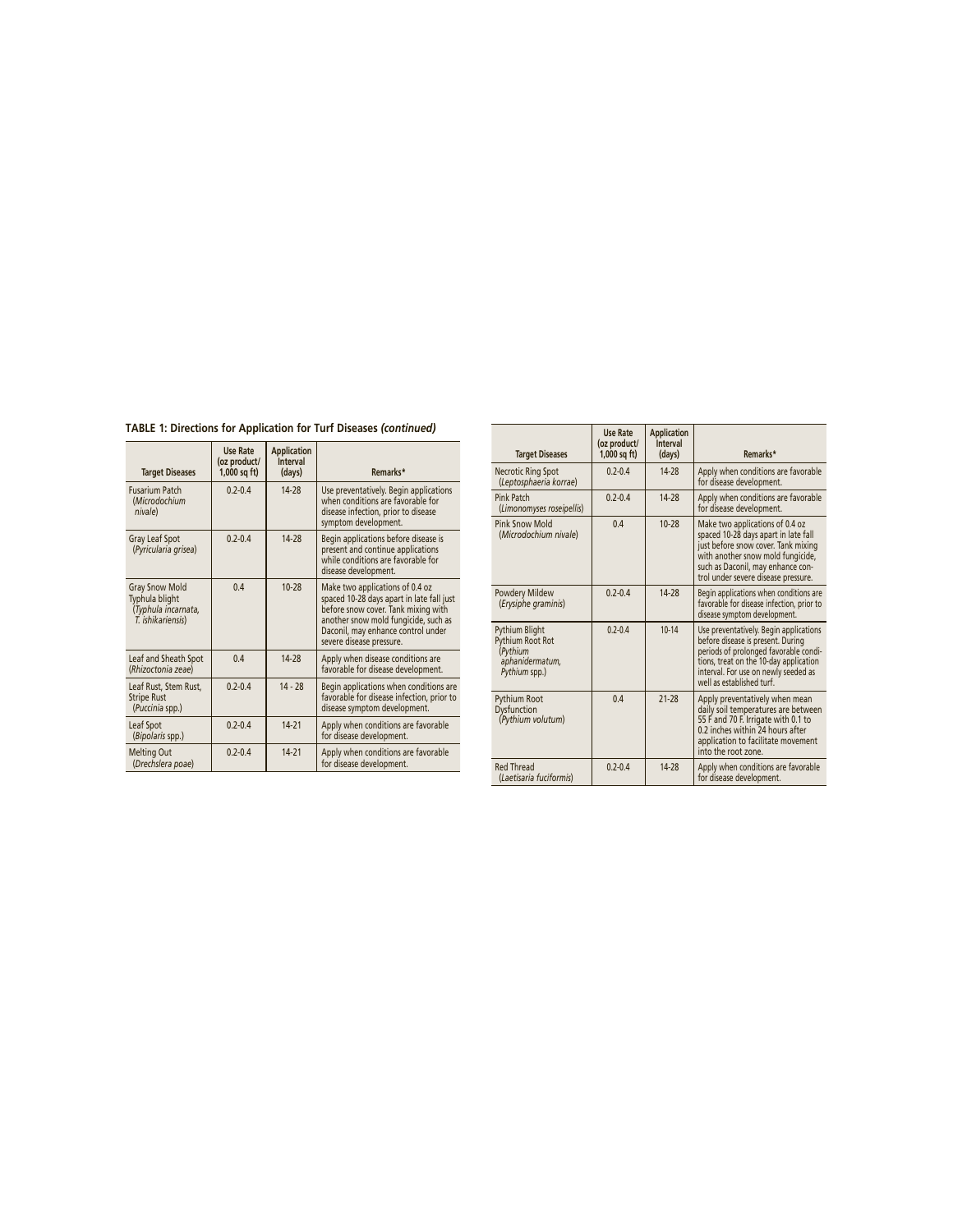**TABLE 1: Directions for Application for Turf Diseases** *(continued)*

| <b>Target Diseases</b>                                                              | <b>Use Rate</b><br>(oz product/<br>$1,000$ sq ft) | <b>Application</b><br><b>Interval</b><br>(days) | Remarks*                                                                                                                                                                                                                      |
|-------------------------------------------------------------------------------------|---------------------------------------------------|-------------------------------------------------|-------------------------------------------------------------------------------------------------------------------------------------------------------------------------------------------------------------------------------|
| <b>Fusarium Patch</b><br>(Microdochium<br>nivale)                                   | $0.2 - 0.4$                                       | 14-28                                           | Use preventatively. Begin applications<br>when conditions are favorable for<br>disease infection, prior to disease<br>symptom development.                                                                                    |
| <b>Gray Leaf Spot</b><br>(Pyricularia grisea)                                       | $0.2 - 0.4$                                       | 14-28                                           | Begin applications before disease is<br>present and continue applications<br>while conditions are favorable for<br>disease development.                                                                                       |
| <b>Gray Snow Mold</b><br>Typhula blight<br>(Typhula incarnata,<br>T. ishikariensis) | 04                                                | $10-28$                                         | Make two applications of 0.4 oz<br>spaced 10-28 days apart in late fall just<br>before snow cover. Tank mixing with<br>another snow mold fungicide, such as<br>Daconil, may enhance control under<br>severe disease pressure. |
| Leaf and Sheath Spot<br>(Rhizoctonia zeae)                                          | 04                                                | 14-28                                           | Apply when disease conditions are<br>favorable for disease development.                                                                                                                                                       |
| Leaf Rust, Stem Rust,<br><b>Stripe Rust</b><br>(Puccinia spp.)                      | $02-04$                                           | $14 - 28$                                       | Begin applications when conditions are<br>favorable for disease infection, prior to<br>disease symptom development.                                                                                                           |
| Leaf Spot<br>(Bipolaris spp.)                                                       | $02-04$                                           | $14-21$                                         | Apply when conditions are favorable<br>for disease development.                                                                                                                                                               |
| <b>Melting Out</b><br>(Drechslera poae)                                             | $02-04$                                           | $14 - 21$                                       | Apply when conditions are favorable<br>for disease development.                                                                                                                                                               |

| <b>Target Diseases</b>                                                                    | Use Rate<br>(oz product/<br>$1,000$ sq ft) | <b>Application</b><br><b>Interval</b><br>(days) | Remarks*                                                                                                                                                                                                                           |
|-------------------------------------------------------------------------------------------|--------------------------------------------|-------------------------------------------------|------------------------------------------------------------------------------------------------------------------------------------------------------------------------------------------------------------------------------------|
| <b>Necrotic Ring Spot</b><br>(Leptosphaeria korrae)                                       | $0.2 - 0.4$                                | 14-28                                           | Apply when conditions are favorable<br>for disease development.                                                                                                                                                                    |
| Pink Patch<br>(Limonomyses roseipellis)                                                   | $0.2 - 0.4$                                | 14-28                                           | Apply when conditions are favorable<br>for disease development.                                                                                                                                                                    |
| Pink Snow Mold<br>(Microdochium nivale)                                                   | 0.4                                        | $10-28$                                         | Make two applications of 0.4 oz<br>spaced 10-28 days apart in late fall<br>just before snow cover. Tank mixing<br>with another snow mold fungicide,<br>such as Daconil, may enhance con-<br>trol under severe disease pressure.    |
| Powdery Mildew<br>(Erysiphe graminis)                                                     | $0.2 - 0.4$                                | 14-28                                           | Begin applications when conditions are<br>favorable for disease infection, prior to<br>disease symptom development.                                                                                                                |
| <b>Pythium Blight</b><br>Pythium Root Rot<br>(Pythium<br>aphanidermatum,<br>Pythium spp.) | $02-04$                                    | $10 - 14$                                       | Use preventatively. Begin applications<br>before disease is present. During<br>periods of prolonged favorable condi-<br>tions, treat on the 10-day application<br>interval. For use on newly seeded as<br>well as established turf |
| Pythium Root<br><b>Dysfunction</b><br>(Pythium volutum)                                   | 04                                         | $21-28$                                         | Apply preventatively when mean<br>daily soil temperatures are between<br>55 F and 70 F. Irrigate with 0.1 to<br>0.2 inches within 24 hours after<br>application to facilitate movement<br>into the root zone.                      |
| <b>Red Thread</b><br>(Laetisaria fuciformis)                                              | $0.2 - 0.4$                                | 14-28                                           | Apply when conditions are favorable<br>for disease development.                                                                                                                                                                    |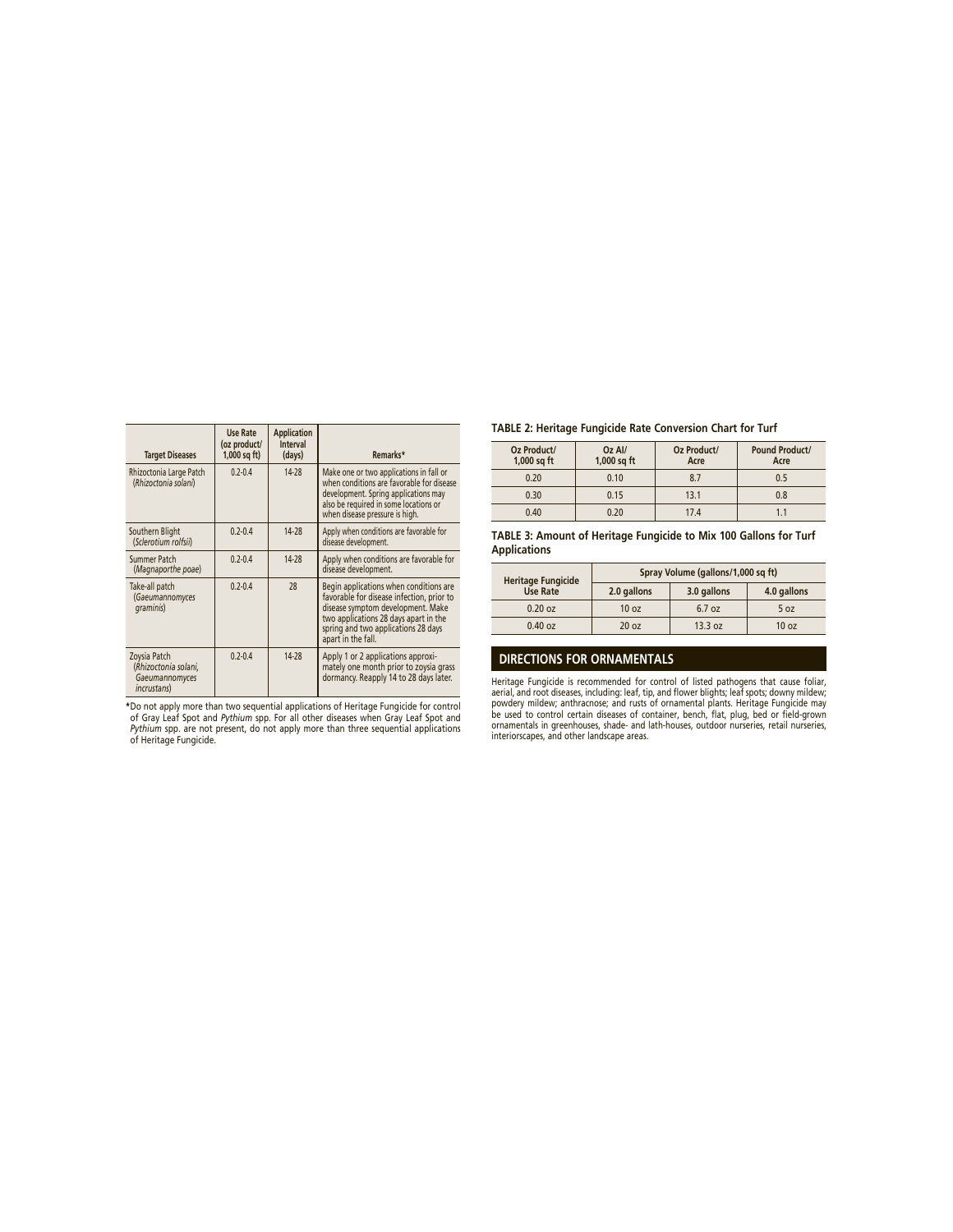| <b>Target Diseases</b>                                                        | Use Rate<br>(oz product/<br>$1,000$ sq ft) | <b>Application</b><br><b>Interval</b><br>(days) | Remarks*                                                                                                                                                                                                                       |
|-------------------------------------------------------------------------------|--------------------------------------------|-------------------------------------------------|--------------------------------------------------------------------------------------------------------------------------------------------------------------------------------------------------------------------------------|
| Rhizoctonia Large Patch<br>(Rhizoctonia solani)                               | $0.2 - 0.4$                                | 14-28                                           | Make one or two applications in fall or<br>when conditions are favorable for disease<br>development. Spring applications may<br>also be required in some locations or<br>when disease pressure is high.                        |
| Southern Blight<br>(Sclerotium rolfsii)                                       | $0.2 - 0.4$                                | 14-28                                           | Apply when conditions are favorable for<br>disease development.                                                                                                                                                                |
| Summer Patch<br>(Magnaporthe poae)                                            | $0.2 - 0.4$                                | 14-28                                           | Apply when conditions are favorable for<br>disease development.                                                                                                                                                                |
| Take-all patch<br>(Gaeumannomyces<br>graminis)                                | $0.2 - 0.4$                                | 28                                              | Begin applications when conditions are<br>favorable for disease infection, prior to<br>disease symptom development. Make<br>two applications 28 days apart in the<br>spring and two applications 28 days<br>apart in the fall. |
| Zoysia Patch<br>(Rhizoctonia solani,<br>Gaeumannomyces<br><i>incrustans</i> ) | $0.2 - 0.4$                                | 14-28                                           | Apply 1 or 2 applications approxi-<br>mately one month prior to zoysia grass<br>dormancy. Reapply 14 to 28 days later.                                                                                                         |

\*Do not apply more than two sequential applications of Heritage Fungicide for control<br>of Gray Leaf Spot and Pythium spp. For all other diseases when Gray Leaf Spot and<br>Pythium spp. are not present, do not apply more than t

# **TABLE 2: Heritage Fungicide Rate Conversion Chart for Turf**

| Oz Product/<br>$1,000$ sq ft | Oz Al/<br>1,000 sq ft | Oz Product/<br>Acre | <b>Pound Product/</b><br>Acre |
|------------------------------|-----------------------|---------------------|-------------------------------|
| 0.20                         | 0.10                  | 8.7                 | 0.5                           |
| 0.30                         | 0.15                  | 13.1                | 0.8                           |
| 0.40                         | 0.20                  | 17.4                |                               |

**TABLE 3: Amount of Heritage Fungicide to Mix 100 Gallons for Turf Applications**

| <b>Heritage Fungicide</b> | Spray Volume (gallons/1,000 sq ft) |             |                  |  |
|---------------------------|------------------------------------|-------------|------------------|--|
| <b>Use Rate</b>           | 2.0 gallons                        | 3.0 gallons | 4.0 gallons      |  |
| $0.20$ oz                 | 10 <sub>oz</sub>                   | 6.7 oz      | 5 oz             |  |
| $0.40$ oz                 | 20 <sub>oz</sub>                   | 13.3 oz     | 10 <sub>oz</sub> |  |

# **DIRECTIONS FOR ORNAMENTALS**

Heritage Fungicide is recommended for control of listed pathogens that cause foliar, aerial, and root diseases, including: leaf, tip, and flower blights; leaf spots; downy mildew;<br>powdery mildew; anthracnose; and rusts of ornamental plants. Heritage Fungicide may<br>be used to control certain diseases of cont ornamentals in greenhouses, shade- and lath-houses, outdoor nurseries, retail nurseries, interiorscapes, and other landscape areas.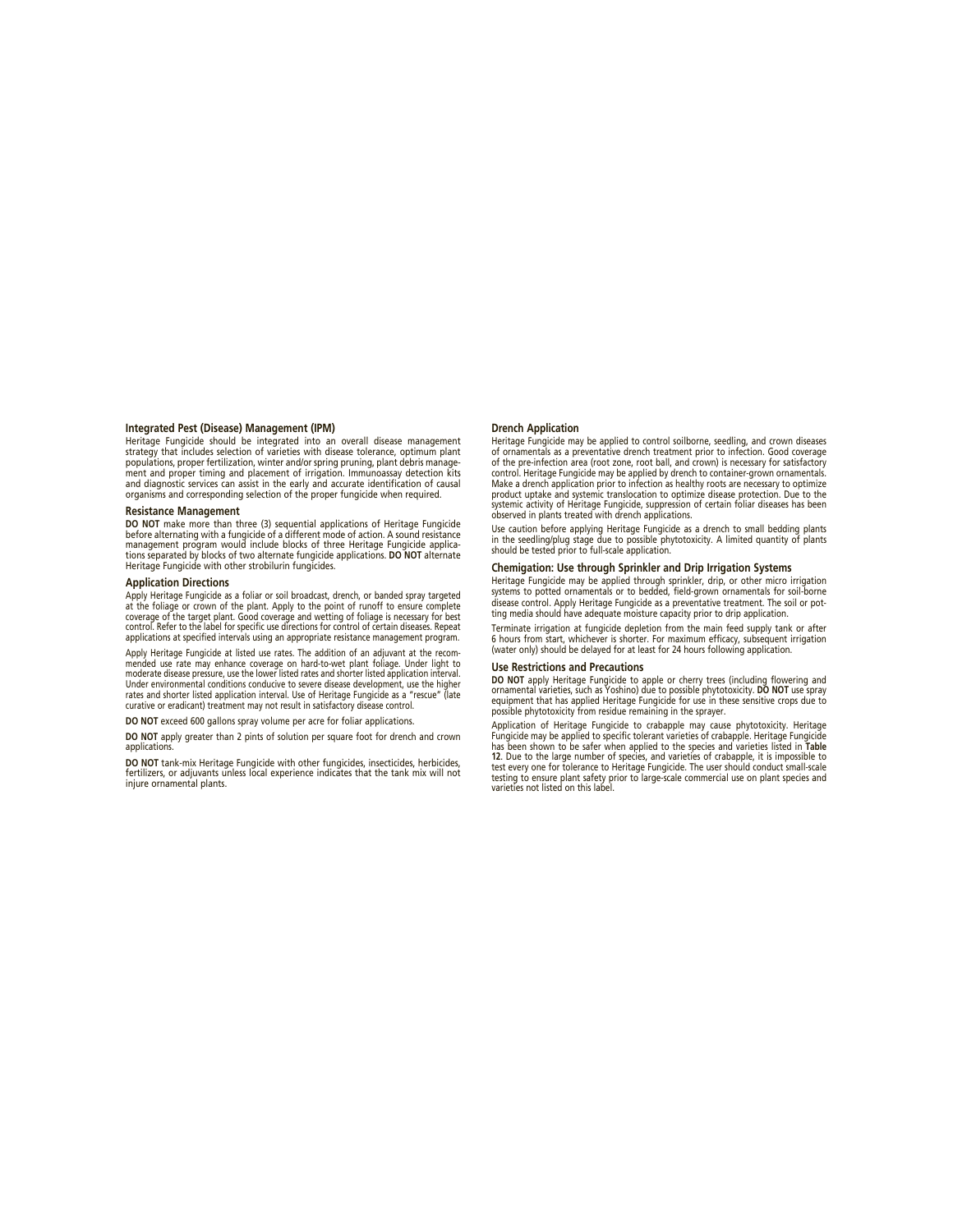### **Integrated Pest (Disease) Management (IPM)**

Heritage Fungicide should be integrated into an overall disease management strategy that includes selection of varieties with disease tolerance, optimum plant populations, proper fertilization, winter and/or spring pruning, plant debris manage-ment and proper timing and placement of irrigation. Immunoassay detection kits and diagnostic services can assist in the early and accurate identification of causal organisms and corresponding selection of the proper fungicide when required.

#### **Resistance Management**

**DO NOT** make more than three (3) sequential applications of Heritage Fungicide before alternating with a fungicide of a different mode of action. A sound resistance management program would include blocks of three Heritage Fungicide applica-tions separated by blocks of two alternate fungicide applications. **DO NOT** alternate Heritage Fungicide with other strobilurin fungicides.

#### **Application Directions**

Apply Heritage Fungicide as a foliar or soil broadcast, drench, or banded spray targeted at the foliage or crown of the plant. Apply to the point of runoff to ensure complete coverage of the target plant. Good coverage and wetting of foliage is necessary for best control. Refer to the label for specific use directions for control of certain diseases. Repeat applications at specified intervals using an appropriate resistance management program.

Apply Heritage Fungicide at listed use rates. The addition of an adjuvant at the recommended use rate may enhance coverage on hard-to-wet plant foliage. Under light to moderate disease pressure, use the lower listed rates and shorter listed application interval. Under environmental conditions conducive to severe disease development, use the higher<br>rates and shorter listed application interval. Use of Heritage Fungicide as a "rescue" (late curative or eradicant) treatment may not result in satisfactory disease control.

**DO NOT** exceed 600 gallons spray volume per acre for foliar applications.

**DO NOT** apply greater than 2 pints of solution per square foot for drench and crown applications

**DO NOT** tank-mix Heritage Fungicide with other fungicides, insecticides, herbicides, fertilizers, or adjuvants unless local experience indicates that the tank mix will not injure ornamental plants.

#### **Drench Application**

Heritage Fungicide may be applied to control soilborne, seedling, and crown diseases of ornamentals as a preventative drench treatment prior to infection. Good coverage of the pre-infection area (root zone, root ball, and crown) is necessary for satisfactory control. Heritage Fungicide may be applied by drench to container-grown ornamentals. Make a drench application prior to infection as healthy roots are necessary to optimize product uptake and systemic translocation to optimize disease protection. Due to the systemic activity of Heritage Fungicide, suppression of certain foliar diseases has been observed in plants treated with drench applications.

Use caution before applying Heritage Fungicide as a drench to small bedding plants in the seedling/plug stage due to possible phytotoxicity. A limited quantity of plants should be tested prior to full-scale application.

#### **Chemigation: Use through Sprinkler and Drip Irrigation Systems**

Heritage Fungicide may be applied through sprinkler, drip, or other micro irrigation systems to potted ornamentals or to bedded, field-grown ornamentals for soil-borne disease control. Apply Heritage Fungicide as a preventative treatment. The soil or potting media should have adequate moisture capacity prior to drip application.

Terminate irrigation at fungicide depletion from the main feed supply tank or after 6 hours from start, whichever is shorter. For maximum efficacy, subsequent irrigation (water only) should be delayed for at least for 24 hours following application.

#### **Use Restrictions and Precautions**

**DO NOT** apply Heritage Fungicide to apple or cherry trees (including flowering and<br>ornamental varieties, such as Yoshino) due to possible phytotoxicity. **DO NOT** use spray<br>equipment that has applied Heritage Fungicide for

Application of Heritage Fungicide to crabapple may cause phytotoxicity. Heritage Fungicide may be applied to specific tolerant varieties of crabapple. Heritage Fungicide has been shown to be safer when applied to the species and varieties listed in **Table 12**. Due to the large number of species, and varieties of crabapple, it is impossible to test every one for tolerance to Heritage Fungicide. The user should conduct small-scale testing to ensure plant safety prior to large-scale commercial use on plant species and varieties not listed on this label.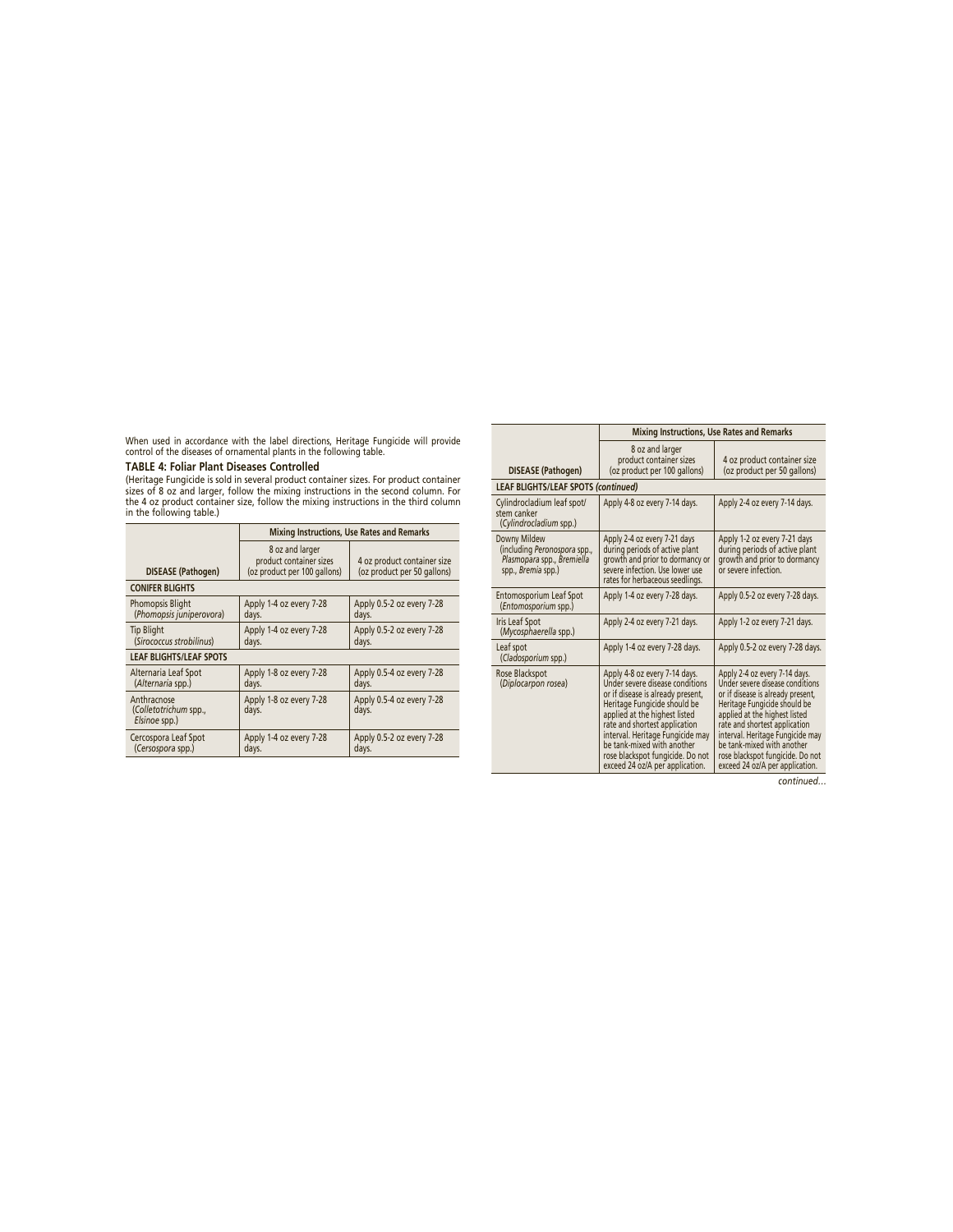When used in accordance with the label directions, Heritage Fungicide will provide control of the diseases of ornamental plants in the following table.

# **TABLE 4: Foliar Plant Diseases Controlled**

(Heritage Fungicide is sold in several product container sizes. For product container<br>sizes of 8 oz and larger, follow the mixing instructions in the second column. For<br>the 4 oz product container size, follow the mixing in

|                                                       | <b>Mixing Instructions, Use Rates and Remarks</b>                          |                                                            |  |
|-------------------------------------------------------|----------------------------------------------------------------------------|------------------------------------------------------------|--|
| DISEASE (Pathogen)                                    | 8 oz and larger<br>product container sizes<br>(oz product per 100 gallons) | 4 oz product container size<br>(oz product per 50 gallons) |  |
| <b>CONIFER BLIGHTS</b>                                |                                                                            |                                                            |  |
| <b>Phomopsis Blight</b><br>(Phomopsis juniperovora)   | Apply 1-4 oz every 7-28<br>days.                                           | Apply 0.5-2 oz every 7-28<br>days.                         |  |
| <b>Tip Blight</b><br>(Sirococcus strobilinus)         | Apply 1-4 oz every 7-28<br>days.                                           | Apply 0.5-2 oz every 7-28<br>days.                         |  |
| <b>LEAF BLIGHTS/LEAF SPOTS</b>                        |                                                                            |                                                            |  |
| Alternaria Leaf Spot<br>(Alternaria spp.)             | Apply 1-8 oz every 7-28<br>days.                                           | Apply 0.5-4 oz every 7-28<br>days.                         |  |
| Anthracnose<br>(Colletotrichum spp.,<br>Elsinoe spp.) | Apply 1-8 oz every 7-28<br>days.                                           | Apply 0.5-4 oz every 7-28<br>days.                         |  |
| Cercospora Leaf Spot<br>(Cersospora spp.)             | Apply 1-4 oz every 7-28<br>days.                                           | Apply 0.5-2 oz every 7-28<br>days.                         |  |

|                                                                                                  | <b>Mixing Instructions, Use Rates and Remarks</b>                                                                                                                                                                                                                                                                                                |                                                                                                                                                                                                                                                                                                                                                  |  |
|--------------------------------------------------------------------------------------------------|--------------------------------------------------------------------------------------------------------------------------------------------------------------------------------------------------------------------------------------------------------------------------------------------------------------------------------------------------|--------------------------------------------------------------------------------------------------------------------------------------------------------------------------------------------------------------------------------------------------------------------------------------------------------------------------------------------------|--|
| <b>DISEASE</b> (Pathogen)                                                                        | 8 oz and larger<br>product container sizes<br>(oz product per 100 gallons)                                                                                                                                                                                                                                                                       | 4 oz product container size<br>(oz product per 50 gallons)                                                                                                                                                                                                                                                                                       |  |
| <b>LEAF BLIGHTS/LEAF SPOTS (continued)</b>                                                       |                                                                                                                                                                                                                                                                                                                                                  |                                                                                                                                                                                                                                                                                                                                                  |  |
| Cylindrocladium leaf spot/<br>stem canker<br>(Cylindrocladium spp.)                              | Apply 4-8 oz every 7-14 days.                                                                                                                                                                                                                                                                                                                    | Apply 2-4 oz every 7-14 days.                                                                                                                                                                                                                                                                                                                    |  |
| Downy Mildew<br>(including Peronospora spp.,<br>Plasmopara spp., Bremiella<br>spp., Bremia spp.) | Apply 2-4 oz every 7-21 days<br>during periods of active plant<br>growth and prior to dormancy or<br>severe infection. Use lower use<br>rates for herbaceous seedlings.                                                                                                                                                                          | Apply 1-2 oz every 7-21 days<br>during periods of active plant<br>growth and prior to dormancy<br>or severe infection.                                                                                                                                                                                                                           |  |
| Entomosporium Leaf Spot<br>(Entomosporium spp.)                                                  | Apply 1-4 oz every 7-28 days.                                                                                                                                                                                                                                                                                                                    | Apply 0.5-2 oz every 7-28 days.                                                                                                                                                                                                                                                                                                                  |  |
| <b>Iris Leaf Spot</b><br>(Mycosphaerella spp.)                                                   | Apply 2-4 oz every 7-21 days.                                                                                                                                                                                                                                                                                                                    | Apply 1-2 oz every 7-21 days.                                                                                                                                                                                                                                                                                                                    |  |
| Leaf spot<br>(Cladosporium spp.)                                                                 | Apply 1-4 oz every 7-28 days.                                                                                                                                                                                                                                                                                                                    | Apply 0.5-2 oz every 7-28 days.                                                                                                                                                                                                                                                                                                                  |  |
| Rose Blackspot<br>(Diplocarpon rosea)                                                            | Apply 4-8 oz every 7-14 days.<br>Under severe disease conditions<br>or if disease is already present,<br>Heritage Fungicide should be<br>applied at the highest listed<br>rate and shortest application<br>interval. Heritage Fungicide may<br>be tank-mixed with another<br>rose blackspot fungicide. Do not<br>exceed 24 oz/A per application. | Apply 2-4 oz every 7-14 days.<br>Under severe disease conditions<br>or if disease is already present,<br>Heritage Fungicide should be<br>applied at the highest listed<br>rate and shortest application<br>interval. Heritage Fungicide may<br>be tank-mixed with another<br>rose blackspot fungicide. Do not<br>exceed 24 oz/A per application. |  |
|                                                                                                  |                                                                                                                                                                                                                                                                                                                                                  | continuod                                                                                                                                                                                                                                                                                                                                        |  |

*continued…*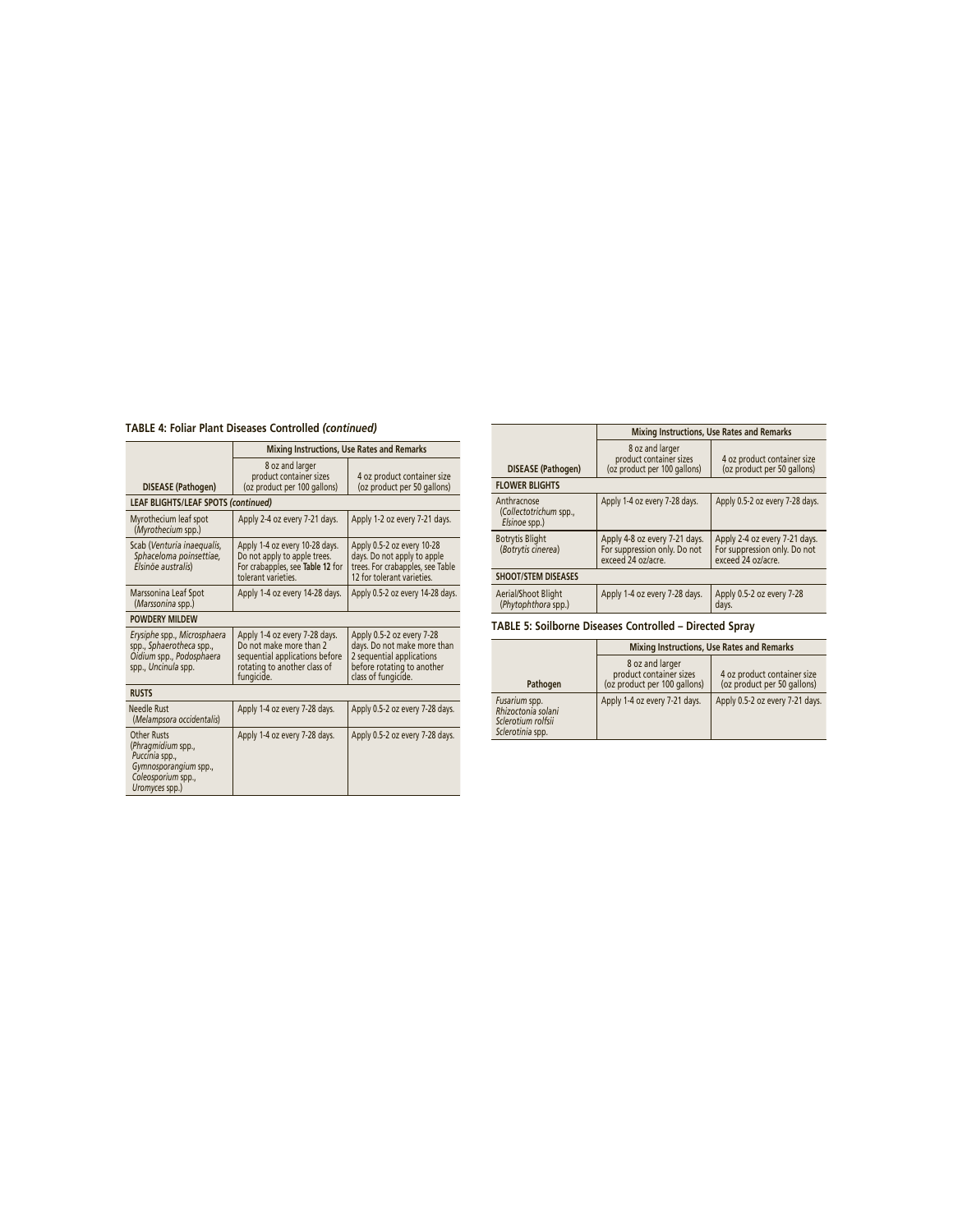# **TABLE 4: Foliar Plant Diseases Controlled** *(continued)*

|                                                                                                                             | <b>Mixing Instructions, Use Rates and Remarks</b>                                                                                        |                                                                                                                                            |  |  |
|-----------------------------------------------------------------------------------------------------------------------------|------------------------------------------------------------------------------------------------------------------------------------------|--------------------------------------------------------------------------------------------------------------------------------------------|--|--|
| <b>DISEASE</b> (Pathogen)                                                                                                   | 8 oz and larger<br>product container sizes<br>(oz product per 100 gallons)                                                               | 4 oz product container size<br>(oz product per 50 gallons)                                                                                 |  |  |
| <b>LEAF BLIGHTS/LEAF SPOTS (continued)</b>                                                                                  |                                                                                                                                          |                                                                                                                                            |  |  |
| Myrothecium leaf spot<br>(Myrothecium spp.)                                                                                 | Apply 2-4 oz every 7-21 days.                                                                                                            | Apply 1-2 oz every 7-21 days.                                                                                                              |  |  |
| Scab (Venturia inaequalis,<br>Sphaceloma poinsettiae,<br>Elsinöe australis)                                                 | Apply 1-4 oz every 10-28 days.<br>Do not apply to apple trees.<br>For crabapples, see Table 12 for<br>tolerant varieties.                | Apply 0.5-2 oz every 10-28<br>days. Do not apply to apple<br>trees. For crabapples, see Table<br>12 for tolerant varieties.                |  |  |
| Marssonina Leaf Spot<br>(Marssonina spp.)                                                                                   | Apply 1-4 oz every 14-28 days.                                                                                                           | Apply 0.5-2 oz every 14-28 days.                                                                                                           |  |  |
| <b>POWDERY MILDEW</b>                                                                                                       |                                                                                                                                          |                                                                                                                                            |  |  |
| Erysiphe spp., Microsphaera<br>spp., Sphaerotheca spp.,<br>Oidium spp., Podosphaera<br>spp., Uncinula spp.                  | Apply 1-4 oz every 7-28 days.<br>Do not make more than 2<br>sequential applications before<br>rotating to another class of<br>fungicide. | Apply 0.5-2 oz every 7-28<br>days. Do not make more than<br>2 sequential applications<br>before rotating to another<br>class of fungicide. |  |  |
| <b>RUSTS</b>                                                                                                                |                                                                                                                                          |                                                                                                                                            |  |  |
| Needle Rust<br>(Melampsora occidentalis)                                                                                    | Apply 1-4 oz every 7-28 days.                                                                                                            | Apply 0.5-2 oz every 7-28 days.                                                                                                            |  |  |
| <b>Other Rusts</b><br>(Phragmidium spp.,<br>Puccinia spp.,<br>Gymnosporangium spp.,<br>Coleosporium spp.,<br>Uromyces spp.) | Apply 1-4 oz every 7-28 days.                                                                                                            | Apply 0.5-2 oz every 7-28 days.                                                                                                            |  |  |

|                                                         | <b>Mixing Instructions, Use Rates and Remarks</b>                                   |                                                                                     |
|---------------------------------------------------------|-------------------------------------------------------------------------------------|-------------------------------------------------------------------------------------|
| <b>DISEASE</b> (Pathogen)                               | 8 oz and larger<br>product container sizes<br>(oz product per 100 gallons)          | 4 oz product container size<br>(oz product per 50 gallons)                          |
| <b>FLOWER BLIGHTS</b>                                   |                                                                                     |                                                                                     |
| Anthracnose<br>(Collectotrichum spp.,<br>Elsinoe spp.)  | Apply 1-4 oz every 7-28 days.                                                       | Apply 0.5-2 oz every 7-28 days.                                                     |
| <b>Botrytis Blight</b><br>(Botrytis cinerea)            | Apply 4-8 oz every 7-21 days.<br>For suppression only. Do not<br>exceed 24 oz/acre. | Apply 2-4 oz every 7-21 days.<br>For suppression only. Do not<br>exceed 24 oz/acre. |
| <b>SHOOT/STEM DISEASES</b>                              |                                                                                     |                                                                                     |
| Aerial/Shoot Blight<br>(Phytophthora spp.)              | Apply 1-4 oz every 7-28 days.                                                       | Apply 0.5-2 oz every 7-28<br>days.                                                  |
| TABLE 5: Soilborne Diseases Controlled – Directed Spray |                                                                                     |                                                                                     |

|                                                                               | <b>Mixing Instructions, Use Rates and Remarks</b>                          |                                                            |
|-------------------------------------------------------------------------------|----------------------------------------------------------------------------|------------------------------------------------------------|
| Pathogen                                                                      | 8 oz and larger<br>product container sizes<br>(oz product per 100 gallons) | 4 oz product container size<br>(oz product per 50 gallons) |
| Fusarium spp.<br>Rhizoctonia solani<br>Sclerotium rolfsii<br>Sclerotinia spp. | Apply 1-4 oz every 7-21 days.                                              | Apply 0.5-2 oz every 7-21 days.                            |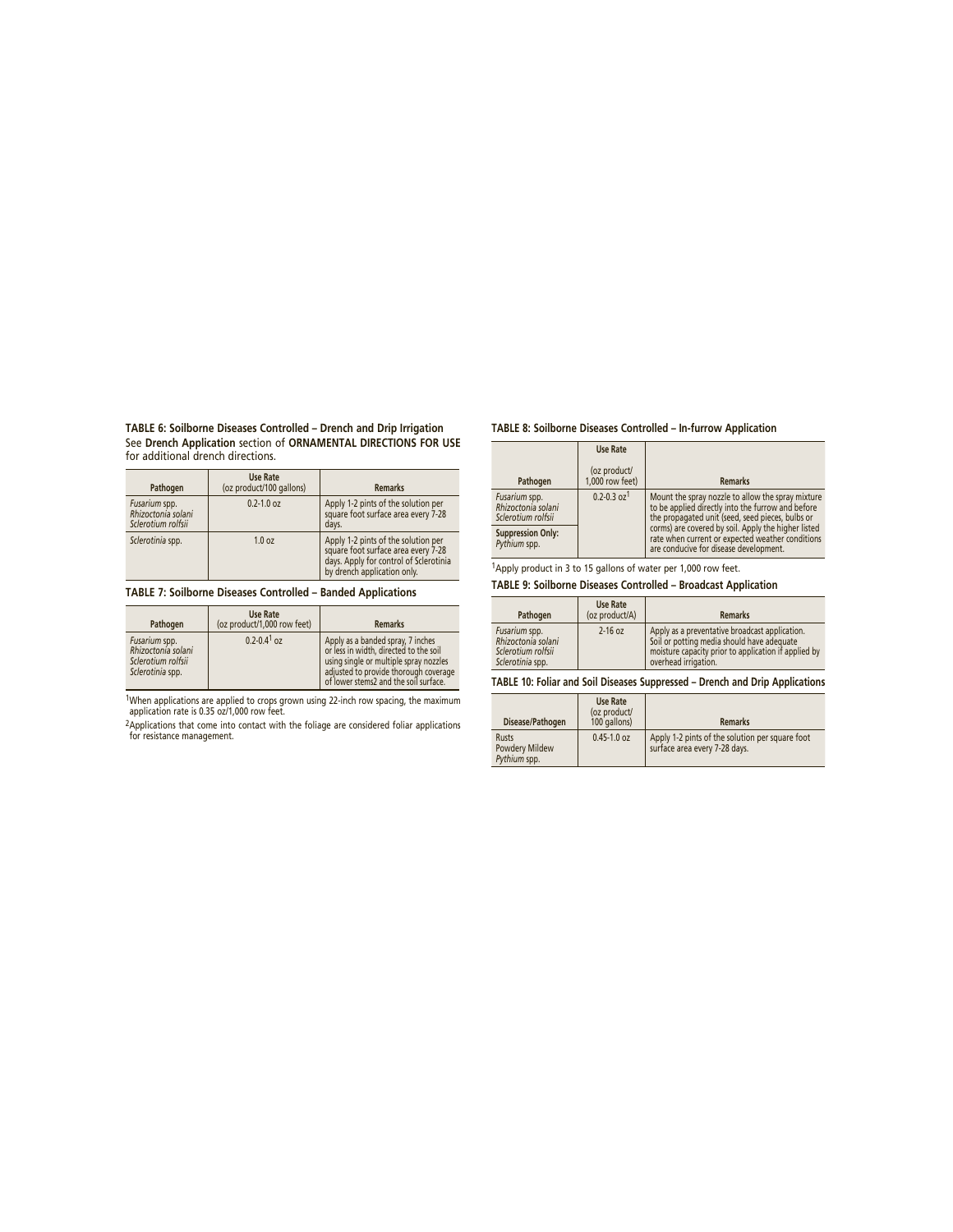**TABLE 6: Soilborne Diseases Controlled – Drench and Drip Irrigation**  See **Drench Application** section of **ORNAMENTAL DIRECTIONS FOR USE**  for additional drench directions.

| Pathogen                                                  | <b>Use Rate</b><br>(oz product/100 gallons) | <b>Remarks</b>                                                                                                                                      |
|-----------------------------------------------------------|---------------------------------------------|-----------------------------------------------------------------------------------------------------------------------------------------------------|
| Fusarium spp.<br>Rhizoctonia solani<br>Sclerotium rolfsii | $0.2 - 1.0$ oz                              | Apply 1-2 pints of the solution per<br>square foot surface area every 7-28<br>days.                                                                 |
| Sclerotinia spp.                                          | 1.0 oz                                      | Apply 1-2 pints of the solution per<br>square foot surface area every 7-28<br>days. Apply for control of Sclerotinia<br>by drench application only. |

**TABLE 7: Soilborne Diseases Controlled – Banded Applications**

| Pathogen                                                                      | Use Rate<br>(oz product/1,000 row feet) | <b>Remarks</b>                                                                                                                                                                                          |
|-------------------------------------------------------------------------------|-----------------------------------------|---------------------------------------------------------------------------------------------------------------------------------------------------------------------------------------------------------|
| Fusarium spp.<br>Rhizoctonia solani<br>Sclerotium rolfsii<br>Sclerotinia spp. | $0.2 - 0.4$ <sup>1</sup> oz             | Apply as a banded spray, 7 inches<br>or less in width, directed to the soil<br>using single or multiple spray nozzles<br>adjusted to provide thorough coverage<br>of lower stems2 and the soil surface. |

1When applications are applied to crops grown using 22-inch row spacing, the maximum application rate is 0.35 oz/1,000 row feet.

2Applications that come into contact with the foliage are considered foliar applications for resistance management.

# **TABLE 8: Soilborne Diseases Controlled – In-furrow Application**

|                                                           | Use Rate                        |                                                                                                                                                            |
|-----------------------------------------------------------|---------------------------------|------------------------------------------------------------------------------------------------------------------------------------------------------------|
| Pathogen                                                  | (oz product/<br>1,000 row feet) | <b>Remarks</b>                                                                                                                                             |
| Fusarium spp.<br>Rhizoctonia solani<br>Sclerotium rolfsii | $0.2 - 0.3$ oz <sup>1</sup>     | Mount the spray nozzle to allow the spray mixture<br>to be applied directly into the furrow and before<br>the propagated unit (seed, seed pieces, bulbs or |
| <b>Suppression Only:</b><br>Pythium spp.                  |                                 | corms) are covered by soil. Apply the higher listed<br>rate when current or expected weather conditions<br>are conducive for disease development.          |

1Apply product in 3 to 15 gallons of water per 1,000 row feet.

**TABLE 9: Soilborne Diseases Controlled – Broadcast Application**

| Pathogen                                                                      | Use Rate<br>(oz product/A) | <b>Remarks</b>                                                                                                                                                               |
|-------------------------------------------------------------------------------|----------------------------|------------------------------------------------------------------------------------------------------------------------------------------------------------------------------|
| Fusarium spp.<br>Rhizoctonia solani<br>Sclerotium rolfsii<br>Sclerotinia spp. | $2-16$ oz                  | Apply as a preventative broadcast application.<br>Soil or potting media should have adequate<br>moisture capacity prior to application if applied by<br>overhead irrigation. |

**TABLE 10: Foliar and Soil Diseases Suppressed – Drench and Drip Applications**

| Disease/Pathogen                               | Use Rate<br>(oz product/<br>100 gallons) | <b>Remarks</b>                                                                   |
|------------------------------------------------|------------------------------------------|----------------------------------------------------------------------------------|
| <b>Rusts</b><br>Powdery Mildew<br>Pythium spp. | $0.45 - 1.0$ oz                          | Apply 1-2 pints of the solution per square foot<br>surface area every 7-28 days. |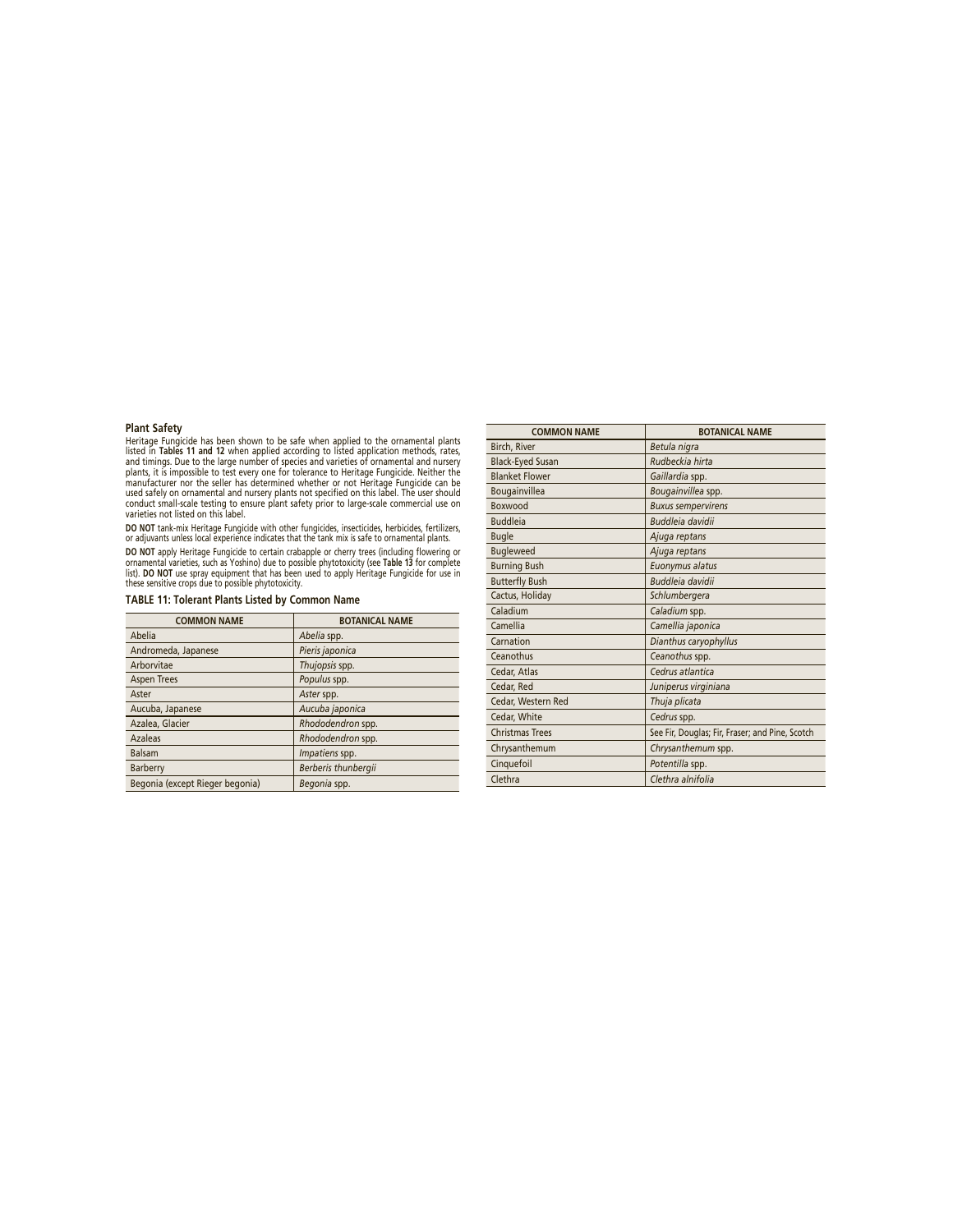# **Plant Safety**

Heritage Fungicide has been shown to be safe when applied to the ornamental plants<br>listed in Tables 11 and 12 when applied according to listed application methods, rates,<br>and timings. Due to the large number of species and

**DO NOT** tank-mix Heritage Fungicide with other fungicides, insecticides, herbicides, fertilizers, or adjuvants unless local experience indicates that the tank mix is safe to ornamental plants. **DO NO**T apply Heritage Fungicide to certain crabapple or cherry trees (including flowering or<br>ornamental varieties, such as Yoshino) due to possible phytotoxicity (see **Table 13** for complete<br>list). **DO NOT** use spray equ

| <b>TABLE 11: Tolerant Plants Listed by Common Name</b> |
|--------------------------------------------------------|
|--------------------------------------------------------|

| <b>COMMON NAME</b>              | <b>BOTANICAL NAME</b> |
|---------------------------------|-----------------------|
| Abelia                          | Abelia spp.           |
| Andromeda, Japanese             | Pieris japonica       |
| Arborvitae                      | Thujopsis spp.        |
| <b>Aspen Trees</b>              | Populus spp.          |
| Aster                           | Aster spp.            |
| Aucuba, Japanese                | Aucuba japonica       |
| Azalea, Glacier                 | Rhododendron spp.     |
| Azaleas                         | Rhododendron spp.     |
| <b>Balsam</b>                   | Impatiens spp.        |
| Barberry                        | Berberis thunbergii   |
| Begonia (except Rieger begonia) | Begonia spp.          |

| <b>COMMON NAME</b>      | <b>BOTANICAL NAME</b>                           |
|-------------------------|-------------------------------------------------|
| Birch, River            | Betula nigra                                    |
| <b>Black-Eyed Susan</b> | Rudbeckia hirta                                 |
| <b>Blanket Flower</b>   | Gaillardia spp.                                 |
| Bougainvillea           | Bougainvillea spp.                              |
| Boxwood                 | <b>Buxus sempervirens</b>                       |
| <b>Buddleia</b>         | Buddleja davidii                                |
| <b>Bugle</b>            | Ajuga reptans                                   |
| <b>Bugleweed</b>        | Ajuga reptans                                   |
| <b>Burning Bush</b>     | Euonymus alatus                                 |
| <b>Butterfly Bush</b>   | <b>Buddleia davidii</b>                         |
| Cactus, Holiday         | Schlumbergera                                   |
| Caladium                | Caladium spp.                                   |
| Camellia                | Camellia japonica                               |
| Carnation               | Dianthus caryophyllus                           |
| Ceanothus               | Ceanothus spp.                                  |
| Cedar, Atlas            | Cedrus atlantica                                |
| Cedar, Red              | Juniperus virginiana                            |
| Cedar, Western Red      | Thuja plicata                                   |
| Cedar, White            | Cedrus spp.                                     |
| Christmas Trees         | See Fir, Douglas; Fir, Fraser; and Pine, Scotch |
| Chrysanthemum           | Chrysanthemum spp.                              |
| Cinquefoil              | Potentilla spp.                                 |
| Clethra                 | Clethra alnifolia                               |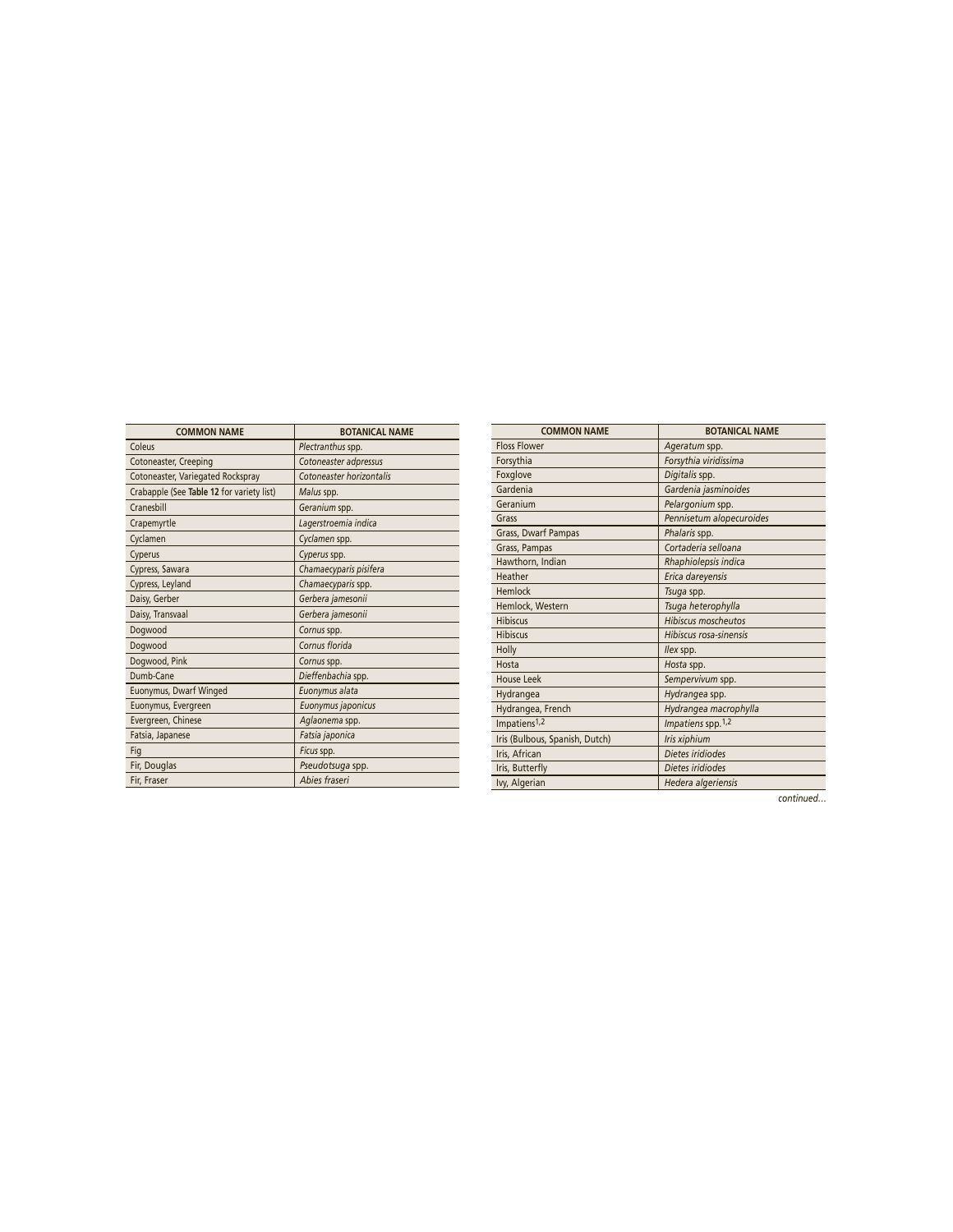| <b>COMMON NAME</b>                        | <b>BOTANICAL NAME</b>    |
|-------------------------------------------|--------------------------|
| Coleus                                    | Plectranthus spp.        |
| Cotoneaster, Creeping                     | Cotoneaster adpressus    |
| Cotoneaster, Variegated Rockspray         | Cotoneaster horizontalis |
| Crabapple (See Table 12 for variety list) | Malus spp.               |
| Cranesbill                                | Geranium spp.            |
| Crapemyrtle                               | Lagerstroemia indica     |
| Cyclamen                                  | Cyclamen spp.            |
| Cyperus                                   | Cyperus spp.             |
| Cypress, Sawara                           | Chamaecyparis pisifera   |
| Cypress, Leyland                          | Chamaecyparis spp.       |
| Daisy, Gerber                             | Gerbera jamesonii        |
| Daisy, Transvaal                          | Gerbera jamesonii        |
| Dogwood                                   | Cornus spp.              |
| Dogwood                                   | Cornus florida           |
| Dogwood, Pink                             | Cornus spp.              |
| Dumb-Cane                                 | Dieffenbachia spp.       |
| Euonymus, Dwarf Winged                    | Euonymus alata           |
| Euonymus, Evergreen                       | Euonymus japonicus       |
| Evergreen, Chinese                        | Aglaonema spp.           |
| Fatsia, Japanese                          | Fatsia japonica          |
| Fig                                       | Ficus spp.               |
| Fir, Douglas                              | Pseudotsuga spp.         |
| Fir, Fraser                               | Abies fraseri            |

| <b>COMMON NAME</b>             | <b>BOTANICAL NAME</b>          |
|--------------------------------|--------------------------------|
| <b>Floss Flower</b>            | Ageratum spp.                  |
| Forsythia                      | Forsythia viridissima          |
| Foxglove                       | Digitalis spp.                 |
| Gardenia                       | Gardenia jasminoides           |
| Geranium                       | Pelargonium spp.               |
| Grass                          | Pennisetum alopecuroides       |
| Grass, Dwarf Pampas            | Phalaris spp.                  |
| Grass, Pampas                  | Cortaderia selloana            |
| Hawthorn, Indian               | Rhaphiolepsis indica           |
| Heather                        | Erica dareyensis               |
| Hemlock                        | Tsuga spp.                     |
| Hemlock, Western               | Tsuga heterophylla             |
| <b>Hibiscus</b>                | <b>Hibiscus moscheutos</b>     |
| <b>Hibiscus</b>                | Hibiscus rosa-sinensis         |
| Holly                          | llex spp.                      |
| Hosta                          | Hosta spp.                     |
| <b>House Leek</b>              | Sempervivum spp.               |
| Hydrangea                      | Hydrangea spp.                 |
| Hydrangea, French              | Hydrangea macrophylla          |
| Impatiens <sup>1,2</sup>       | Impatiens spp. 1,2             |
| Iris (Bulbous, Spanish, Dutch) | Iris xiphium                   |
| Iris, African                  | Dietes iridiodes               |
| Iris, Butterfly                | Dietes iridiodes               |
| Ivy, Algerian                  | Hedera algeriensis             |
|                                | $\mathbf{r}$<br>$\overline{1}$ |

*continued…*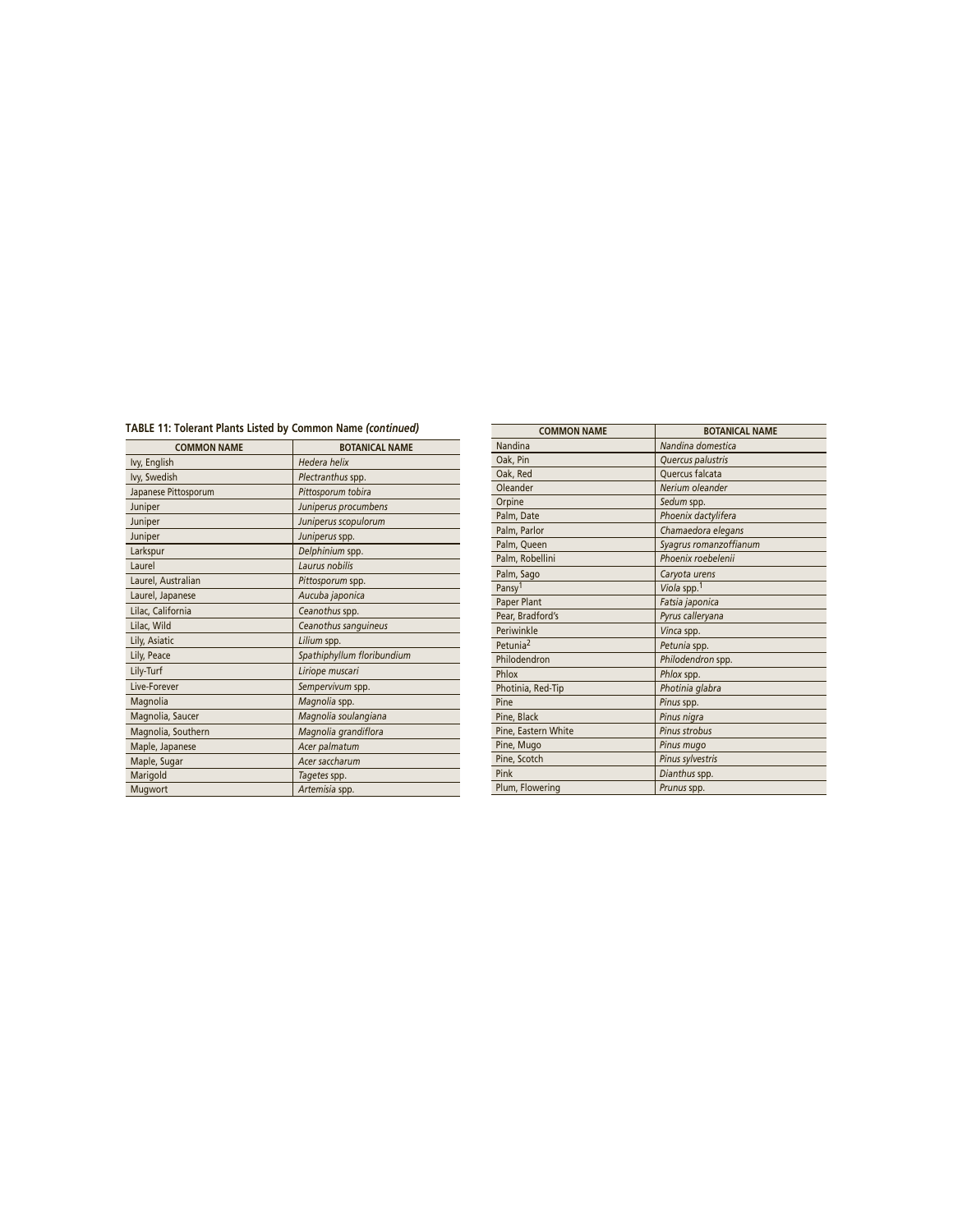# **TABLE 11: Tolerant Plants Listed by Common Name** *(continued)*

| <b>COMMON NAME</b>   | <b>BOTANICAL NAME</b>      |
|----------------------|----------------------------|
| Ivy, English         | Hedera helix               |
| Ivy, Swedish         | Plectranthus spp.          |
| Japanese Pittosporum | Pittosporum tobira         |
| Juniper              | Juniperus procumbens       |
| Juniper              | Juniperus scopulorum       |
| Juniper              | Juniperus spp.             |
| Larkspur             | Delphinium spp.            |
| Laurel               | Laurus nobilis             |
| Laurel, Australian   | Pittosporum spp.           |
| Laurel, Japanese     | Aucuba japonica            |
| Lilac, California    | Ceanothus spp.             |
| Lilac, Wild          | Ceanothus sanguineus       |
| Lily, Asiatic        | Lilium spp.                |
| Lily, Peace          | Spathiphyllum floribundium |
| Lily-Turf            | Liriope muscari            |
| Live-Forever         | Sempervivum spp.           |
| Magnolia             | Magnolia spp.              |
| Magnolia, Saucer     | Magnolia soulangiana       |
| Magnolia, Southern   | Magnolia grandiflora       |
| Maple, Japanese      | Acer palmatum              |
| Maple, Sugar         | Acer saccharum             |
| Marigold             | Tagetes spp.               |
| Mugwort              | Artemisia spp.             |

| <b>COMMON NAME</b>   | <b>BOTANICAL NAME</b>   |
|----------------------|-------------------------|
| Nandina              | Nandina domestica       |
| Oak, Pin             | Quercus palustris       |
| Oak, Red             | Quercus falcata         |
| Oleander             | Nerium oleander         |
| Orpine               | Sedum spp.              |
| Palm, Date           | Phoenix dactylifera     |
| Palm, Parlor         | Chamaedora elegans      |
| Palm, Queen          | Syagrus romanzoffianum  |
| Palm, Robellini      | Phoenix roebelenii      |
| Palm, Sago           | Caryota urens           |
| Pansy <sup>1</sup>   | Viola spp. <sup>1</sup> |
| Paper Plant          | Fatsia japonica         |
| Pear, Bradford's     | Pyrus calleryana        |
| Periwinkle           | Vinca spp.              |
| Petunia <sup>2</sup> | Petunia spp.            |
| Philodendron         | Philodendron spp.       |
| Phlox                | Phlox spp.              |
| Photinia, Red-Tip    | Photinia glabra         |
| Pine                 | Pinus spp.              |
| Pine, Black          | Pinus nigra             |
| Pine, Eastern White  | <b>Pinus strobus</b>    |
| Pine, Mugo           | Pinus mugo              |
| Pine, Scotch         | Pinus sylvestris        |
| Pink                 | Dianthus spp.           |
| Plum, Flowering      | Prunus spp.             |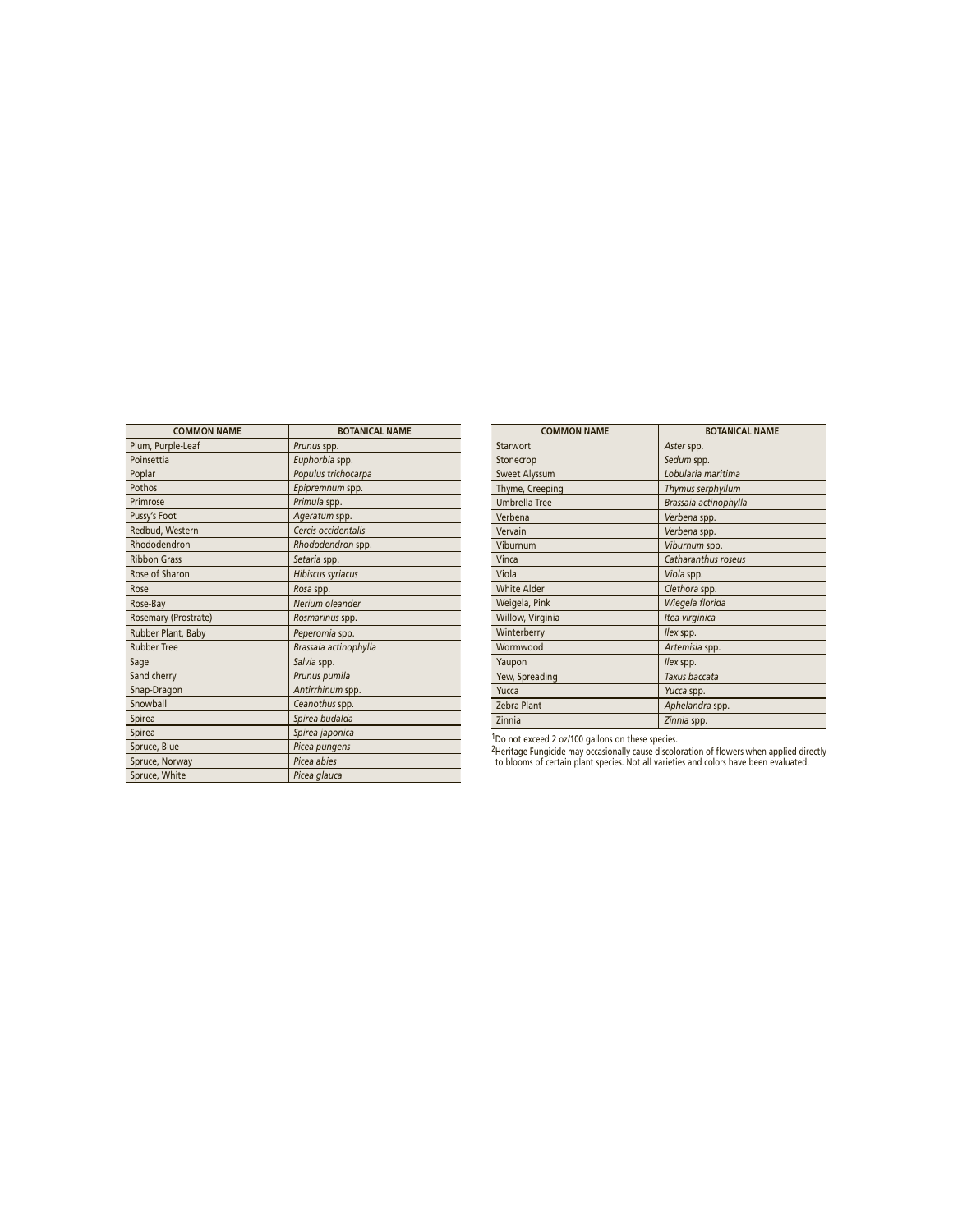| <b>COMMON NAME</b>   | <b>BOTANICAL NAME</b> |
|----------------------|-----------------------|
| Plum, Purple-Leaf    | Prunus spp.           |
| Poinsettia           | Euphorbia spp.        |
| Poplar               | Populus trichocarpa   |
| Pothos               | Epipremnum spp.       |
| Primrose             | Primula spp.          |
| Pussy's Foot         | Ageratum spp.         |
| Redbud, Western      | Cercis occidentalis   |
| Rhododendron         | Rhododendron spp.     |
| <b>Ribbon Grass</b>  | Setaria spp.          |
| Rose of Sharon       | Hibiscus syriacus     |
| Rose                 | Rosa spp.             |
| Rose-Bay             | Nerium oleander       |
| Rosemary (Prostrate) | Rosmarinus spp.       |
| Rubber Plant, Baby   | Peperomia spp.        |
| <b>Rubber Tree</b>   | Brassaia actinophylla |
| Sage                 | Salvia spp.           |
| Sand cherry          | Prunus pumila         |
| Snap-Dragon          | Antirrhinum spp.      |
| Snowball             | Ceanothus spp.        |
| Spirea               | Spirea budalda        |
| Spirea               | Spirea japonica       |
| Spruce, Blue         | Picea pungens         |
| Spruce, Norway       | Picea abies           |
| Spruce, White        | Picea glauca          |

| <b>COMMON NAME</b>   | <b>BOTANICAL NAME</b> |
|----------------------|-----------------------|
| Starwort             | Aster spp.            |
| Stonecrop            | Sedum spp.            |
| Sweet Alyssum        | Lobularia maritima    |
| Thyme, Creeping      | Thymus serphyllum     |
| <b>Umbrella Tree</b> | Brassaia actinophylla |
| Verbena              | Verbena spp.          |
| Vervain              | Verbena spp.          |
| Viburnum             | Viburnum spp.         |
| Vinca                | Catharanthus roseus   |
| Viola                | Viola spp.            |
| <b>White Alder</b>   | Clethora spp.         |
| Weigela, Pink        | Wiegela florida       |
| Willow, Virginia     | Itea virginica        |
| Winterberry          | llex spp.             |
| Wormwood             | Artemisia spp.        |
| Yaupon               | llex spp.             |
| Yew, Spreading       | Taxus baccata         |
| Yucca                | Yucca spp.            |
| Zebra Plant          | Aphelandra spp.       |
| Zinnia               | Zinnia spp.           |

<sup>1</sup>Do not exceed 2 oz/100 gallons on these species.

2Heritage Fungicide may occasionally cause discoloration of flowers when applied directly to blooms of certain plant species. Not all varieties and colors have been evaluated.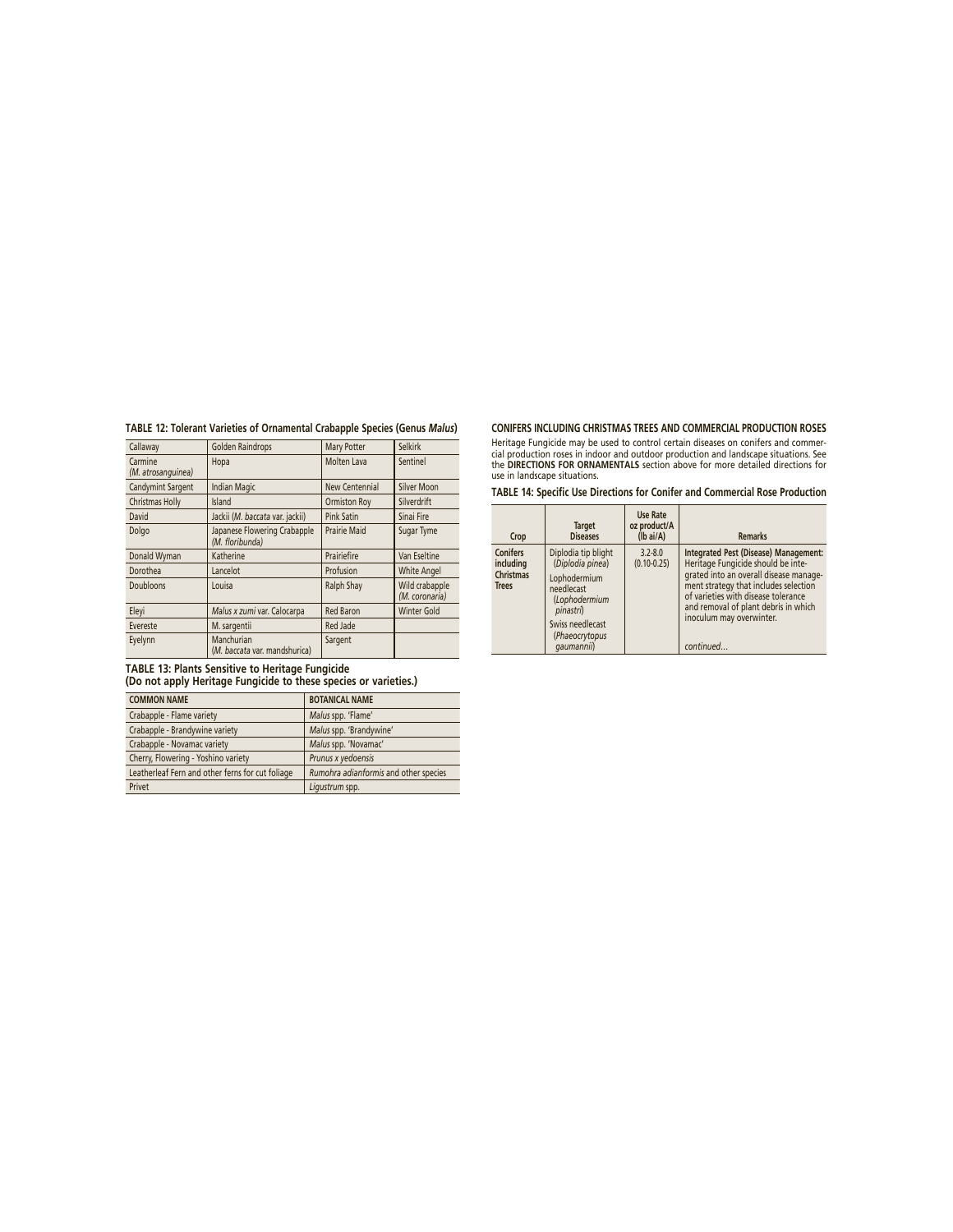|  | TABLE 12: Tolerant Varieties of Ornamental Crabapple Species (Genus Malus) |
|--|----------------------------------------------------------------------------|

| Callaway                      | <b>Golden Raindrops</b>                         | Mary Potter         | <b>Selkirk</b>                   |
|-------------------------------|-------------------------------------------------|---------------------|----------------------------------|
| Carmine<br>(M. atrosanguinea) | Hopa                                            | Molten Lava         | Sentinel                         |
| Candymint Sargent             | <b>Indian Magic</b>                             | New Centennial      | Silver Moon                      |
| Christmas Holly               | Island                                          | Ormiston Roy        | Silverdrift                      |
| David                         | Jackii (M. baccata var. jackii)                 | <b>Pink Satin</b>   | Sinai Fire                       |
| Dolgo                         | Japanese Flowering Crabapple<br>(M. floribunda) | <b>Prairie Maid</b> | Sugar Tyme                       |
| Donald Wyman                  | Katherine                                       | Prairiefire         | Van Eseltine                     |
| Dorothea                      | Lancelot                                        | Profusion           | <b>White Angel</b>               |
| Doubloons                     | Louisa                                          | Ralph Shay          | Wild crabapple<br>(M. coronaria) |
| Eleyi                         | Malus x zumi var. Calocarpa                     | <b>Red Baron</b>    | <b>Winter Gold</b>               |
| Evereste                      | M. sargentii                                    | Red Jade            |                                  |
| Eyelynn                       | Manchurian<br>(M. baccata var. mandshurica)     | Sargent             |                                  |

**TABLE 13: Plants Sensitive to Heritage Fungicide**

**(Do not apply Heritage Fungicide to these species or varieties.)**

| <b>COMMON NAME</b>                               | <b>BOTANICAL NAME</b>                 |
|--------------------------------------------------|---------------------------------------|
| Crabapple - Flame variety                        | Malus spp. 'Flame'                    |
| Crabapple - Brandywine variety                   | Malus spp. 'Brandywine'               |
| Crabapple - Novamac variety                      | Malus spp. 'Novamac'                  |
| Cherry, Flowering - Yoshino variety              | Prunus x yedoensis                    |
| Leatherleaf Fern and other ferns for cut foliage | Rumohra adianformis and other species |
| Privet                                           | Ligustrum spp.                        |

# **CONIFERS INCLUDING CHRISTMAS TREES AND COMMERCIAL PRODUCTION ROSES**

Heritage Fungicide may be used to control certain diseases on conifers and commer-<br>cial production roses in indoor and outdoor production and landscape situations. See<br>the **DIRECTIONS FOR ORNAMENTALS** section above for mor

**TABLE 14: Specific Use Directions for Conifer and Commercial Rose Production**

| Crop                                                             | <b>Target</b><br><b>Diseases</b>                                                                                                                        | <b>Use Rate</b><br>oz product/A<br>$(lb\text{ ai/A})$ | <b>Remarks</b>                                                                                                                                                                                                                                                                         |
|------------------------------------------------------------------|---------------------------------------------------------------------------------------------------------------------------------------------------------|-------------------------------------------------------|----------------------------------------------------------------------------------------------------------------------------------------------------------------------------------------------------------------------------------------------------------------------------------------|
| <b>Conifers</b><br>including<br><b>Christmas</b><br><b>Trees</b> | Diplodia tip blight<br>(Diplodia pinea)<br>Lophodermium<br>needlecast<br>(Lophodermium<br>pinastri)<br>Swiss needlecast<br>(Phaeocrytopus<br>qaumannii) | $3.2 - 8.0$<br>$(0.10 - 0.25)$                        | Integrated Pest (Disease) Management:<br>Heritage Fungicide should be inte-<br>grated into an overall disease manage-<br>ment strategy that includes selection<br>of varieties with disease tolerance<br>and removal of plant debris in which<br>inoculum may overwinter.<br>continued |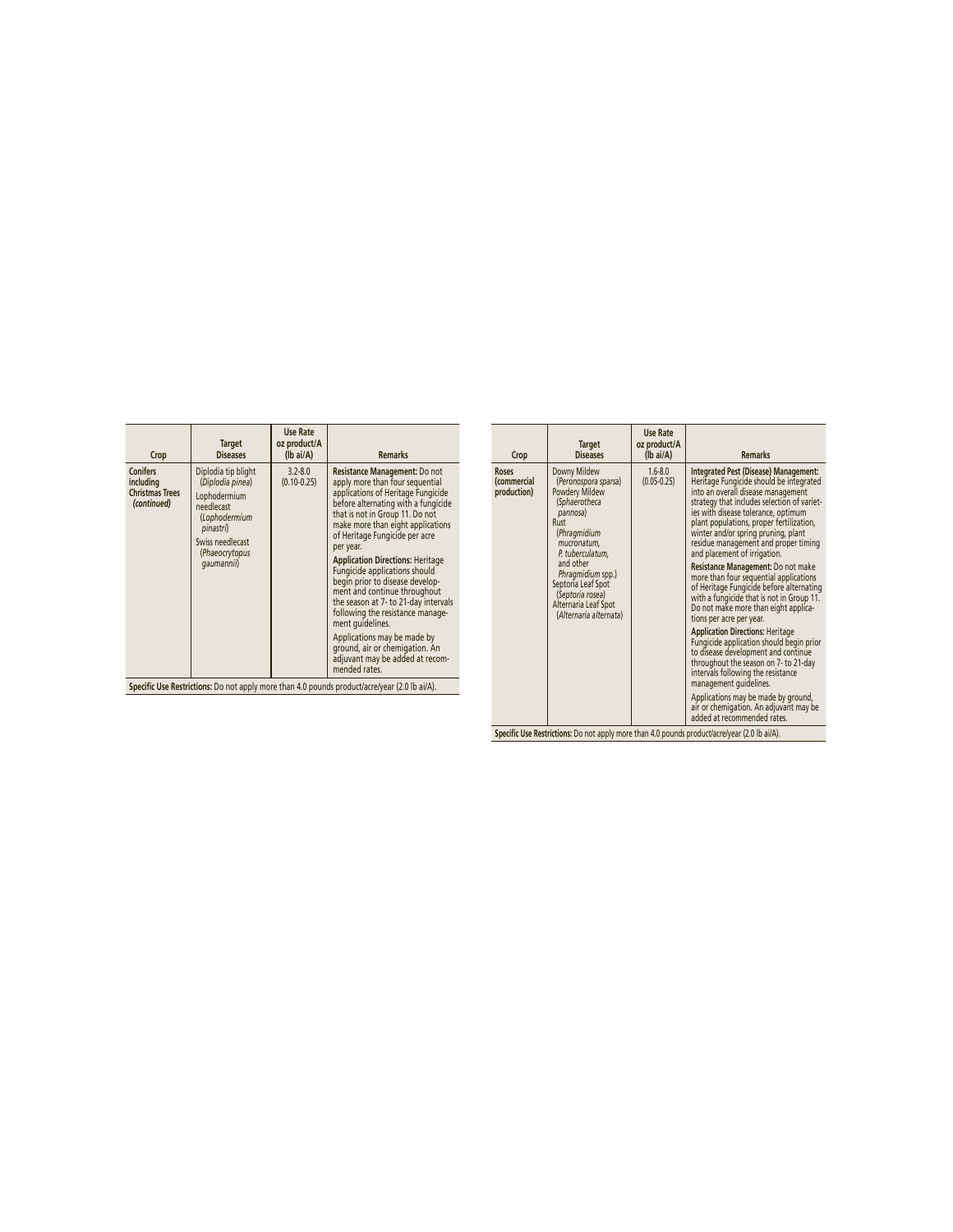| Crop                                                                                          | <b>Target</b><br><b>Diseases</b>                                                                                                                        | <b>Use Rate</b><br>oz product/A<br>$(lb\text{ ai/A})$ | <b>Remarks</b>                                                                                                                                                                                                                                                                                                                                                                                                                                                                                                                                                                                                                           |  |
|-----------------------------------------------------------------------------------------------|---------------------------------------------------------------------------------------------------------------------------------------------------------|-------------------------------------------------------|------------------------------------------------------------------------------------------------------------------------------------------------------------------------------------------------------------------------------------------------------------------------------------------------------------------------------------------------------------------------------------------------------------------------------------------------------------------------------------------------------------------------------------------------------------------------------------------------------------------------------------------|--|
| <b>Conifers</b><br>including<br><b>Christmas Trees</b><br>(continued)                         | Diplodia tip blight<br>(Diplodia pinea)<br>Lophodermium<br>needlecast<br>(Lophodermium<br>pinastri)<br>Swiss needlecast<br>(Phaeocrytopus<br>qaumannii) | $3.2 - 8.0$<br>$(0.10 - 0.25)$                        | Resistance Management: Do not<br>apply more than four sequential<br>applications of Heritage Fungicide<br>before alternating with a fungicide<br>that is not in Group 11. Do not<br>make more than eight applications<br>of Heritage Fungicide per acre<br>per year.<br><b>Application Directions: Heritage</b><br>Fungicide applications should<br>begin prior to disease develop-<br>ment and continue throughout<br>the season at 7- to 21-day intervals<br>following the resistance manage-<br>ment quidelines.<br>Applications may be made by<br>ground, air or chemigation. An<br>adjuvant may be added at recom-<br>mended rates. |  |
| Specific Use Restrictions: Do not apply more than 4.0 pounds product/acre/year (2.0 lb ai/A). |                                                                                                                                                         |                                                       |                                                                                                                                                                                                                                                                                                                                                                                                                                                                                                                                                                                                                                          |  |

| Crop                                       | <b>Target</b><br><b>Diseases</b>                                                                                                                            | <b>Use Rate</b><br>oz product/A<br>$(Ib\text{ ai/A})$ | <b>Remarks</b>                                                                                                                                                                                                                                                                                                                                                          |
|--------------------------------------------|-------------------------------------------------------------------------------------------------------------------------------------------------------------|-------------------------------------------------------|-------------------------------------------------------------------------------------------------------------------------------------------------------------------------------------------------------------------------------------------------------------------------------------------------------------------------------------------------------------------------|
| <b>Roses</b><br>(commercial<br>production) | Downy Mildew<br>(Peronospora sparsa)<br>Powdery Mildew<br>(Sphaerotheca<br>pannosa)<br>Rust<br>(Phragmidium<br>mucronatum,<br>P. tuberculatum,<br>and other | $1.6 - 8.0$<br>$(0.05 - 0.25)$                        | Integrated Pest (Disease) Management:<br>Heritage Fungicide should be integrated<br>into an overall disease management<br>strategy that includes selection of variet-<br>ies with disease tolerance, optimum<br>plant populations, proper fertilization,<br>winter and/or spring pruning, plant<br>residue management and proper timing<br>and placement of irrigation. |
|                                            | Phragmidium spp.)<br>Septoria Leaf Spot<br>(Septoria rosea)<br>Alternaria Leaf Spot<br>(Alternaria alternata)                                               |                                                       | Resistance Management: Do not make<br>more than four sequential applications<br>of Heritage Fungicide before alternating<br>with a fungicide that is not in Group 11.<br>Do not make more than eight applica-<br>tions per acre per year.                                                                                                                               |
|                                            |                                                                                                                                                             |                                                       | <b>Application Directions: Heritage</b><br>Fungicide application should begin prior<br>to disease development and continue<br>throughout the season on 7- to 21-day<br>intervals following the resistance<br>management quidelines.                                                                                                                                     |
|                                            |                                                                                                                                                             |                                                       | Applications may be made by ground,<br>air or chemigation. An adjuvant may be<br>added at recommended rates.                                                                                                                                                                                                                                                            |

Specific Use Restrictions: Do not apply more than 4.0 pounds product/acre/year (2.0 lb ai/A).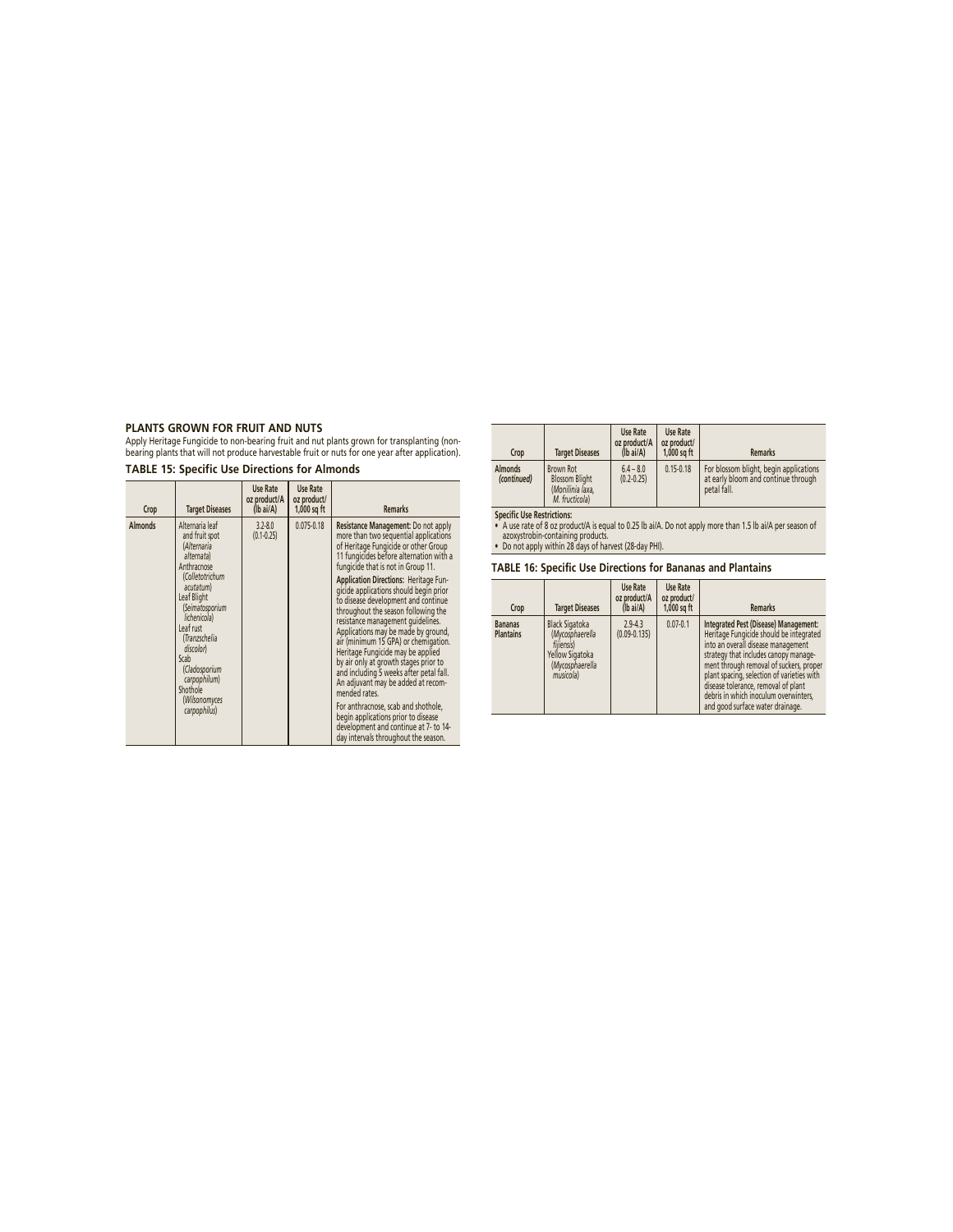**PLANTS GROWN FOR FRUIT AND NUTS**<br>Apply Heritage Fungicide to non-bearing fruit and nut plants grown for transplanting (non-<br>bearing plants that will not produce harvestable fruit or nuts for one year after application).

**TABLE 15: Specific Use Directions for Almonds**

| Crop           | <b>Target Diseases</b>                                                                                                                                                                                          | Use Rate<br>oz product/A<br>$(lb\text{ ai/A})$ | <b>Use Rate</b><br>oz product/<br>$1,000$ sq ft | <b>Remarks</b>                                                                                                                                                                                                                                                                                                                                                                                                                                                                                                                                                                                                                   |
|----------------|-----------------------------------------------------------------------------------------------------------------------------------------------------------------------------------------------------------------|------------------------------------------------|-------------------------------------------------|----------------------------------------------------------------------------------------------------------------------------------------------------------------------------------------------------------------------------------------------------------------------------------------------------------------------------------------------------------------------------------------------------------------------------------------------------------------------------------------------------------------------------------------------------------------------------------------------------------------------------------|
| <b>Almonds</b> | Alternaria leaf<br>$3.2 - 8.0$<br>and fruit spot<br>$(0.1 - 0.25)$<br>(Alternaria<br>alternata)<br>Anthracnose                                                                                                  |                                                | $0.075 - 0.18$                                  | Resistance Management: Do not apply<br>more than two sequential applications<br>of Heritage Fungicide or other Group<br>11 fungicides before alternation with a<br>fungicide that is not in Group 11.                                                                                                                                                                                                                                                                                                                                                                                                                            |
|                | (Colletotrichum<br>acutatum)<br>Leaf Blight<br>(Seimatosporium<br>lichenicola)<br>Leaf rust<br>(Tranzschelia<br>discolor)<br>Scab<br>(Cladosporium<br>carpophilum)<br>Shothole<br>(Wilsonomyces<br>carpophilus) |                                                |                                                 | Application Directions: Heritage Fun-<br>gicide applications should begin prior<br>to disease development and continue<br>throughout the season following the<br>resistance management quidelines.<br>Applications may be made by ground,<br>air (minimum 15 GPA) or chemigation.<br>Heritage Fungicide may be applied<br>by air only at growth stages prior to<br>and including 5 weeks after petal fall.<br>An adjuvant may be added at recom-<br>mended rates.<br>For anthracnose, scab and shothole,<br>begin applications prior to disease<br>development and continue at 7- to 14-<br>day intervals throughout the season. |

| Crop                          | <b>Target Diseases</b>                                                   | <b>Use Rate</b><br>oz product/A<br>$(Ib\text{ ai/A})$ | <b>Use Rate</b><br>oz product/<br>$1,000$ sq ft | <b>Remarks</b>                                                                               |
|-------------------------------|--------------------------------------------------------------------------|-------------------------------------------------------|-------------------------------------------------|----------------------------------------------------------------------------------------------|
| <b>Almonds</b><br>(continued) | Brown Rot<br><b>Blossom Blight</b><br>(Monilinia laxa.<br>M. fructicola) | $6.4 - 8.0$<br>$(0.2 - 0.25)$                         | $0.15 - 0.18$                                   | For blossom blight, begin applications<br>at early bloom and continue through<br>petal fall. |

Specific Use Restrictions:<br>• A use rate of 8 oz product/A is equal to 0.25 lb ai/A. Do not apply more than 1.5 lb ai/A per season of<br>• azoxystrobin-containing products.<br>• Do not apply within 28 days of harvest (28-day PHI)

**TABLE 16: Specific Use Directions for Bananas and Plantains**

| Crop                               | <b>Target Diseases</b>                                                                                    | <b>Use Rate</b><br>oz product/A<br>$(Ib\text{ ai/A})$ | <b>Use Rate</b><br>oz product/<br>$1,000$ sq ft | <b>Remarks</b>                                                                                                                                                                                                                                                                                                                                                               |
|------------------------------------|-----------------------------------------------------------------------------------------------------------|-------------------------------------------------------|-------------------------------------------------|------------------------------------------------------------------------------------------------------------------------------------------------------------------------------------------------------------------------------------------------------------------------------------------------------------------------------------------------------------------------------|
| <b>Bananas</b><br><b>Plantains</b> | <b>Black Sigatoka</b><br>(Mycosphaerella<br>fiiiensis)<br>Yellow Sigatoka<br>(Mycosphaerella<br>musicola) | $2.9 - 4.3$<br>$(0.09 - 0.135)$                       | $0.07 - 0.1$                                    | Integrated Pest (Disease) Management:<br>Heritage Fungicide should be integrated<br>into an overall disease management<br>strategy that includes canopy manage-<br>ment through removal of suckers, proper<br>plant spacing, selection of varieties with<br>disease tolerance, removal of plant<br>debris in which inoculum overwinters.<br>and good surface water drainage. |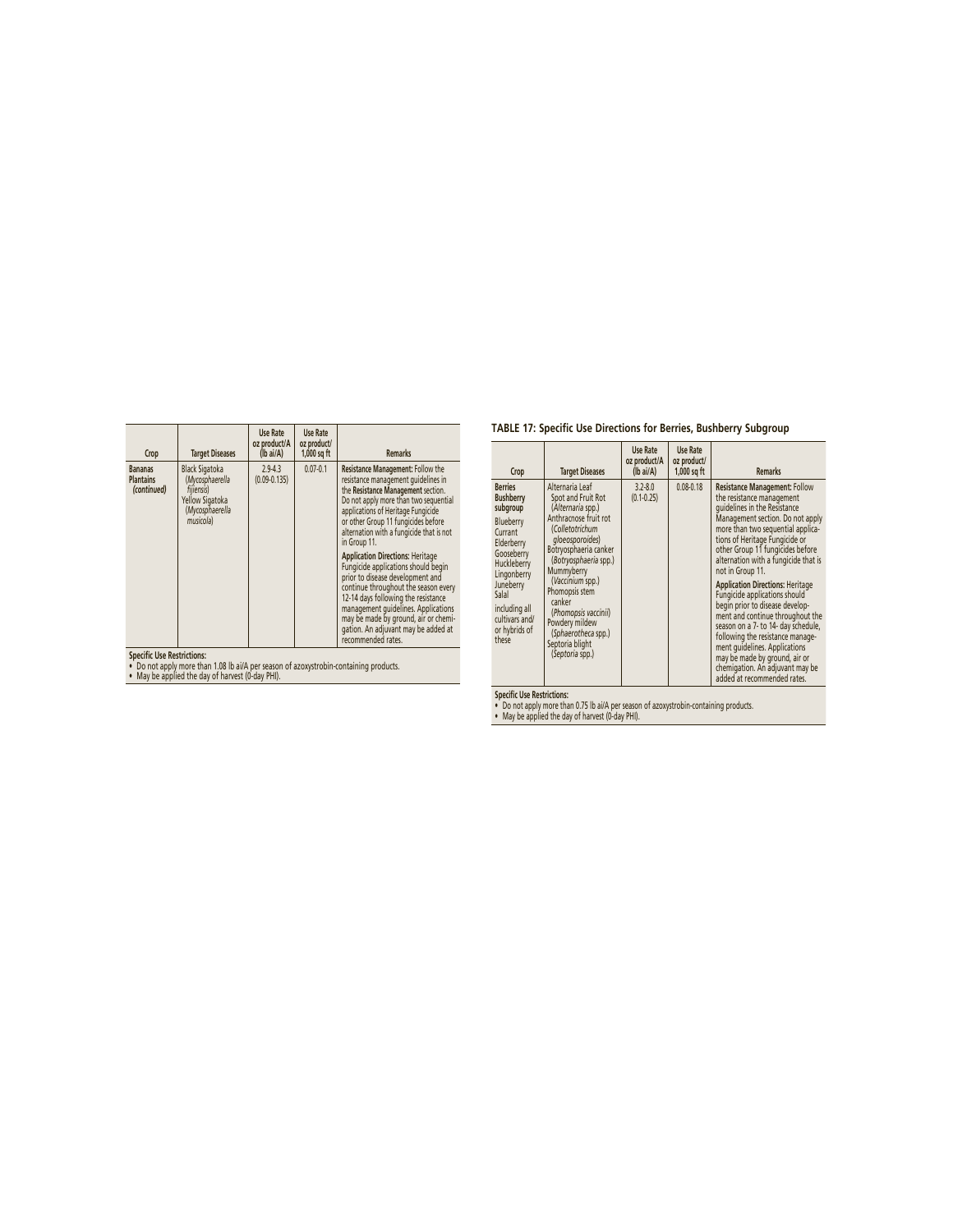| Crop                                              | <b>Target Diseases</b>                                                                                    | <b>Use Rate</b><br>oz product/A<br>(lb ai/A) | Use Rate<br>oz product/<br>$1,000$ sq ft | <b>Remarks</b>                                                                                                                                                                                                                                                                                                                                                                                                                                                                                                                                                                                                                                    |
|---------------------------------------------------|-----------------------------------------------------------------------------------------------------------|----------------------------------------------|------------------------------------------|---------------------------------------------------------------------------------------------------------------------------------------------------------------------------------------------------------------------------------------------------------------------------------------------------------------------------------------------------------------------------------------------------------------------------------------------------------------------------------------------------------------------------------------------------------------------------------------------------------------------------------------------------|
| <b>Bananas</b><br><b>Plantains</b><br>(continued) | <b>Black Sigatoka</b><br>(Mycosphaerella<br>fiiiensis)<br>Yellow Sigatoka<br>(Mycosphaerella<br>musicola) | $2.9 - 4.3$<br>$(0.09 - 0.135)$              | $0.07 - 0.1$                             | Resistance Management: Follow the<br>resistance management quidelines in<br>the Resistance Management section.<br>Do not apply more than two sequential<br>applications of Heritage Fungicide<br>or other Group 11 fungicides before<br>alternation with a fungicide that is not<br>in Group 11.<br><b>Application Directions: Heritage</b><br>Fungicide applications should begin<br>prior to disease development and<br>continue throughout the season every<br>12-14 days following the resistance<br>management quidelines. Applications<br>may be made by ground, air or chemi-<br>gation. An adjuvant may be added at<br>recommended rates. |
| <b>Cnacific Llsg Restrictions:</b>                |                                                                                                           |                                              |                                          |                                                                                                                                                                                                                                                                                                                                                                                                                                                                                                                                                                                                                                                   |

**Specifi c Use Restrictions:** • Do not apply more than 1.08 lb ai/A per season of azoxystrobin-containing products. • May be applied the day of harvest (0-day PHI).

# **TABLE 17: Specific Use Directions for Berries, Bushberry Subgroup**

| Crop                                                                                                                                                                                                                | <b>Target Diseases</b>                                                                                                                                                                                                                                                                                                                           | Use Rate<br>oz product/A<br>$(lb\text{ ai/A})$ | Use Rate<br>oz product/<br>$1,000$ sq ft | <b>Remarks</b>                                                                                                                                                                                                                                                                                                                                                                                                                                                                                                                                                                                                                                                                 |
|---------------------------------------------------------------------------------------------------------------------------------------------------------------------------------------------------------------------|--------------------------------------------------------------------------------------------------------------------------------------------------------------------------------------------------------------------------------------------------------------------------------------------------------------------------------------------------|------------------------------------------------|------------------------------------------|--------------------------------------------------------------------------------------------------------------------------------------------------------------------------------------------------------------------------------------------------------------------------------------------------------------------------------------------------------------------------------------------------------------------------------------------------------------------------------------------------------------------------------------------------------------------------------------------------------------------------------------------------------------------------------|
| <b>Berries</b><br><b>Bushberry</b><br>subgroup<br>Blueberry<br>Currant<br>Elderberry<br>Gooseberry<br>Huckleberry<br>Lingonberry<br>Juneberry<br>Salal<br>including all<br>cultivars and/<br>or hybrids of<br>these | Alternaria Leaf<br>Spot and Fruit Rot<br>(Alternaria spp.)<br>Anthracnose fruit rot<br>(Colletotrichum<br>gloeosporoides)<br>Botryosphaeria canker<br>(Botryosphaeria spp.)<br>Mummyberry<br>(Vaccinium spp.)<br>Phomopsis stem<br>canker<br>(Phomopsis vaccinii)<br>Powdery mildew<br>(Sphaerotheca spp.)<br>Septoria blight<br>(Septoria spp.) | $3.2 - 8.0$<br>$(0.1 - 0.25)$                  | $0.08 - 0.18$                            | <b>Resistance Management: Follow</b><br>the resistance management<br>quidelines in the Resistance<br>Management section. Do not apply<br>more than two sequential applica-<br>tions of Heritage Fungicide or<br>other Group 11 fungicides before<br>alternation with a fungicide that is<br>not in Group 11.<br><b>Application Directions: Heritage</b><br>Fungicide applications should<br>begin prior to disease develop-<br>ment and continue throughout the<br>season on a 7- to 14- day schedule,<br>following the resistance manage-<br>ment quidelines. Applications<br>may be made by ground, air or<br>chemigation. An adjuvant may be<br>added at recommended rates. |

**Specifi c Use Restrictions:** • Do not apply more than 0.75 lb ai/A per season of azoxystrobin-containing products. • May be applied the day of harvest (0-day PHI).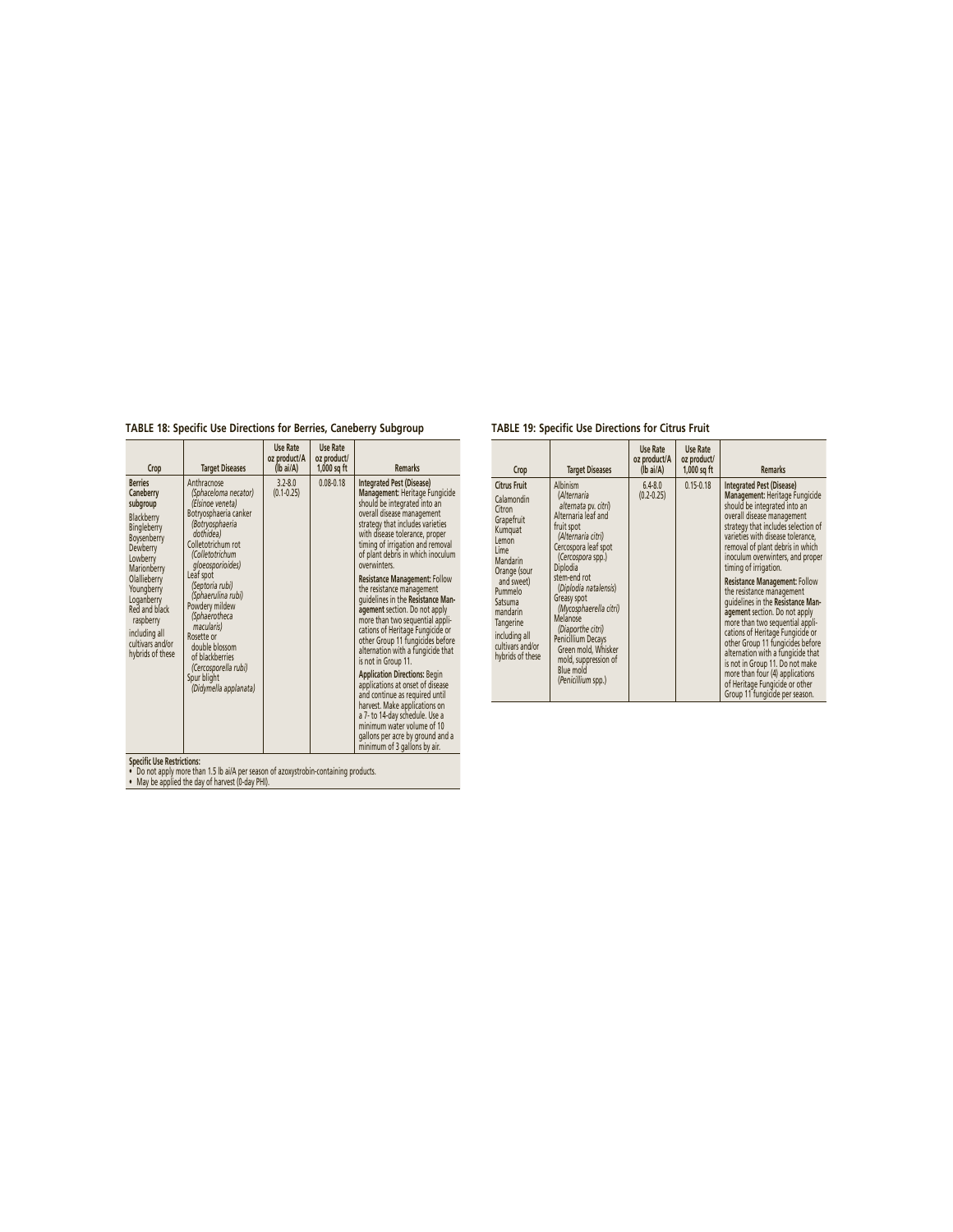**TABLE 18: Specific Use Directions for Berries, Caneberry Subgroup**

#### **Crop Target Diseases Use Rate oz product/A (lb ai/A) Use Rate oz product/ 1,000 sq ft Remarks Berries Caneberry subgroup** Blackberry Bingleberry Boysenberry Dewberry Lowberry Marionberry **Olallieberry** Youngberry Loganberry Red and black raspberry including all cultivars and/or hybrids of these Anthracnose *(Sphaceloma necator) (Elsinoe veneta)* Botryosphaeria canker *(Botryosphaeria dothidea)* Colletotrichum rot *(Colletotrichum gloeosporioides)* Leaf spot *(Septoria rubi) (Sphaerulina rubi)* Powdery mildew *(Sphaerotheca macularis)* Rosette or double blossom of blackberries *(Cercosporella rubi)* Spur blight *(Didymella applanata)* 3.2-8.0  $(0.1 - 0.25)$ Integrated Press (Usease)<br>
Management Heritage Fungicide<br>
should be integrated into an<br>
overall disasse management<br>
strategy that includes varieties<br>
with disasse tolerance, proper<br>
timing of irrigation and removal<br>
of pla overwinters. resistance management rounou<br>the resistance management<br>guidelines in the Resistance Management section. Do not apply<br>agement section. Do not apply<br>rations of Heritage Fungicide or<br>alternation with a fungicide that<br>alternat **Application Directions:** Begin Applications at onset of disease<br>and continue as required until and continue as required until harvest. Make applications on a 7- to 14-day schedule. Use a minimum water volume of 10 gallons per acre by ground and a minimum of 3 gallons by air.

# **TABLE 19: Specific Use Directions for Citrus Fruit**

| Crop                                                                                                                                                                                                                                           | <b>Target Diseases</b>                                                                                                                                                                                                                                                                                                                                                                         | Use Rate<br>oz product/A<br>$(Ib\text{ ai/A})$ | Use Rate<br>oz product/<br>$1,000$ sq ft | <b>Remarks</b>                                                                                                                                                                                                                                                                                                                                                                                                                                                                                                                                                                                                                                                                                                                                     |
|------------------------------------------------------------------------------------------------------------------------------------------------------------------------------------------------------------------------------------------------|------------------------------------------------------------------------------------------------------------------------------------------------------------------------------------------------------------------------------------------------------------------------------------------------------------------------------------------------------------------------------------------------|------------------------------------------------|------------------------------------------|----------------------------------------------------------------------------------------------------------------------------------------------------------------------------------------------------------------------------------------------------------------------------------------------------------------------------------------------------------------------------------------------------------------------------------------------------------------------------------------------------------------------------------------------------------------------------------------------------------------------------------------------------------------------------------------------------------------------------------------------------|
| <b>Citrus Fruit</b><br>Calamondin<br>Citron<br>Grapefruit<br>Kumquat<br>Lemon<br>Lime<br>Mandarin<br>Orange (sour<br>and sweet)<br>Pummelo<br>Satsuma<br>mandarin<br><b>Tangerine</b><br>including all<br>cultivars and/or<br>hybrids of these | Albinism<br>(Alternaria<br>alternata pv. citri)<br>Alternaria leaf and<br>fruit spot<br>(Alternaria citri)<br>Cercospora leaf spot<br>(Cercospora spp.)<br>Diplodia<br>stem-end rot<br>(Diplodia natalensis)<br>Greasy spot<br>(Mycosphaerella citri)<br>Melanose<br>(Diaporthe citri)<br>Penicillium Decays<br>Green mold. Whisker<br>mold, suppression of<br>Blue mold<br>(Penicillium spp.) | $6.4 - 8.0$<br>$(0.2 - 0.25)$                  | $0.15 - 0.18$                            | <b>Integrated Pest (Disease)</b><br>Management: Heritage Fungicide<br>should be integrated into an<br>overall disease management<br>strategy that includes selection of<br>varieties with disease tolerance.<br>removal of plant debris in which<br>inoculum overwinters, and proper<br>timing of irrigation.<br><b>Resistance Management: Follow</b><br>the resistance management<br>quidelines in the Resistance Man-<br>agement section. Do not apply<br>more than two sequential appli-<br>cations of Heritage Fungicide or<br>other Group 11 fungicides before<br>alternation with a fungicide that<br>is not in Group 11. Do not make<br>more than four (4) applications<br>of Heritage Fungicide or other<br>Group 11 fungicide per season. |

**Specifi c Use Restrictions:** • Do not apply more than 1.5 lb ai/A per season of azoxystrobin-containing products. • May be applied the day of harvest (0-day PHI).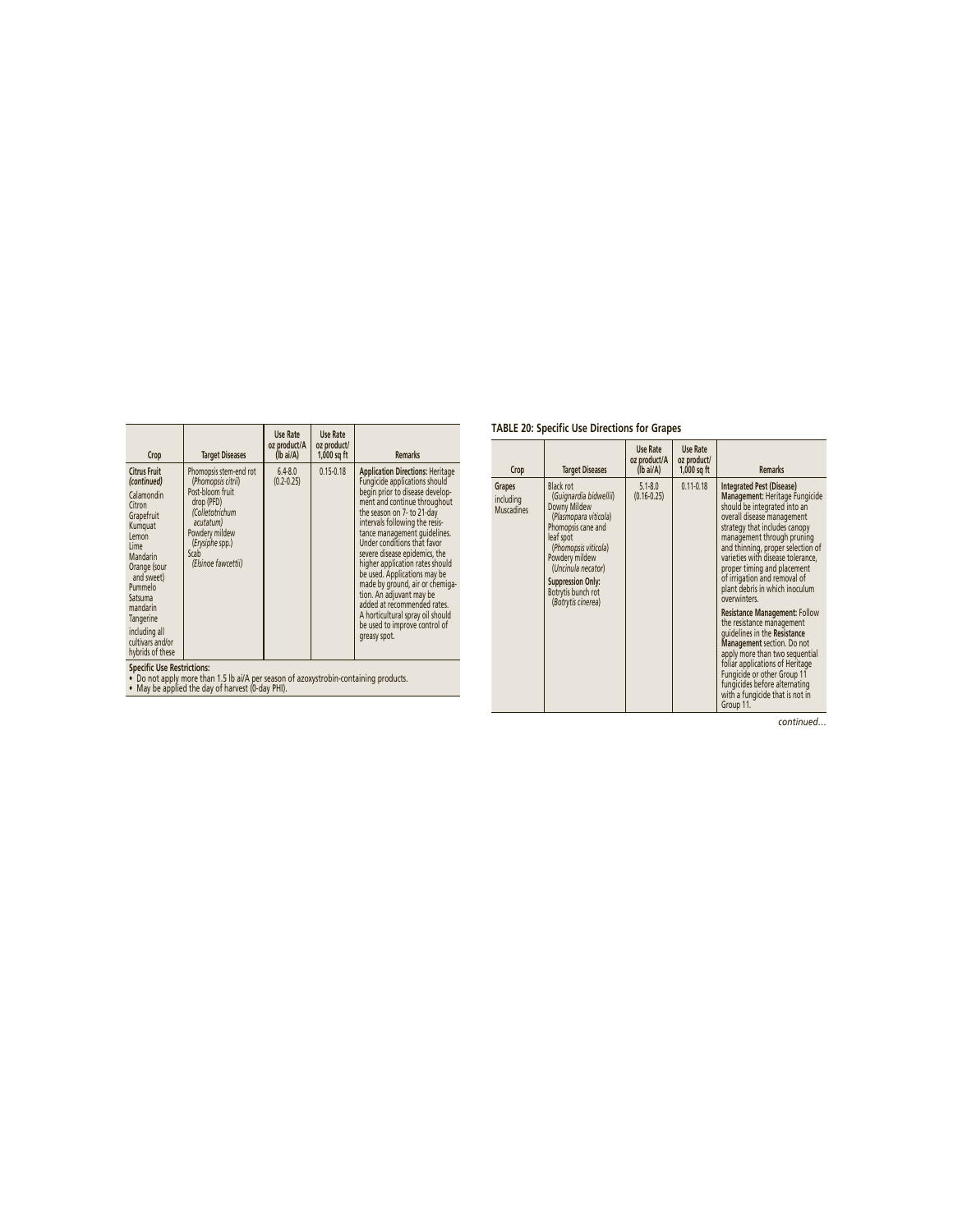| Crop                                                                                                                                                                                                                                                   | <b>Target Diseases</b>                                                                                                                                                             | Use Rate<br>oz product/A<br>$(Ib\text{ ai/A})$ | Use Rate<br>oz product/<br>$1,000$ sq ft | <b>Remarks</b>                                                                                                                                                                                                                                                                                                                                                                                                                                                                                                                                                    |
|--------------------------------------------------------------------------------------------------------------------------------------------------------------------------------------------------------------------------------------------------------|------------------------------------------------------------------------------------------------------------------------------------------------------------------------------------|------------------------------------------------|------------------------------------------|-------------------------------------------------------------------------------------------------------------------------------------------------------------------------------------------------------------------------------------------------------------------------------------------------------------------------------------------------------------------------------------------------------------------------------------------------------------------------------------------------------------------------------------------------------------------|
| <b>Citrus Fruit</b><br>(continued)<br>Calamondin<br>Citron<br>Grapefruit<br>Kumquat<br>Lemon<br>Lime<br>Mandarin<br>Orange (sour<br>and sweet)<br>Pummelo<br>Satsuma<br>mandarin<br>Tangerine<br>including all<br>cultivars and/or<br>hybrids of these | Phomopsis stem-end rot<br>(Phomopsis citrii)<br>Post-bloom fruit<br>drop (PFD)<br>(Colletotrichum<br>acutatum)<br>Powdery mildew<br>(Erysiphe spp.)<br>Scab<br>(Elsinoe fawcettii) | $6.4 - 8.0$<br>$(0.2 - 0.25)$                  | $0.15 - 0.18$                            | <b>Application Directions: Heritage</b><br>Fungicide applications should<br>begin prior to disease develop-<br>ment and continue throughout<br>the season on 7- to 21-day<br>intervals following the resis-<br>tance management quidelines.<br>Under conditions that favor<br>severe disease epidemics, the<br>higher application rates should<br>be used. Applications may be<br>made by ground, air or chemiga-<br>tion. An adjuvant may be<br>added at recommended rates.<br>A horticultural spray oil should<br>be used to improve control of<br>greasy spot. |
| <b>Spacific Llsg Restrictions:</b>                                                                                                                                                                                                                     |                                                                                                                                                                                    |                                                |                                          |                                                                                                                                                                                                                                                                                                                                                                                                                                                                                                                                                                   |

**Specifi c Use Restrictions:** • Do not apply more than 1.5 lb ai/A per season of azoxystrobin-containing products. • May be applied the day of harvest (0-day PHI).

# **TABLE 20: Specific Use Directions for Grapes**

| Crop                                     | <b>Target Diseases</b>                                                                                                                                                                                                                                  | Use Rate<br>oz product/A<br>(lb ai/A) | Use Rate<br>oz product/<br>$1,000$ sq ft | <b>Remarks</b>                                                                                                                                                                                                                                                                                                                                                                                                                                                                                                                                                                                                                                                                                                     |
|------------------------------------------|---------------------------------------------------------------------------------------------------------------------------------------------------------------------------------------------------------------------------------------------------------|---------------------------------------|------------------------------------------|--------------------------------------------------------------------------------------------------------------------------------------------------------------------------------------------------------------------------------------------------------------------------------------------------------------------------------------------------------------------------------------------------------------------------------------------------------------------------------------------------------------------------------------------------------------------------------------------------------------------------------------------------------------------------------------------------------------------|
| Grapes<br>including<br><b>Muscadines</b> | Black rot<br>(Guignardia bidwellii)<br>Downy Mildew<br>(Plasmopara viticola)<br>Phomopsis cane and<br>leaf spot<br>(Phomopsis viticola)<br>Powdery mildew<br>(Uncinula necator)<br><b>Suppression Only:</b><br>Botrytis bunch rot<br>(Botrytis cinerea) | $5.1 - 8.0$<br>$(0.16 - 0.25)$        | $0.11 - 0.18$                            | <b>Integrated Pest (Disease)</b><br>Management: Heritage Fungicide<br>should be integrated into an<br>overall disease management<br>strategy that includes canopy<br>management through pruning<br>and thinning, proper selection of<br>varieties with disease tolerance,<br>proper timing and placement<br>of irrigation and removal of<br>plant debris in which inoculum<br>overwinters.<br><b>Resistance Management: Follow</b><br>the resistance management<br>quidelines in the Resistance<br>Management section. Do not<br>apply more than two sequential<br>foliar applications of Heritage<br>Fungicide or other Group 11<br>fungicides before alternating<br>with a fungicide that is not in<br>Group 11. |

*continued…*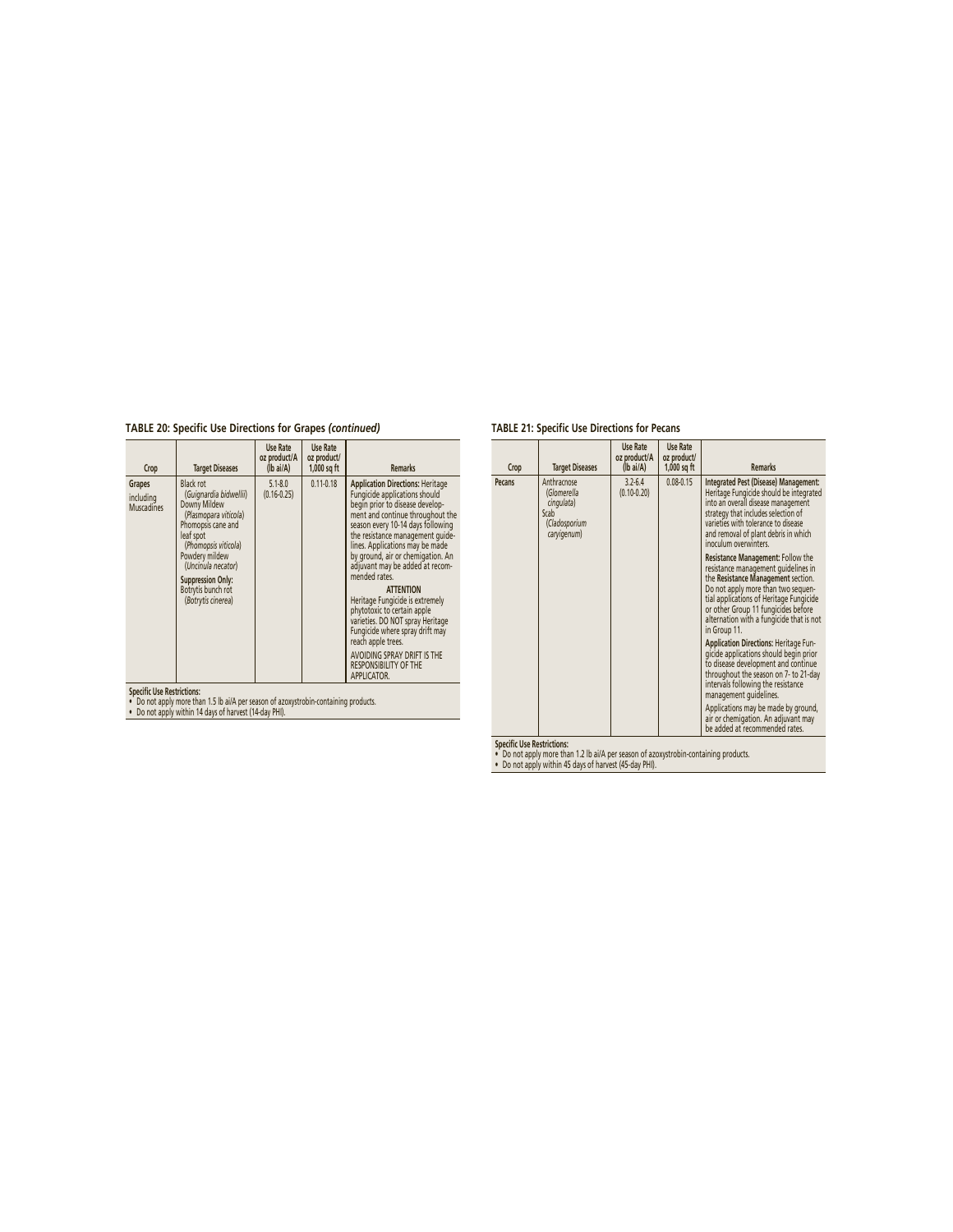**TABLE 20: Specific Use Directions for Grapes** *(continued)*

| $0.11 - 0.18$<br>$5.1 - 8.0$<br><b>Application Directions: Heritage</b><br><b>Black rot</b><br>Grapes<br>Fungicide applications should<br>(Guignardia bidwellii)<br>$(0.16 - 0.25)$<br>including<br>begin prior to disease develop-<br>Downy Mildew<br><b>Muscadines</b><br>(Plasmopara viticola)<br>season every 10-14 days following<br>Phomopsis cane and<br>the resistance management quide-<br>leaf spot<br>lines. Applications may be made<br>(Phomopsis viticola)<br>by ground, air or chemigation. An<br>Powdery mildew<br>(Uncinula necator)<br>adjuvant may be added at recom-<br>mended rates.<br><b>Suppression Only:</b><br>Botrytis bunch rot<br><b>ATTENTION</b><br>Heritage Fungicide is extremely<br>(Botrytis cinerea)<br>phytotoxic to certain apple<br>varieties. DO NOT spray Heritage<br>Fungicide where spray drift may<br>reach apple trees.<br>AVOIDING SPRAY DRIFT IS THE<br><b>RESPONSIBILITY OF THE</b><br>APPLICATOR. | Crop | <b>Target Diseases</b> | Use Rate<br>oz product/A<br>$(lb\text{ ai/A})$ | Use Rate<br>oz product/<br>$1,000$ sq ft | <b>Remarks</b>                   |
|----------------------------------------------------------------------------------------------------------------------------------------------------------------------------------------------------------------------------------------------------------------------------------------------------------------------------------------------------------------------------------------------------------------------------------------------------------------------------------------------------------------------------------------------------------------------------------------------------------------------------------------------------------------------------------------------------------------------------------------------------------------------------------------------------------------------------------------------------------------------------------------------------------------------------------------------------|------|------------------------|------------------------------------------------|------------------------------------------|----------------------------------|
|                                                                                                                                                                                                                                                                                                                                                                                                                                                                                                                                                                                                                                                                                                                                                                                                                                                                                                                                                    |      |                        |                                                |                                          | ment and continue throughout the |

**Specifi c Use Restrictions:** • Do not apply more than 1.5 lb ai/A per season of azoxystrobin-containing products. • Do not apply within 14 days of harvest (14-day PHI).

# **TABLE 21: Specific Use Directions for Pecans**

| Crop   | <b>Target Diseases</b>                                                           | Use Rate<br>oz product/A<br>$(lb\text{ ai/A})$ | Use Rate<br>oz product/<br>$1,000$ sq ft | <b>Remarks</b>                                                                                                                                                                                                                                                                                            |
|--------|----------------------------------------------------------------------------------|------------------------------------------------|------------------------------------------|-----------------------------------------------------------------------------------------------------------------------------------------------------------------------------------------------------------------------------------------------------------------------------------------------------------|
| Pecans | Anthracnose<br>(Glomerella<br>cingulata)<br>Scab<br>(Cladosporium<br>caryigenum) | $3.2 - 6.4$<br>$(0.10 - 0.20)$                 | $0.08 - 0.15$                            | Integrated Pest (Disease) Management:<br>Heritage Fungicide should be integrated<br>into an overall disease management<br>strategy that includes selection of<br>varieties with tolerance to disease<br>and removal of plant debris in which<br>inoculum overwinters.                                     |
|        |                                                                                  |                                                |                                          | <b>Resistance Management: Follow the</b><br>resistance management quidelines in<br>the Resistance Management section.<br>Do not apply more than two sequen-<br>tial applications of Heritage Fungicide<br>or other Group 11 fungicides before<br>alternation with a fungicide that is not<br>in Group 11. |
|        |                                                                                  |                                                |                                          | Application Directions: Heritage Fun-<br>gicide applications should begin prior<br>to disease development and continue<br>throughout the season on 7- to 21-day<br>intervals following the resistance<br>management quidelines.                                                                           |
|        |                                                                                  |                                                |                                          | Applications may be made by ground,<br>air or chemigation. An adjuvant may<br>be added at recommended rates.                                                                                                                                                                                              |

**Specifi c Use Restrictions:** • Do not apply more than 1.2 lb ai/A per season of azoxystrobin-containing products. • Do not apply within 45 days of harvest (45-day PHI).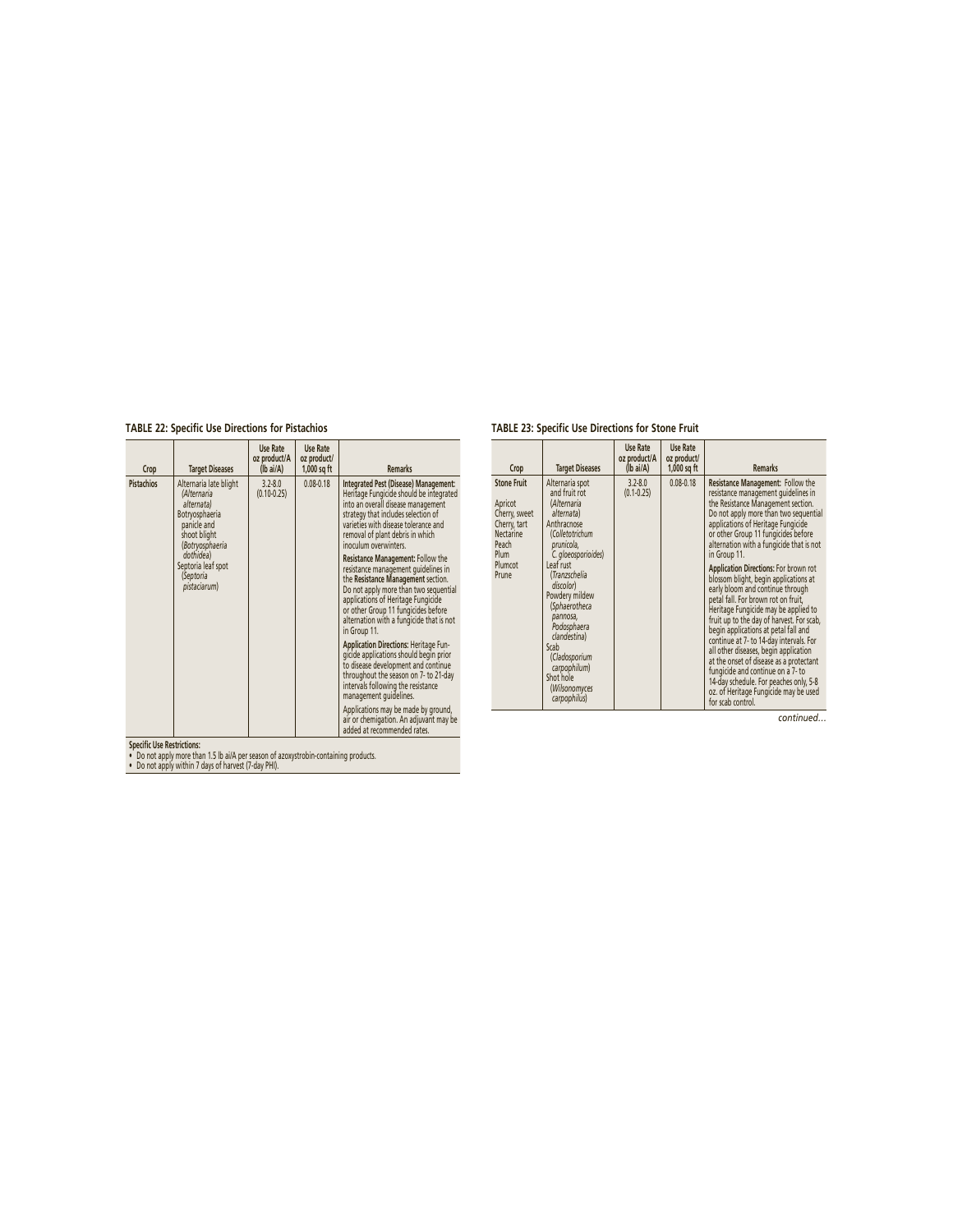**TABLE 22: Specific Use Directions for Pistachios**

| Crop       | <b>Target Diseases</b>                                                                                                  | Use Rate<br>oz product/A<br>(lb ai/A) | Use Rate<br>oz product/<br>1,000 sq ft | <b>Remarks</b>                                                                                                                                                                                                                                                                                   |
|------------|-------------------------------------------------------------------------------------------------------------------------|---------------------------------------|----------------------------------------|--------------------------------------------------------------------------------------------------------------------------------------------------------------------------------------------------------------------------------------------------------------------------------------------------|
| Pistachios | Alternaria late blight<br>(Alternaria<br>alternata)<br>Botryosphaeria<br>panicle and<br>shoot blight<br>(Botryosphaeria | $3.2 - 8.0$<br>$(0.10 - 0.25)$        | $0.08 - 0.18$                          | Integrated Pest (Disease) Management:<br>Heritage Fungicide should be integrated<br>into an overall disease management<br>strategy that includes selection of<br>varieties with disease tolerance and<br>removal of plant debris in which<br>inoculum overwinters.                               |
|            | dothidea)<br>Septoria leaf spot<br>(Septoria<br>pistaciarum)                                                            |                                       |                                        | Resistance Management: Follow the<br>resistance management guidelines in<br>the Resistance Management section.<br>Do not apply more than two sequential<br>applications of Heritage Fungicide<br>or other Group 11 fungicides before<br>alternation with a fungicide that is not<br>in Group 11. |
|            |                                                                                                                         |                                       |                                        | Application Directions: Heritage Fun-<br>gicide applications should begin prior<br>to disease development and continue<br>throughout the season on 7- to 21-day<br>intervals following the resistance<br>management quidelines.                                                                  |
|            |                                                                                                                         |                                       |                                        | Applications may be made by ground,<br>air or chemigation. An adjuvant may be<br>added at recommended rates.                                                                                                                                                                                     |

# **TABLE 23: Specific Use Directions for Stone Fruit**

| Crop                                                                                                             | <b>Target Diseases</b>                                                                                                                                                                                                                                                                                                                               | Use Rate<br>oz product/A<br>$(Ib\text{ ai/A})$ | Use Rate<br>oz product/<br>$1,000$ sq ft | <b>Remarks</b>                                                                                                                                                                                                                                                                                                                                                                                                                                                                                                                                                                                                                                                                                                                                                                                                                                                         |
|------------------------------------------------------------------------------------------------------------------|------------------------------------------------------------------------------------------------------------------------------------------------------------------------------------------------------------------------------------------------------------------------------------------------------------------------------------------------------|------------------------------------------------|------------------------------------------|------------------------------------------------------------------------------------------------------------------------------------------------------------------------------------------------------------------------------------------------------------------------------------------------------------------------------------------------------------------------------------------------------------------------------------------------------------------------------------------------------------------------------------------------------------------------------------------------------------------------------------------------------------------------------------------------------------------------------------------------------------------------------------------------------------------------------------------------------------------------|
| <b>Stone Fruit</b><br>Apricot<br>Cherry, sweet<br>Cherry, tart<br>Nectarine<br>Peach<br>Plum<br>Plumcot<br>Prune | Alternaria spot<br>and fruit rot<br>(Alternaria<br>alternata)<br>Anthracnose<br>(Colletotrichum<br>prunicola.<br>C. gloeosporioides)<br>Leaf rust<br>(Tranzschelia<br>discolor)<br>Powdery mildew<br>(Sphaerotheca<br>pannosa,<br>Podosphaera<br>clandestina)<br>Scab<br>(Cladosporium<br>carpophilum)<br>Shot hole<br>(Wilsonomyces<br>carpophilus) | $3.2 - 8.0$<br>$(0.1 - 0.25)$                  | $0.08 - 0.18$                            | Resistance Management: Follow the<br>resistance management quidelines in<br>the Resistance Management section.<br>Do not apply more than two sequential<br>applications of Heritage Fungicide<br>or other Group 11 fungicides before<br>alternation with a fungicide that is not<br>in Group 11.<br>Application Directions: For brown rot<br>blossom blight, begin applications at<br>early bloom and continue through<br>petal fall. For brown rot on fruit.<br>Heritage Fungicide may be applied to<br>fruit up to the day of harvest. For scab,<br>begin applications at petal fall and<br>continue at 7- to 14-day intervals. For<br>all other diseases, begin application<br>at the onset of disease as a protectant<br>fungicide and continue on a 7- to<br>14-day schedule. For peaches only, 5-8<br>oz. of Heritage Fungicide may be used<br>for scab control. |

*continued…*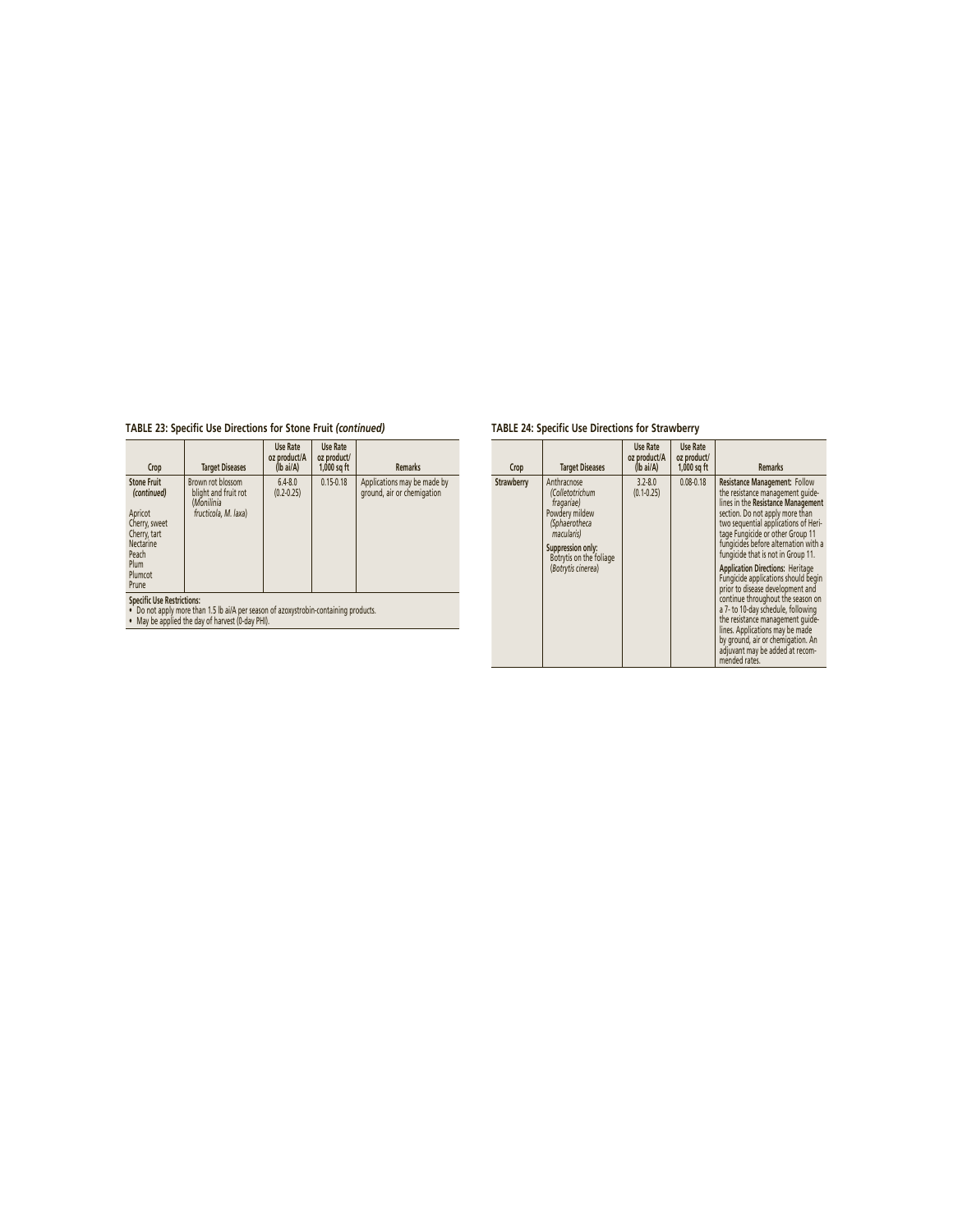# **TABLE 23: Specific Use Directions for Stone Fruit** *(continued)*

| Crop                                                                                                                                                                      | <b>Target Diseases</b>                                                          | Use Rate<br>oz product/A<br>$(Ib\text{ ai/A})$ | Use Rate<br>oz product/<br>$1,000$ sq ft | <b>Remarks</b>                                            |  |
|---------------------------------------------------------------------------------------------------------------------------------------------------------------------------|---------------------------------------------------------------------------------|------------------------------------------------|------------------------------------------|-----------------------------------------------------------|--|
| <b>Stone Fruit</b><br>(continued)<br>Apricot<br>Cherry, sweet<br>Cherry, tart<br><b>Nectarine</b><br>Peach<br>Plum<br>Plumcot<br>Prune                                    | Brown rot blossom<br>blight and fruit rot<br>(Monilinia<br>fructicola. M. laxa) | $6.4 - 8.0$<br>$(0.2 - 0.25)$                  | $0.15 - 0.18$                            | Applications may be made by<br>ground, air or chemigation |  |
| <b>Specific Use Restrictions:</b><br>Do not apply more than 1.5 lb ai/A per season of azoxystrobin-containing products.<br>May be applied the day of harvest (0-day PHI). |                                                                                 |                                                |                                          |                                                           |  |

# **TABLE 24: Specific Use Directions for Strawberry**

| Crop       | <b>Target Diseases</b>                                                                                                                                              | Use Rate<br>oz product/A<br>$(lb\text{ ai/A})$ | Use Rate<br>oz product/<br>$1,000$ sq ft | <b>Remarks</b>                                                                                                                                                                                                                                                                                                                                                                                                                                                                                                                                                                                                                                                               |
|------------|---------------------------------------------------------------------------------------------------------------------------------------------------------------------|------------------------------------------------|------------------------------------------|------------------------------------------------------------------------------------------------------------------------------------------------------------------------------------------------------------------------------------------------------------------------------------------------------------------------------------------------------------------------------------------------------------------------------------------------------------------------------------------------------------------------------------------------------------------------------------------------------------------------------------------------------------------------------|
| Strawberry | Anthracnose<br>(Colletotrichum<br>fragariae)<br>Powdery mildew<br>(Sphaerotheca<br>macularis)<br>Suppression only:<br>Botrytis on the foliage<br>(Botrytis cinerea) | $3.2 - 8.0$<br>$(0.1 - 0.25)$                  | $0.08 - 0.18$                            | <b>Resistance Management: Follow</b><br>the resistance management quide-<br>lines in the Resistance Management<br>section. Do not apply more than<br>two sequential applications of Heri-<br>tage Fungicide or other Group 11<br>fungicides before alternation with a<br>fungicide that is not in Group 11.<br><b>Application Directions: Heritage</b><br>Fungicide applications should begin<br>prior to disease development and<br>continue throughout the season on<br>a 7- to 10-day schedule, following<br>the resistance management quide-<br>lines. Applications may be made<br>by ground, air or chemigation. An<br>adjuvant may be added at recom-<br>mended rates. |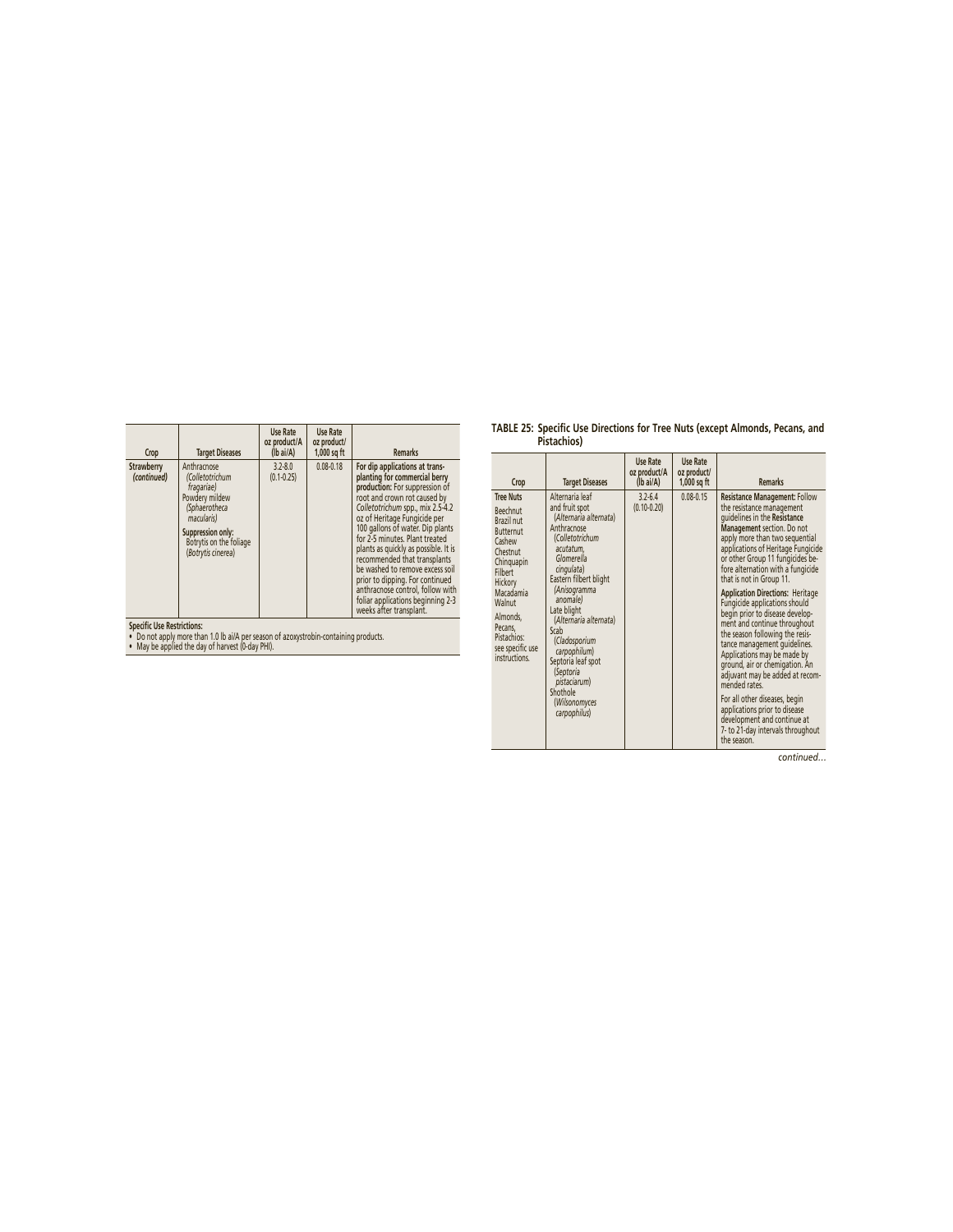| Crop                                                      | <b>Target Diseases</b>                                                                                                                                              | Use Rate<br>oz product/A<br>$(lb\text{ ai/A})$ | Use Rate<br>oz product/<br>$1,000$ sq ft | <b>Remarks</b>                                                                                                                                                                                                                                                                                                                                                                                                                                                                                                                |
|-----------------------------------------------------------|---------------------------------------------------------------------------------------------------------------------------------------------------------------------|------------------------------------------------|------------------------------------------|-------------------------------------------------------------------------------------------------------------------------------------------------------------------------------------------------------------------------------------------------------------------------------------------------------------------------------------------------------------------------------------------------------------------------------------------------------------------------------------------------------------------------------|
| Strawberry<br>(continued)                                 | Anthracnose<br>(Colletotrichum<br>fragariae)<br>Powdery mildew<br>(Sphaerotheca<br>macularis)<br>Suppression only:<br>Botrytis on the foliage<br>(Botrytis cinerea) | $3.2 - 8.0$<br>$(0.1 - 0.25)$                  | $0.08 - 0.18$                            | For dip applications at trans-<br>planting for commercial berry<br>production: For suppression of<br>root and crown rot caused by<br>Colletotrichum spp., mix 2.5-4.2<br>oz of Heritage Fungicide per<br>100 gallons of water. Dip plants<br>for 2-5 minutes. Plant treated<br>plants as quickly as possible. It is<br>recommended that transplants<br>be washed to remove excess soil<br>prior to dipping. For continued<br>anthracnose control, follow with<br>foliar applications beginning 2-3<br>weeks after transplant. |
| $\alpha$ in the contract of $\alpha$ is a set of $\alpha$ |                                                                                                                                                                     |                                                |                                          |                                                                                                                                                                                                                                                                                                                                                                                                                                                                                                                               |

**Specifi c Use Restrictions:** • Do not apply more than 1.0 lb ai/A per season of azoxystrobin-containing products. • May be applied the day of harvest (0-day PHI).

| TABLE 25: Specific Use Directions for Tree Nuts (except Almonds, Pecans, and |  |
|------------------------------------------------------------------------------|--|
| Pistachios)                                                                  |  |

| Crop                                                                                                                                                                                                                       | <b>Target Diseases</b>                                                                                                                                                                                                                                                                                                                                                         | Use Rate<br>oz product/A<br>(lb ai/A) | Use Rate<br>oz product/<br>$1,000$ sq ft | <b>Remarks</b>                                                                                                                                                                                                                                                                                                                                                                                                                                                                                                                                                                                                                                                                                                                                                                                           |
|----------------------------------------------------------------------------------------------------------------------------------------------------------------------------------------------------------------------------|--------------------------------------------------------------------------------------------------------------------------------------------------------------------------------------------------------------------------------------------------------------------------------------------------------------------------------------------------------------------------------|---------------------------------------|------------------------------------------|----------------------------------------------------------------------------------------------------------------------------------------------------------------------------------------------------------------------------------------------------------------------------------------------------------------------------------------------------------------------------------------------------------------------------------------------------------------------------------------------------------------------------------------------------------------------------------------------------------------------------------------------------------------------------------------------------------------------------------------------------------------------------------------------------------|
| <b>Tree Nuts</b><br>Beechnut<br>Brazil nut<br><b>Butternut</b><br>Cashew<br>Chestnut<br>Chinquapin<br>Filhert<br>Hickory<br>Macadamia<br>Walnut<br>Almonds,<br>Pecans,<br>Pistachios:<br>see specific use<br>instructions. | Alternaria leaf<br>and fruit spot<br>(Alternaria alternata)<br>Anthracnose<br>(Colletotrichum<br>acutatum,<br>Glomerella<br>cingulata)<br>Eastern filbert blight<br>(Anisogramma<br>anomale)<br>Late blight<br>(Alternaria alternata)<br>Scab<br>(Cladosporium<br>carpophilum)<br>Septoria leaf spot<br>(Septoria<br>pistaciarum)<br>Shothole<br>(Wilsonomyces<br>carpophilus) | $3.2 - 6.4$<br>$(0.10 - 0.20)$        | $0.08 - 0.15$                            | <b>Resistance Management: Follow</b><br>the resistance management<br>quidelines in the Resistance<br>Management section. Do not<br>apply more than two sequential<br>applications of Heritage Fungicide<br>or other Group 11 fungicides be-<br>fore alternation with a fungicide<br>that is not in Group 11.<br><b>Application Directions: Heritage</b><br>Fungicide applications should<br>begin prior to disease develop-<br>ment and continue throughout<br>the season following the resis-<br>tance management quidelines.<br>Applications may be made by<br>ground, air or chemigation. An<br>adjuvant may be added at recom-<br>mended rates.<br>For all other diseases, begin<br>applications prior to disease<br>development and continue at<br>7- to 21-day intervals throughout<br>the season. |

*continued…*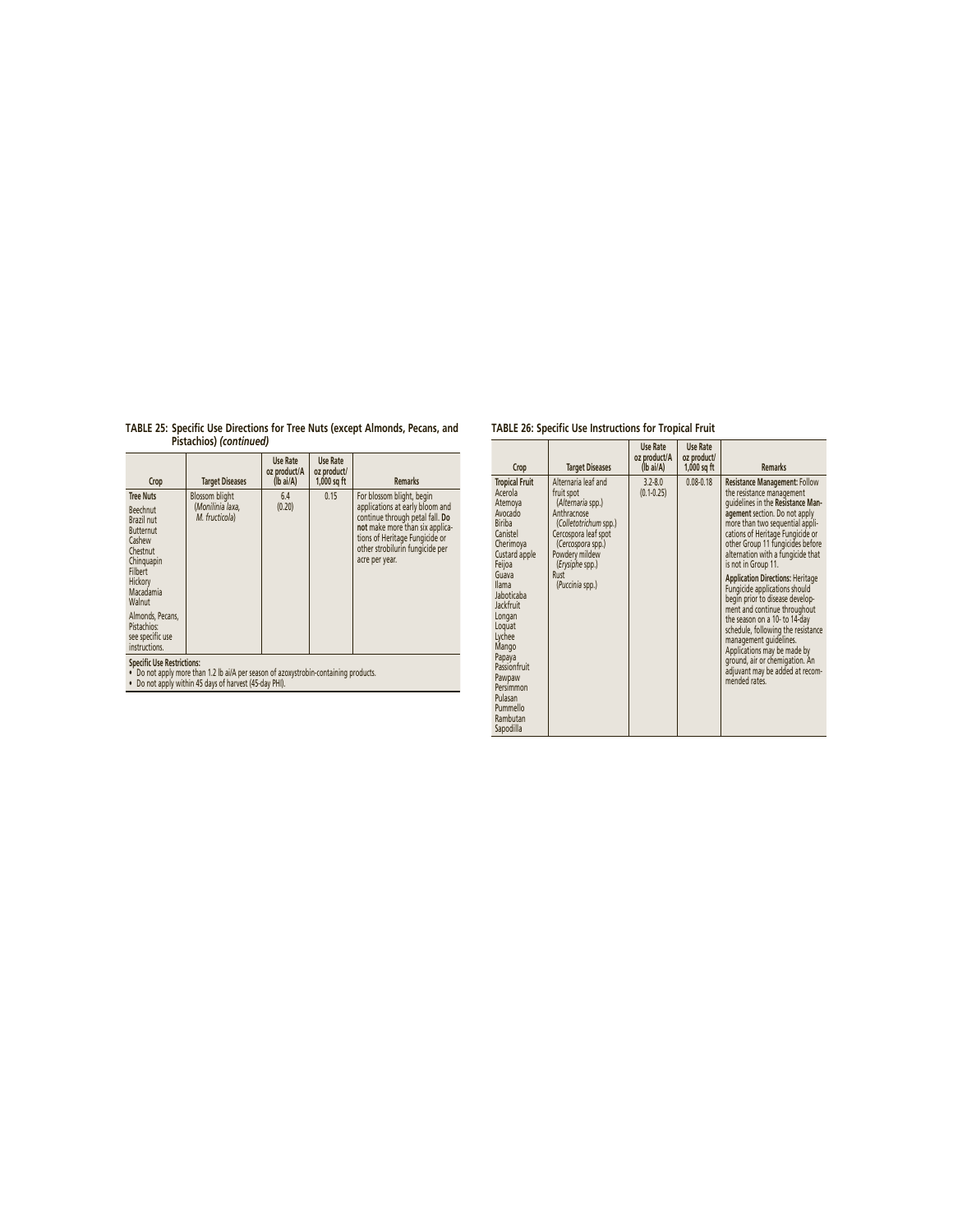| TABLE 25: Specific Use Directions for Tree Nuts (except Almonds, Pecans, and |  |
|------------------------------------------------------------------------------|--|
| Pistachios) (continued)                                                      |  |

| Crop                                                                                                                                                          | <b>Target Diseases</b>                                      | Use Rate<br>oz product/A<br>$(Ib\text{ ai/A})$ | Use Rate<br>oz product/<br>$1,000$ sq ft | <b>Remarks</b>                                                                                                                                                                                                            |  |
|---------------------------------------------------------------------------------------------------------------------------------------------------------------|-------------------------------------------------------------|------------------------------------------------|------------------------------------------|---------------------------------------------------------------------------------------------------------------------------------------------------------------------------------------------------------------------------|--|
| <b>Tree Nuts</b><br><b>Beechnut</b><br>Brazil nut<br><b>Butternut</b><br>Cashew<br>Chestnut<br>Chinguapin<br><b>Filbert</b><br>Hickory<br>Macadamia<br>Walnut | <b>Blossom blight</b><br>(Monilinia laxa,<br>M. fructicola) | 6.4<br>(0.20)                                  | 0.15                                     | For blossom blight, begin<br>applications at early bloom and<br>continue through petal fall. Do<br>not make more than six applica-<br>tions of Heritage Fungicide or<br>other strobilurin fungicide per<br>acre per year. |  |
| Almonds, Pecans,<br>Pistachios:<br>see specific use<br>instructions.                                                                                          |                                                             |                                                |                                          |                                                                                                                                                                                                                           |  |
| <b>Specific Use Restrictions:</b>                                                                                                                             |                                                             |                                                |                                          |                                                                                                                                                                                                                           |  |

**Specifi c Use Restrictions:** • Do not apply more than 1.2 lb ai/A per season of azoxystrobin-containing products. • Do not apply within 45 days of harvest (45-day PHI).

| Crop                                                                                                                                                                                                                                                                                                                    | <b>Target Diseases</b>                                                                                                                                                                                      | Use Rate<br>oz product/A<br>$(Ib\text{ ai/A})$ | Use Rate<br>oz product/<br>$1,000$ sq ft | <b>Remarks</b>                                                                                                                                                                                                                                                                                                                                                                                                                                                                                                                                                                                                                                                                      |
|-------------------------------------------------------------------------------------------------------------------------------------------------------------------------------------------------------------------------------------------------------------------------------------------------------------------------|-------------------------------------------------------------------------------------------------------------------------------------------------------------------------------------------------------------|------------------------------------------------|------------------------------------------|-------------------------------------------------------------------------------------------------------------------------------------------------------------------------------------------------------------------------------------------------------------------------------------------------------------------------------------------------------------------------------------------------------------------------------------------------------------------------------------------------------------------------------------------------------------------------------------------------------------------------------------------------------------------------------------|
| <b>Tropical Fruit</b><br>Acerola<br>Atemova<br>Avocado<br><b>Biriba</b><br>Canistel<br>Cherimoya<br>Custard apple<br>Feijoa<br>Guava<br><b>Ilama</b><br>Jaboticaba<br>Jackfruit<br>Longan<br>Loquat<br>Lychee<br>Mango<br>Papaya<br>Passionfruit<br>Pawpaw<br>Persimmon<br>Pulasan<br>Pummello<br>Rambutan<br>Sapodilla | Alternaria leaf and<br>fruit spot<br>(Alternaria spp.)<br>Anthracnose<br>(Colletotrichum spp.)<br>Cercospora leaf spot<br>(Cercospora spp.)<br>Powdery mildew<br>(Erysiphe spp.)<br>Rust<br>(Puccinia spp.) | $3.2 - 8.0$<br>$(0.1 - 0.25)$                  | $0.08 - 0.18$                            | <b>Resistance Management: Follow</b><br>the resistance management<br>quidelines in the Resistance Man-<br>agement section. Do not apply<br>more than two sequential appli-<br>cations of Heritage Fungicide or<br>other Group 11 fungicides before<br>alternation with a fungicide that<br>is not in Group 11.<br><b>Application Directions: Heritage</b><br>Fungicide applications should<br>begin prior to disease develop-<br>ment and continue throughout<br>the season on a 10- to 14-day<br>schedule, following the resistance<br>management quidelines.<br>Applications may be made by<br>ground, air or chemigation. An<br>adjuvant may be added at recom-<br>mended rates. |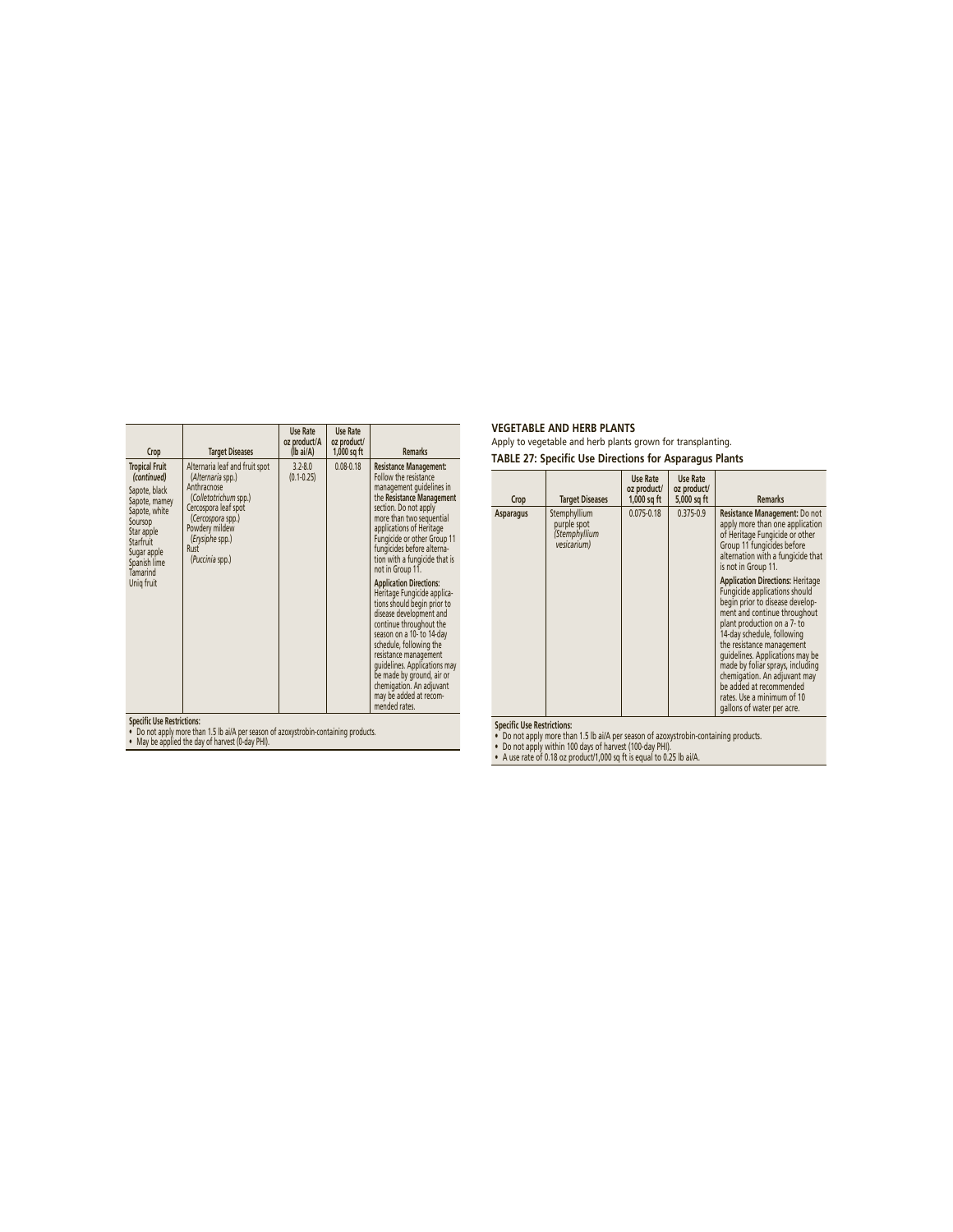| Crop                                                                                                                                                                                   | <b>Target Diseases</b>                                                                                                                                                                                   | Use Rate<br>oz product/A<br>(Ib ai/A) | Use Rate<br>oz product/<br>$1,000$ sq ft | <b>Remarks</b>                                                                                                                                                                                                                                                                                                                                                                                                                                                                                                                                                                                                                                                                                |
|----------------------------------------------------------------------------------------------------------------------------------------------------------------------------------------|----------------------------------------------------------------------------------------------------------------------------------------------------------------------------------------------------------|---------------------------------------|------------------------------------------|-----------------------------------------------------------------------------------------------------------------------------------------------------------------------------------------------------------------------------------------------------------------------------------------------------------------------------------------------------------------------------------------------------------------------------------------------------------------------------------------------------------------------------------------------------------------------------------------------------------------------------------------------------------------------------------------------|
| <b>Tropical Fruit</b><br>(continued)<br>Sapote, black<br>Sapote, mamey<br>Sapote, white<br>Soursop<br>Star apple<br>Starfruit<br>Sugar apple<br>Spanish lime<br>Tamarind<br>Uniq fruit | Alternaria leaf and fruit spot<br>(Alternaria spp.)<br>Anthracnose<br>(Colletotrichum spp.)<br>Cercospora leaf spot<br>(Cercospora spp.)<br>Powdery mildew<br>(Erysiphe spp.)<br>Rust<br>(Puccinia spp.) | $3.2 - 8.0$<br>$(0.1 - 0.25)$         | $0.08 - 0.18$                            | <b>Resistance Management:</b><br>Follow the resistance<br>management quidelines in<br>the Resistance Management<br>section. Do not apply<br>more than two sequential<br>applications of Heritage<br>Fungicide or other Group 11<br>fungicides before alterna-<br>tion with a fungicide that is<br>not in Group 11.<br><b>Application Directions:</b><br>Heritage Fungicide applica-<br>tions should begin prior to<br>disease development and<br>continue throughout the<br>season on a 10- to 14-day<br>schedule, following the<br>resistance management<br>quidelines. Applications may<br>be made by ground, air or<br>chemigation. An adjuvant<br>may be added at recom-<br>mended rates. |

**Specifi c Use Restrictions:** • Do not apply more than 1.5 lb ai/A per season of azoxystrobin-containing products. • May be applied the day of harvest (0-day PHI).

# **VEGETABLE AND HERB PLANTS**  Apply to vegetable and herb plants grown for transplanting.

**TABLE 27: Specific Use Directions for Asparagus Plants**

| Crop                               | <b>Target Diseases</b>                                      | Use Rate<br>oz product/<br>$1,000$ sq ft | Use Rate<br>oz product/<br>5,000 sq ft | <b>Remarks</b>                                                                                                                                                                                                                                                                                                                                                                                                                                                                                                                                                                                                                      |
|------------------------------------|-------------------------------------------------------------|------------------------------------------|----------------------------------------|-------------------------------------------------------------------------------------------------------------------------------------------------------------------------------------------------------------------------------------------------------------------------------------------------------------------------------------------------------------------------------------------------------------------------------------------------------------------------------------------------------------------------------------------------------------------------------------------------------------------------------------|
| <b>Asparagus</b>                   | Stemphyllium<br>purple spot<br>(Stemphyllium<br>vesicarium) | $0.075 - 0.18$                           | $0.375 - 0.9$                          | Resistance Management: Do not<br>apply more than one application<br>of Heritage Fungicide or other<br>Group 11 fungicides before<br>alternation with a fungicide that<br>is not in Group 11.<br><b>Application Directions: Heritage</b><br>Fungicide applications should<br>begin prior to disease develop-<br>ment and continue throughout<br>plant production on a 7- to<br>14-day schedule, following<br>the resistance management<br>quidelines. Applications may be<br>made by foliar sprays, including<br>chemigation. An adjuvant may<br>be added at recommended<br>rates. Use a minimum of 10<br>gallons of water per acre. |
| <b>Concific Llse Rectrictions:</b> |                                                             |                                          |                                        |                                                                                                                                                                                                                                                                                                                                                                                                                                                                                                                                                                                                                                     |

Specific Use Restrictions:<br>• Do not apply more than 1.5 lb ai/A per season of azoxystrobin-containing products.<br>• Do not apply within 100 days of harvest (100-day PHI).<br>• A use rate of 0.18 oz product/1,000 sq ft is equal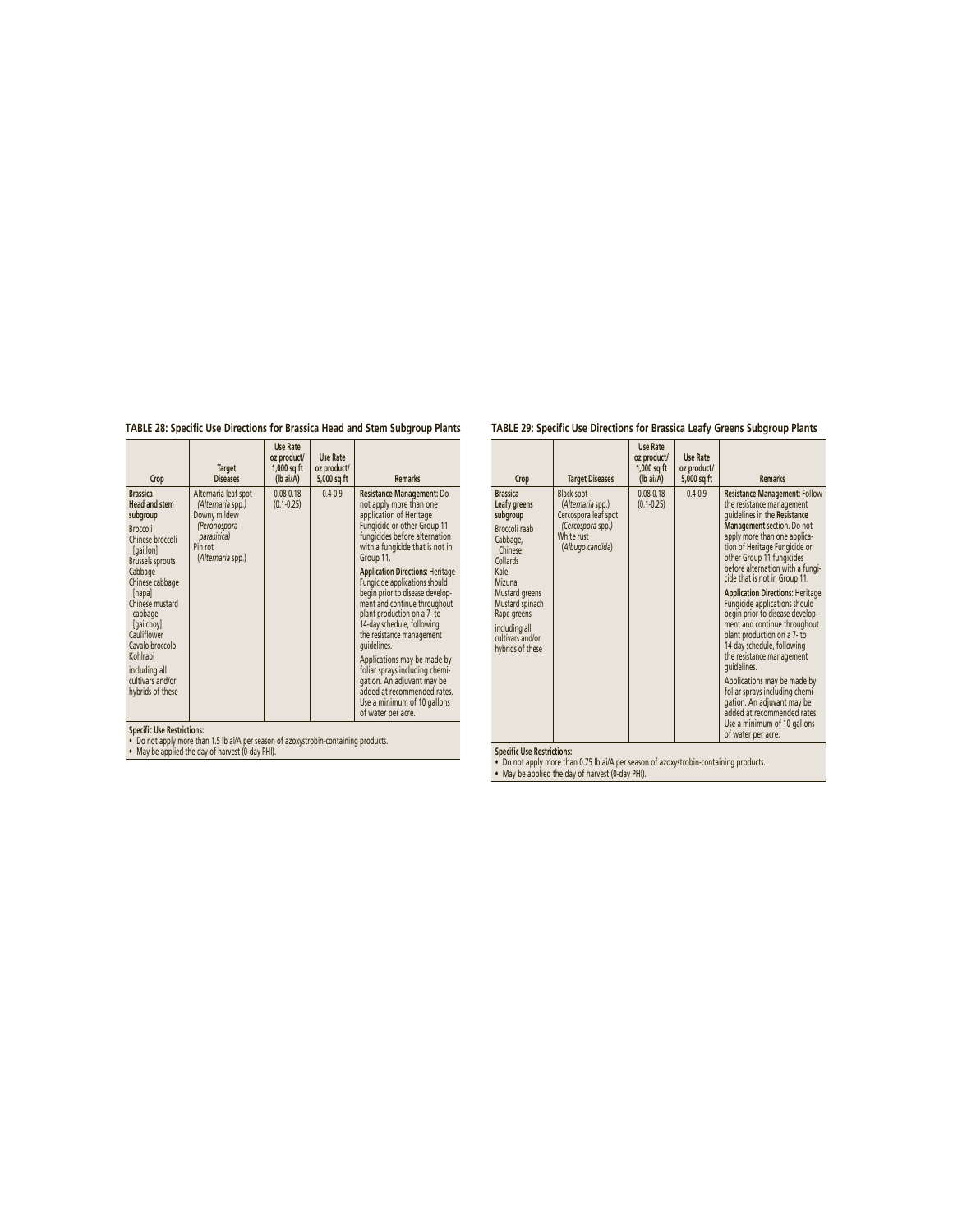**TABLE 28: Specific Use Directions for Brassica Head and Stem Subgroup Plants**

| Crop                                                                                                                                                                                                                                                                                                                          | <b>Target</b><br><b>Diseases</b>                                                                                         | Use Rate<br>oz product/<br>$1,000$ sq ft<br>$(lb\text{ ai/A})$ | Use Rate<br>oz product/<br>5,000 sq ft | <b>Remarks</b>                                                                                                                                                                                                                                                                                                                                                                                                                                                                                                                                                                                                                             |  |  |
|-------------------------------------------------------------------------------------------------------------------------------------------------------------------------------------------------------------------------------------------------------------------------------------------------------------------------------|--------------------------------------------------------------------------------------------------------------------------|----------------------------------------------------------------|----------------------------------------|--------------------------------------------------------------------------------------------------------------------------------------------------------------------------------------------------------------------------------------------------------------------------------------------------------------------------------------------------------------------------------------------------------------------------------------------------------------------------------------------------------------------------------------------------------------------------------------------------------------------------------------------|--|--|
| <b>Brassica</b><br><b>Head and stem</b><br>subgroup<br><b>Broccoli</b><br>Chinese broccoli<br>[gai lon]<br><b>Brussels sprouts</b><br>Cabbage<br>Chinese cabbage<br>[napa]<br>Chinese mustard<br>cabbage<br>[gai choy]<br>Cauliflower<br>Cavalo broccolo<br>Kohlrabi<br>including all<br>cultivars and/or<br>hybrids of these | Alternaria leaf spot<br>(Alternaria spp.)<br>Downy mildew<br>(Peronospora<br>parasitica)<br>Pin rot<br>(Alternaria spp.) | $0.08 - 0.18$<br>$(0.1 - 0.25)$                                | $0.4 - 0.9$                            | Resistance Management: Do<br>not apply more than one<br>application of Heritage<br>Fungicide or other Group 11<br>fungicides before alternation<br>with a fungicide that is not in<br>Group 11.<br><b>Application Directions: Heritage</b><br>Fungicide applications should<br>begin prior to disease develop-<br>ment and continue throughout<br>plant production on a 7- to<br>14-day schedule, following<br>the resistance management<br>quidelines.<br>Applications may be made by<br>foliar sprays including chemi-<br>gation. An adjuvant may be<br>added at recommended rates.<br>Use a minimum of 10 gallons<br>of water per acre. |  |  |

**Specifi c Use Restrictions:** • Do not apply more than 1.5 lb ai/A per season of azoxystrobin-containing products. • May be applied the day of harvest (0-day PHI).

# **TABLE 29: Specific Use Directions for Brassica Leafy Greens Subgroup Plants**

| Crop                                                                                                                                                                                                                           | <b>Target Diseases</b>                                                                                                | <b>Use Rate</b><br>oz product/<br>$1,000$ sq ft<br>$(lb\text{ ai/A})$ | <b>Use Rate</b><br>oz product/<br>5,000 sq ft | <b>Remarks</b>                                                                                                                                                                                                                                                                                                                                                                                                                                                                                                                                                                                                                                                                                                                                |
|--------------------------------------------------------------------------------------------------------------------------------------------------------------------------------------------------------------------------------|-----------------------------------------------------------------------------------------------------------------------|-----------------------------------------------------------------------|-----------------------------------------------|-----------------------------------------------------------------------------------------------------------------------------------------------------------------------------------------------------------------------------------------------------------------------------------------------------------------------------------------------------------------------------------------------------------------------------------------------------------------------------------------------------------------------------------------------------------------------------------------------------------------------------------------------------------------------------------------------------------------------------------------------|
| <b>Brassica</b><br>Leafy greens<br>subgroup<br>Broccoli raab<br>Cabbage,<br>Chinese<br>Collards<br>Kale<br>Mizuna<br>Mustard greens<br>Mustard spinach<br>Rape greens<br>including all<br>cultivars and/or<br>hybrids of these | <b>Black spot</b><br>(Alternaria spp.)<br>Cercospora leaf spot<br>(Cercospora spp.)<br>White rust<br>(Albugo candida) | $0.08 - 0.18$<br>$(0.1 - 0.25)$                                       | $0.4 - 0.9$                                   | <b>Resistance Management: Follow</b><br>the resistance management<br>quidelines in the Resistance<br>Management section. Do not<br>apply more than one applica-<br>tion of Heritage Fungicide or<br>other Group 11 fungicides<br>before alternation with a fungi-<br>cide that is not in Group 11.<br><b>Application Directions: Heritage</b><br>Fungicide applications should<br>begin prior to disease develop-<br>ment and continue throughout<br>plant production on a 7- to<br>14-day schedule, following<br>the resistance management<br>quidelines.<br>Applications may be made by<br>foliar sprays including chemi-<br>gation. An adjuvant may be<br>added at recommended rates.<br>Use a minimum of 10 gallons<br>of water per acre. |

**Specifi c Use Restrictions:** • Do not apply more than 0.75 lb ai/A per season of azoxystrobin-containing products. • May be applied the day of harvest (0-day PHI).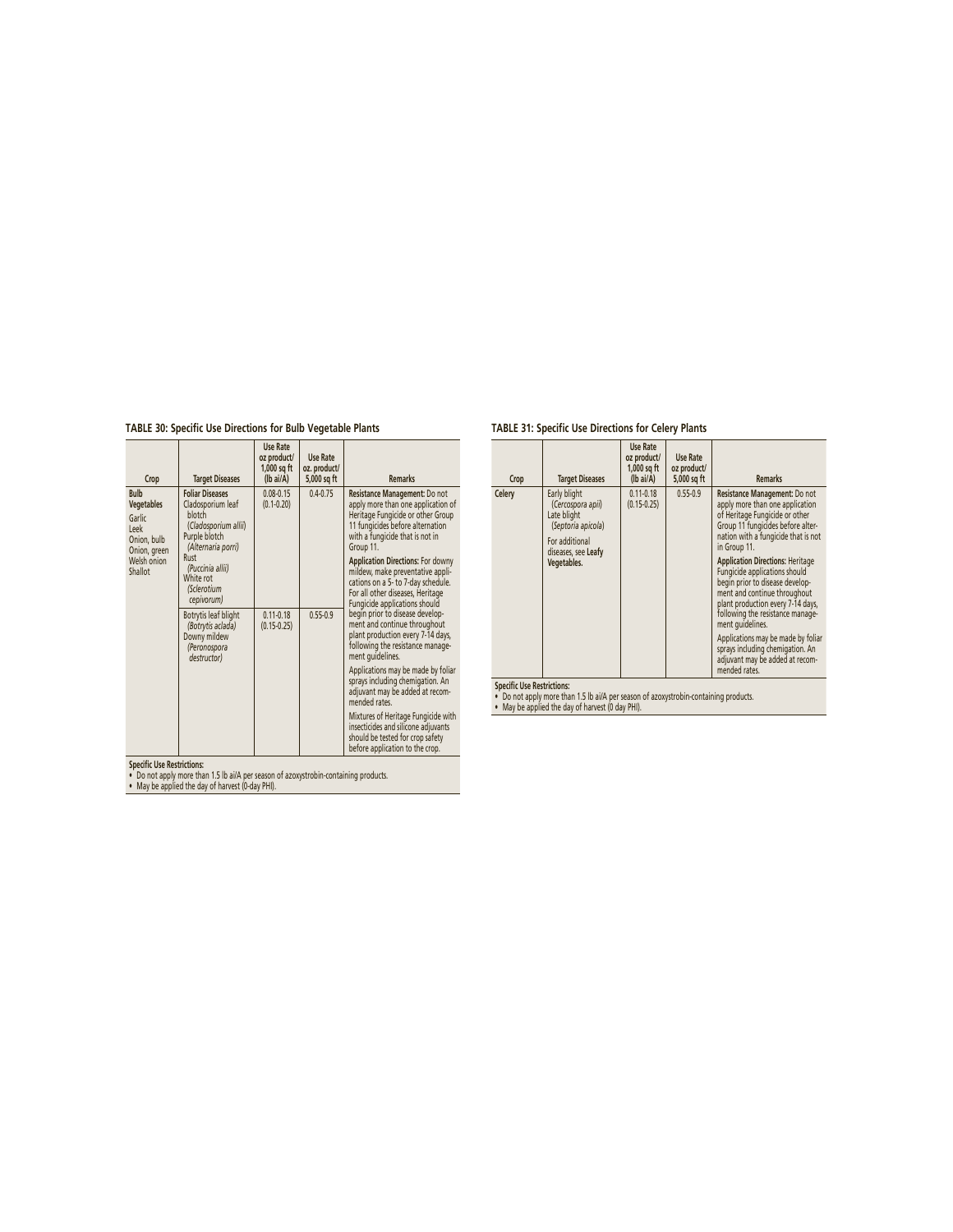# **TABLE 30: Specific Use Directions for Bulb Vegetable Plants**

| Crop                                                                              | <b>Target Diseases</b>                                                                                               | <b>Use Rate</b><br>oz product/<br>1,000 sq ft<br>$(lb\text{ ai/A})$ | Use Rate<br>oz. product/<br>5,000 sq ft | <b>Remarks</b>                                                                                                                                                                               |
|-----------------------------------------------------------------------------------|----------------------------------------------------------------------------------------------------------------------|---------------------------------------------------------------------|-----------------------------------------|----------------------------------------------------------------------------------------------------------------------------------------------------------------------------------------------|
| <b>Bulb</b><br><b>Vegetables</b><br>Garlic<br>Leek<br>Onion, bulb<br>Onion, green | <b>Foliar Diseases</b><br>Cladosporium leaf<br>hlotch<br>(Cladosporium allii)<br>Purple blotch<br>(Alternaria porri) | $0.08 - 0.15$<br>$(0.1 - 0.20)$                                     | $0.4 - 0.75$                            | Resistance Management: Do not<br>apply more than one application of<br>Heritage Fungicide or other Group<br>11 fungicides before alternation<br>with a fungicide that is not in<br>Group 11. |
| Welsh onion<br>Shallot                                                            | Rust<br>(Puccinia allii)<br>White rot<br>(Sclerotium<br>cepivorum)                                                   |                                                                     |                                         | <b>Application Directions: For downy</b><br>mildew, make preventative appli-<br>cations on a 5- to 7-day schedule.<br>For all other diseases, Heritage<br>Fungicide applications should      |
|                                                                                   | Botrytis leaf blight<br>(Botrytis aclada)<br>Downy mildew<br>(Peronospora<br>destructor)                             | $0.11 - 0.18$<br>$(0.15 - 0.25)$                                    | $0.55 - 0.9$                            | begin prior to disease develop-<br>ment and continue throughout<br>plant production every 7-14 days,<br>following the resistance manage-<br>ment quidelines.                                 |
|                                                                                   |                                                                                                                      |                                                                     |                                         | Applications may be made by foliar<br>sprays including chemigation. An<br>adjuvant may be added at recom-<br>mended rates                                                                    |
|                                                                                   |                                                                                                                      |                                                                     |                                         | Mixtures of Heritage Fungicide with<br>insecticides and silicone adjuvants<br>should be tested for crop safety<br>before application to the crop.                                            |

**Specifi c Use Restrictions:** • Do not apply more than 1.5 lb ai/A per season of azoxystrobin-containing products. • May be applied the day of harvest (0-day PHI).

# **TABLE 31: Specific Use Directions for Celery Plants**

| Crop                              | <b>Target Diseases</b>                                                                                                         | Use Rate<br>oz product/<br>$1,000$ sq ft<br>$(lb\text{ ai/A})$ | Use Rate<br>oz product/<br>5,000 sq ft | <b>Remarks</b>                                                                                                                                                                                                                                                                                                                                                                                                                                                                                                                                                           |
|-----------------------------------|--------------------------------------------------------------------------------------------------------------------------------|----------------------------------------------------------------|----------------------------------------|--------------------------------------------------------------------------------------------------------------------------------------------------------------------------------------------------------------------------------------------------------------------------------------------------------------------------------------------------------------------------------------------------------------------------------------------------------------------------------------------------------------------------------------------------------------------------|
| Celery                            | Early blight<br>(Cercospora apii)<br>Late blight<br>(Septoria apicola)<br>For additional<br>diseases, see Leafy<br>Vegetables. | $0.11 - 0.18$<br>$(0.15 - 0.25)$                               | $0.55 - 0.9$                           | Resistance Management: Do not<br>apply more than one application<br>of Heritage Fungicide or other<br>Group 11 fungicides before alter-<br>nation with a fungicide that is not<br>in Group 11.<br><b>Application Directions: Heritage</b><br>Fungicide applications should<br>begin prior to disease develop-<br>ment and continue throughout<br>plant production every 7-14 days,<br>following the resistance manage-<br>ment quidelines.<br>Applications may be made by foliar<br>sprays including chemigation. An<br>adjuvant may be added at recom-<br>mended rates. |
| <b>Specific Use Restrictions:</b> |                                                                                                                                |                                                                |                                        |                                                                                                                                                                                                                                                                                                                                                                                                                                                                                                                                                                          |

**Specifi c Use Restrictions:** • Do not apply more than 1.5 lb ai/A per season of azoxystrobin-containing products. • May be applied the day of harvest (0 day PHI).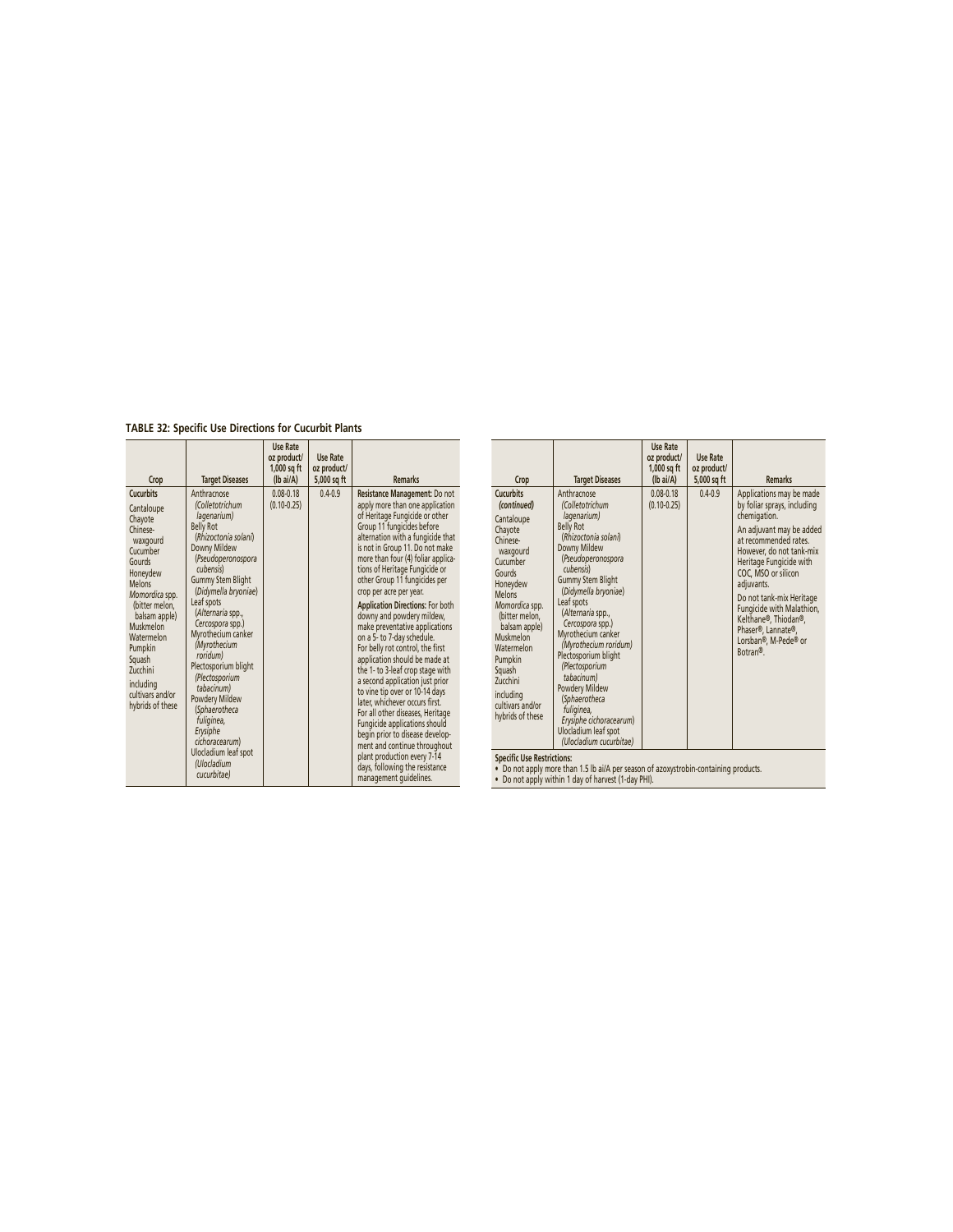**TABLE 32: Specific Use Directions for Cucurbit Plants**

| Crop                                                                                                                                                                                                                                                                                       | <b>Target Diseases</b>                                                                                                                                                                                                                                                                                                                                                                                                                                                                                 | Use Rate<br>oz product/<br>1,000 sq ft<br>(lb ai/A) | <b>Use Rate</b><br>oz product/<br>5,000 sq ft | <b>Remarks</b>                                                                                                                                                                                                                                                                                                                                                                                                                                                                                                                                                                                                                                                                                                                                                                                                                                                                                                                          |
|--------------------------------------------------------------------------------------------------------------------------------------------------------------------------------------------------------------------------------------------------------------------------------------------|--------------------------------------------------------------------------------------------------------------------------------------------------------------------------------------------------------------------------------------------------------------------------------------------------------------------------------------------------------------------------------------------------------------------------------------------------------------------------------------------------------|-----------------------------------------------------|-----------------------------------------------|-----------------------------------------------------------------------------------------------------------------------------------------------------------------------------------------------------------------------------------------------------------------------------------------------------------------------------------------------------------------------------------------------------------------------------------------------------------------------------------------------------------------------------------------------------------------------------------------------------------------------------------------------------------------------------------------------------------------------------------------------------------------------------------------------------------------------------------------------------------------------------------------------------------------------------------------|
| <b>Cucurbits</b><br>Cantaloupe<br>Chayote<br>Chinese-<br>waxgourd<br>Cucumber<br>Gourds<br>Honeydew<br><b>Melons</b><br>Momordica spp.<br>(bitter melon.<br>balsam apple)<br>Muskmelon<br>Watermelon<br>Pumpkin<br>Squash<br>Zucchini<br>including<br>cultivars and/or<br>hybrids of these | Anthracnose<br>(Colletotrichum<br>lagenarium)<br><b>Belly Rot</b><br>(Rhizoctonia solani)<br>Downy Mildew<br>(Pseudoperonospora<br>cubensis)<br><b>Gummy Stem Blight</b><br>(Didymella bryoniae)<br>Leaf spots<br>(Alternaria spp.,<br>Cercospora spp.)<br>Myrothecium canker<br>(Myrothecium<br>roridum)<br>Plectosporium blight<br>(Plectosporium<br>tabacinum)<br>Powdery Mildew<br>(Sphaerotheca<br>fuliginea,<br>Erysiphe<br>cichoracearum)<br>Ulocladium leaf spot<br>(Ulocladium<br>cucurbitae) | $0.08 - 0.18$<br>$(0.10 - 0.25)$                    | $0.4 - 0.9$                                   | Resistance Management: Do not<br>apply more than one application<br>of Heritage Fungicide or other<br>Group 11 fungicides before<br>alternation with a fungicide that<br>is not in Group 11. Do not make<br>more than four (4) foliar applica-<br>tions of Heritage Fungicide or<br>other Group 11 fungicides per<br>crop per acre per year.<br><b>Application Directions: For both</b><br>downy and powdery mildew,<br>make preventative applications<br>on a 5- to 7-day schedule.<br>For belly rot control, the first<br>application should be made at<br>the 1- to 3-leaf crop stage with<br>a second application just prior<br>to vine tip over or 10-14 days<br>later, whichever occurs first.<br>For all other diseases, Heritage<br>Fungicide applications should<br>begin prior to disease develop-<br>ment and continue throughout<br>plant production every 7-14<br>days, following the resistance<br>management quidelines. |

| Crop                                                                                                                                                                                                                                                                                               | <b>Target Diseases</b>                                                                                                                                                                                                                                                                                                                                                                                                                                                                        | <b>Use Rate</b><br>oz product/<br>$1,000$ sq ft<br>(lb ai/A) | Use Rate<br>oz product/<br>5,000 sq ft | <b>Remarks</b>                                                                                                                                                                                                                                                                                                                                                                       |
|----------------------------------------------------------------------------------------------------------------------------------------------------------------------------------------------------------------------------------------------------------------------------------------------------|-----------------------------------------------------------------------------------------------------------------------------------------------------------------------------------------------------------------------------------------------------------------------------------------------------------------------------------------------------------------------------------------------------------------------------------------------------------------------------------------------|--------------------------------------------------------------|----------------------------------------|--------------------------------------------------------------------------------------------------------------------------------------------------------------------------------------------------------------------------------------------------------------------------------------------------------------------------------------------------------------------------------------|
| <b>Cucurbits</b><br>(continued)<br>Cantaloupe<br>Chayote<br>Chinese-<br>waxgourd<br>Cucumber<br>Gourds<br>Honeydew<br>Melons<br>Momordica spp.<br>(bitter melon.<br>balsam apple)<br>Muskmelon<br>Watermelon<br>Pumpkin<br>Sauash<br>Zucchini<br>including<br>cultivars and/or<br>hybrids of these | Anthracnose<br>(Colletotrichum<br>lagenarium)<br><b>Belly Rot</b><br>(Rhizoctonia solani)<br>Downy Mildew<br>(Pseudoperonospora<br>cubensis)<br><b>Gummy Stem Blight</b><br>(Didymella bryoniae)<br>Leaf spots<br>(Alternaria spp.,<br>Cercospora spp.)<br>Myrothecium canker<br>(Myrothecium roridum)<br>Plectosporium blight<br>(Plectosporium<br>tabacinum)<br>Powdery Mildew<br>(Sphaerotheca<br>fuliginea,<br>Erysiphe cichoracearum)<br>Ulocladium leaf spot<br>(Ulocladium cucurbitae) | $0.08 - 0.18$<br>$(0.10 - 0.25)$                             | $04-09$                                | Applications may be made<br>by foliar sprays, including<br>chemigation.<br>An adjuvant may be added<br>at recommended rates.<br>However, do not tank-mix<br>Heritage Fungicide with<br>COC, MSO or silicon<br>adjuvants.<br>Do not tank-mix Heritage<br>Fungicide with Malathion,<br>Kelthane®, Thiodan®,<br>Phaser®, Lannate®,<br>Lorsban®, M-Pede® or<br><b>Rotran<sup>®</sup></b> |
| <b>Specific Use Restrictions:</b>                                                                                                                                                                                                                                                                  |                                                                                                                                                                                                                                                                                                                                                                                                                                                                                               |                                                              |                                        |                                                                                                                                                                                                                                                                                                                                                                                      |

**Specifi c Use Restrictions:** • Do not apply more than 1.5 lb ai/A per season of azoxystrobin-containing products. • Do not apply within 1 day of harvest (1-day PHI).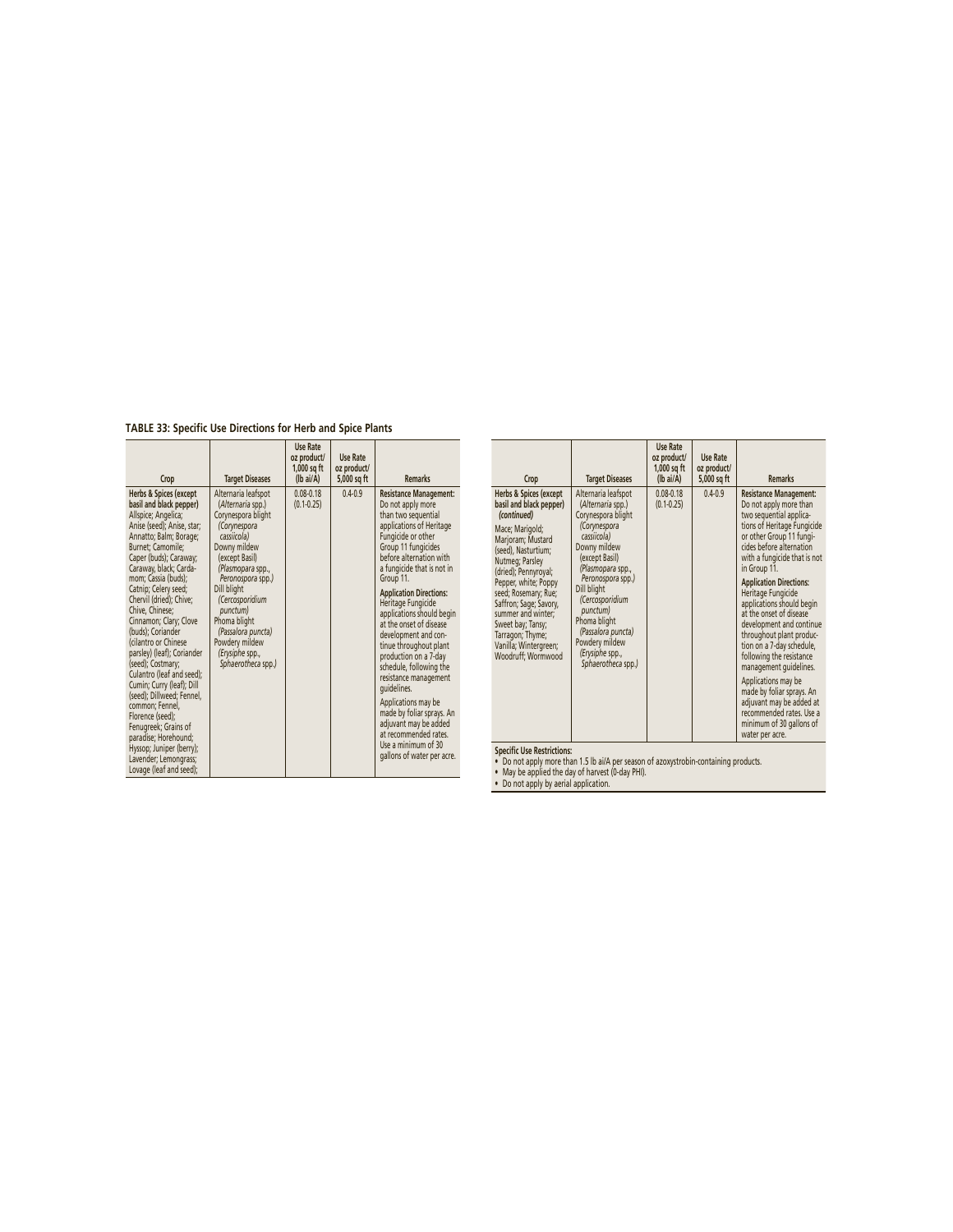**TABLE 33: Specific Use Directions for Herb and Spice Plants**

| Crop                                                                                                                                                                                                                                                                                                                                                                                                                                                                                                                                                                                                                                                                                           | <b>Target Diseases</b>                                                                                                                                                                                                                                                                                                   | Use Rate<br>oz product/<br>$1.000$ sa ft<br>(lb ai/A) | <b>Use Rate</b><br>oz product/<br>5,000 sq ft | <b>Remarks</b>                                                                                                                                                                                                                                                                                                                                                                                                                                                                                                                                                                                                                                    |
|------------------------------------------------------------------------------------------------------------------------------------------------------------------------------------------------------------------------------------------------------------------------------------------------------------------------------------------------------------------------------------------------------------------------------------------------------------------------------------------------------------------------------------------------------------------------------------------------------------------------------------------------------------------------------------------------|--------------------------------------------------------------------------------------------------------------------------------------------------------------------------------------------------------------------------------------------------------------------------------------------------------------------------|-------------------------------------------------------|-----------------------------------------------|---------------------------------------------------------------------------------------------------------------------------------------------------------------------------------------------------------------------------------------------------------------------------------------------------------------------------------------------------------------------------------------------------------------------------------------------------------------------------------------------------------------------------------------------------------------------------------------------------------------------------------------------------|
| Herbs & Spices (except<br>basil and black pepper)<br>Allspice; Angelica;<br>Anise (seed); Anise, star;<br>Annatto; Balm; Borage;<br>Burnet; Camomile;<br>Caper (buds); Caraway;<br>Caraway, black; Carda-<br>mom; Cassia (buds);<br>Catnip; Celery seed;<br>Chervil (dried); Chive;<br>Chive. Chinese:<br>Cinnamon; Clary; Clove<br>(buds); Coriander<br>(cilantro or Chinese<br>parsley) (leaf); Coriander<br>(seed): Costmary:<br>Culantro (leaf and seed);<br>Cumin; Curry (leaf); Dill<br>(seed); Dillweed; Fennel,<br>common; Fennel,<br>Florence (seed);<br>Fenugreek; Grains of<br>paradise: Horehound:<br>Hyssop; Juniper (berry);<br>Lavender; Lemongrass;<br>Lovage (leaf and seed); | Alternaria leafspot<br>(Alternaria spp.)<br>Corynespora blight<br>(Corynespora<br>cassiicola)<br>Downy mildew<br>(except Basil)<br>(Plasmopara spp.,<br>Peronospora spp.)<br>Dill blight<br>(Cercosporidium<br>punctum)<br>Phoma blight<br>(Passalora puncta)<br>Powdery mildew<br>(Erysiphe spp.,<br>Sphaerotheca spp.) | $0.08 - 0.18$<br>$(0.1 - 0.25)$                       | $0.4 - 0.9$                                   | <b>Resistance Management:</b><br>Do not apply more<br>than two sequential<br>applications of Heritage<br>Fungicide or other<br>Group 11 fungicides<br>before alternation with<br>a fungicide that is not in<br>Group 11.<br><b>Application Directions:</b><br>Heritage Fungicide<br>applications should begin<br>at the onset of disease<br>development and con-<br>tinue throughout plant<br>production on a 7-day<br>schedule, following the<br>resistance management<br>quidelines.<br>Applications may be<br>made by foliar sprays. An<br>adjuvant may be added<br>at recommended rates.<br>Use a minimum of 30<br>gallons of water per acre. |

| Crop                                                                                                                                                                                                                                                                                                                                                               | <b>Target Diseases</b>                                                                                                                                                                                                                                                                                                   | Use Rate<br>oz product/<br>$1,000$ sq ft<br>$(lb\text{ ai/A})$ | <b>Use Rate</b><br>oz product/<br>5,000 sq ft | <b>Remarks</b>                                                                                                                                                                                                                                                                                                                                                                                                                                                                                                                                                                                                                                  |
|--------------------------------------------------------------------------------------------------------------------------------------------------------------------------------------------------------------------------------------------------------------------------------------------------------------------------------------------------------------------|--------------------------------------------------------------------------------------------------------------------------------------------------------------------------------------------------------------------------------------------------------------------------------------------------------------------------|----------------------------------------------------------------|-----------------------------------------------|-------------------------------------------------------------------------------------------------------------------------------------------------------------------------------------------------------------------------------------------------------------------------------------------------------------------------------------------------------------------------------------------------------------------------------------------------------------------------------------------------------------------------------------------------------------------------------------------------------------------------------------------------|
| Herbs & Spices (except<br>basil and black pepper)<br>(continued)<br>Mace; Marigold;<br>Marjoram; Mustard<br>(seed), Nasturtium;<br>Nutmeg; Parsley<br>(dried); Pennyroyal;<br>Pepper, white; Poppy<br>seed; Rosemary; Rue;<br>Saffron; Sage; Savory,<br>summer and winter:<br>Sweet bay; Tansy;<br>Tarragon; Thyme;<br>Vanilla; Wintergreen;<br>Woodruff; Wormwood | Alternaria leafspot<br>(Alternaria spp.)<br>Corynespora blight<br>(Corynespora<br>cassiicola)<br>Downy mildew<br>(except Basil)<br>(Plasmopara spp.,<br>Peronospora spp.)<br>Dill blight<br>(Cercosporidium<br>punctum)<br>Phoma blight<br>(Passalora puncta)<br>Powdery mildew<br>(Erysiphe spp.,<br>Sphaerotheca spp.) | $0.08 - 0.18$<br>$(0.1 - 0.25)$                                | $04-09$                                       | <b>Resistance Management:</b><br>Do not apply more than<br>two sequential applica-<br>tions of Heritage Fungicide<br>or other Group 11 fungi-<br>cides before alternation<br>with a fungicide that is not<br>in Group 11.<br><b>Application Directions:</b><br>Heritage Fungicide<br>applications should begin<br>at the onset of disease<br>development and continue<br>throughout plant produc-<br>tion on a 7-day schedule,<br>following the resistance<br>management quidelines.<br>Applications may be<br>made by foliar sprays. An<br>adjuvant may be added at<br>recommended rates. Use a<br>minimum of 30 gallons of<br>water per acre. |

**Specific Use Restrictions:**<br>• Do not apply more than 1.5 lb ai/A per season of azoxystrobin-containing products.<br>• May be applied the day of harvest (0-day PHI).<br>• Do not apply by aerial application.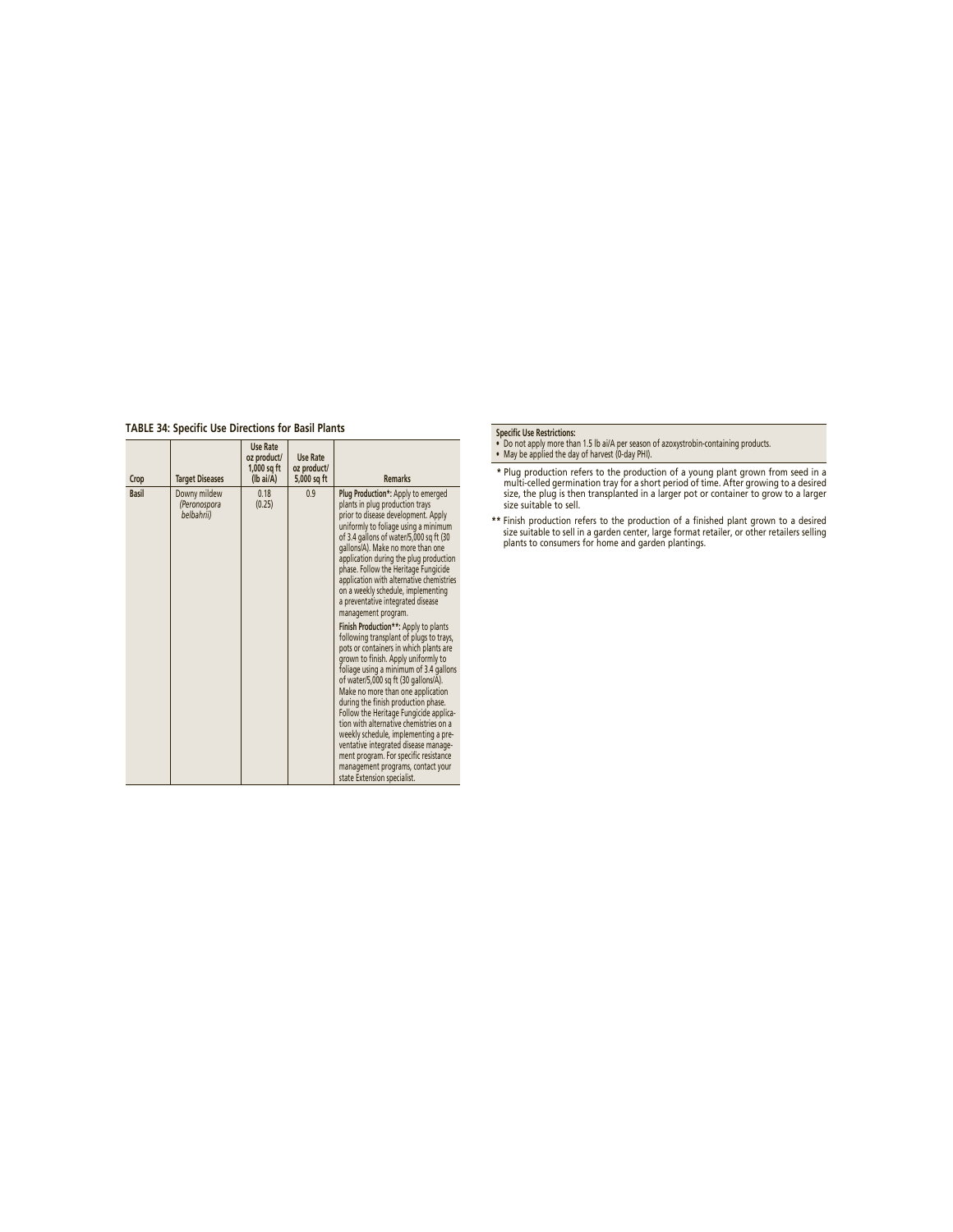# **TABLE 34: Specific Use Directions for Basil Plants**

| Crop         | <b>Target Diseases</b>                     | Use Rate<br>oz product/<br>$1,000$ sq ft<br>$(lb\text{ ai/A})$ | <b>Use Rate</b><br>oz product/<br>5,000 sq ft | <b>Remarks</b>                                                                                                                                                                                                                                                                                                                                                                                                                                                                                                                                                                                                                                                                                                                                                                                                                                                                                                                                                                                                                                                                          |
|--------------|--------------------------------------------|----------------------------------------------------------------|-----------------------------------------------|-----------------------------------------------------------------------------------------------------------------------------------------------------------------------------------------------------------------------------------------------------------------------------------------------------------------------------------------------------------------------------------------------------------------------------------------------------------------------------------------------------------------------------------------------------------------------------------------------------------------------------------------------------------------------------------------------------------------------------------------------------------------------------------------------------------------------------------------------------------------------------------------------------------------------------------------------------------------------------------------------------------------------------------------------------------------------------------------|
| <b>Basil</b> | Downy mildew<br>(Peronospora<br>belbahrii) | 0.18<br>(0.25)                                                 | 0.9                                           | Plug Production*: Apply to emerged<br>plants in plug production trays<br>prior to disease development. Apply<br>uniformly to foliage using a minimum<br>of 3.4 gallons of water/5,000 sq ft (30<br>gallons/A). Make no more than one<br>application during the plug production<br>phase. Follow the Heritage Fungicide<br>application with alternative chemistries<br>on a weekly schedule, implementing<br>a preventative integrated disease<br>management program.<br>Finish Production**: Apply to plants<br>following transplant of plugs to trays,<br>pots or containers in which plants are<br>grown to finish. Apply uniformly to<br>foliage using a minimum of 3.4 gallons<br>of water/5,000 sq ft (30 gallons/A).<br>Make no more than one application<br>during the finish production phase.<br>Follow the Heritage Fungicide applica-<br>tion with alternative chemistries on a<br>weekly schedule, implementing a pre-<br>ventative integrated disease manage-<br>ment program. For specific resistance<br>management programs, contact your<br>state Extension specialist. |

- **Specifi c Use Restrictions:** Do not apply more than 1.5 lb ai/A per season of azoxystrobin-containing products. May be applied the day of harvest (0-day PHI).
- \* Plug production refers to the production of a young plant grown from seed in a<br>multi-celled germination tray for a short period of time. After growing to a desired<br>size, the plug is then transplanted in a larger pot or c
- \*\* Finish production refers to the production of a finished plant grown to a desired<br>size suitable to sell in a garden center, large format retailer, or other retailers selling<br>plants to consumers for home and garden plant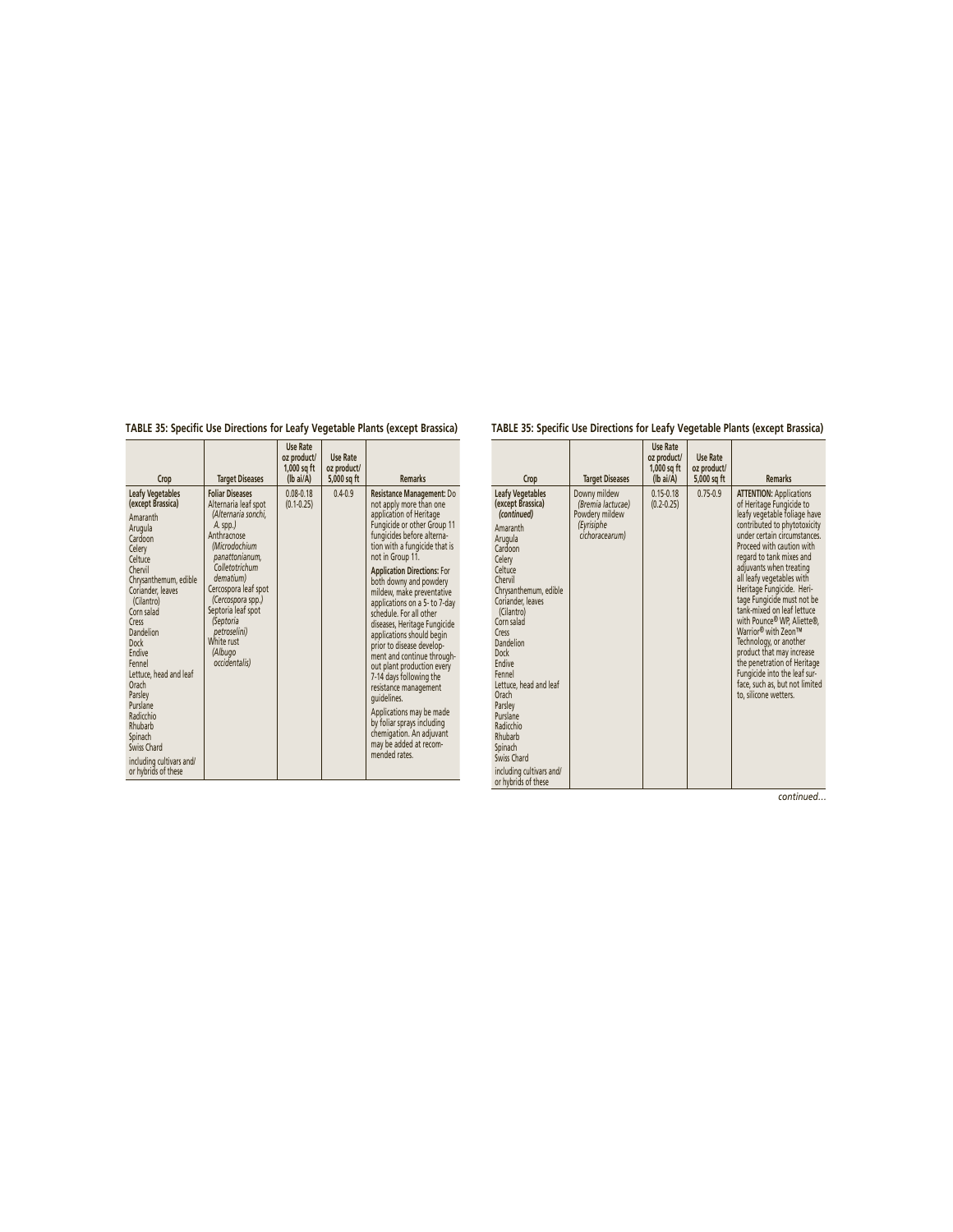**TABLE 35: Specific Use Directions for Leafy Vegetable Plants (except Brassica)**

#### **Crop Target Diseases Use Rate oz product/ 1,000 sq ft (lb ai/A) Use Rate oz product/ 5,000 sq ft** Remarks **Leafy Vegetables (except Brassica)** Amaranth Arugula Cardoon Celery Celtuce Chervil Chrysanthemum, edible Coriander, leaves (Cilantro) Corn salad Cress Dandelion **Dock Endive** Fennel Lettuce, head and leaf Orach Parsley Purslane Radicchio Rhubarb Spinach Swiss Chard including cultivars and/ or hybrids of these **Foliar Diseases** Alternaria leaf spot *(Alternaria sonchi, A.* spp.*)* Anthracnose *(Microdochium panattonianum, Colletotrichum dematium)* Cercospora leaf spot *(Cercospora* spp.*)* Septoria leaf spot *(Septoria petroselini)* White rust *(Albugo occidentalis)* 0.08-0.18 (0.1-0.25) not apply more than one<br>
application of Heritage<br>
Fungicide or other Group 11<br>
fungicides before alterna-<br>
tion with a fungicide that is not in Group 11. **Application Directions:** For<br>both downy and powdery<br>mildew, make preventative<br>applications on a 5- to 7-day<br>schedule. For all other diseases, Heritage Fungicide applications should begin prior to disease development and continue through-out plant production every 7-14 days following the resistance management guidelines. Applications may be made by foliar sprays including chemigation. An adjuvant may be added at recommended rates.

# **TABLE 35: Specific Use Directions for Leafy Vegetable Plants (except Brassica)**

| Crop                                                                                                                                                                                                                                                                                                                                                                                                                            | <b>Target Diseases</b>                                                              | Use Rate<br>oz product/<br>$1,000$ sq ft<br>$(lb\text{ ai/A})$ | <b>Use Rate</b><br>oz product/<br>5,000 sq ft | <b>Remarks</b>                                                                                                                                                                                                                                                                                                                                                                                                                                                                                                                                                                                             |
|---------------------------------------------------------------------------------------------------------------------------------------------------------------------------------------------------------------------------------------------------------------------------------------------------------------------------------------------------------------------------------------------------------------------------------|-------------------------------------------------------------------------------------|----------------------------------------------------------------|-----------------------------------------------|------------------------------------------------------------------------------------------------------------------------------------------------------------------------------------------------------------------------------------------------------------------------------------------------------------------------------------------------------------------------------------------------------------------------------------------------------------------------------------------------------------------------------------------------------------------------------------------------------------|
| <b>Leafy Vegetables</b><br>(except Brassica)<br>(continued)<br>Amaranth<br>Arugula<br>Cardoon<br>Celery<br>Celtuce<br>Chervil<br>Chrysanthemum, edible<br>Coriander, leaves<br>(Cilantro)<br>Corn salad<br>Cress<br>Dandelion<br><b>Dock</b><br>Endive<br>Fennel<br>Lettuce, head and leaf<br>Orach<br>Parsley<br>Purslane<br>Radicchio<br>Rhubarb<br>Spinach<br>Swiss Chard<br>including cultivars and/<br>or hybrids of these | Downy mildew<br>(Bremia lactucae)<br>Powdery mildew<br>(Eyrisiphe<br>cichoracearum) | $0.15 - 0.18$<br>$(0.2 - 0.25)$                                | $0.75 - 0.9$                                  | <b>ATTENTION: Applications</b><br>of Heritage Fungicide to<br>leafy vegetable foliage have<br>contributed to phytotoxicity<br>under certain circumstances.<br>Proceed with caution with<br>regard to tank mixes and<br>adjuvants when treating<br>all leafy vegetables with<br>Heritage Fungicide. Heri-<br>tage Fungicide must not be<br>tank-mixed on leaf lettuce<br>with Pounce® WP, Aliette®,<br>Warrior® with Zeon™<br>Technology, or another<br>product that may increase<br>the penetration of Heritage<br>Fungicide into the leaf sur-<br>face, such as, but not limited<br>to, silicone wetters. |

*continued…*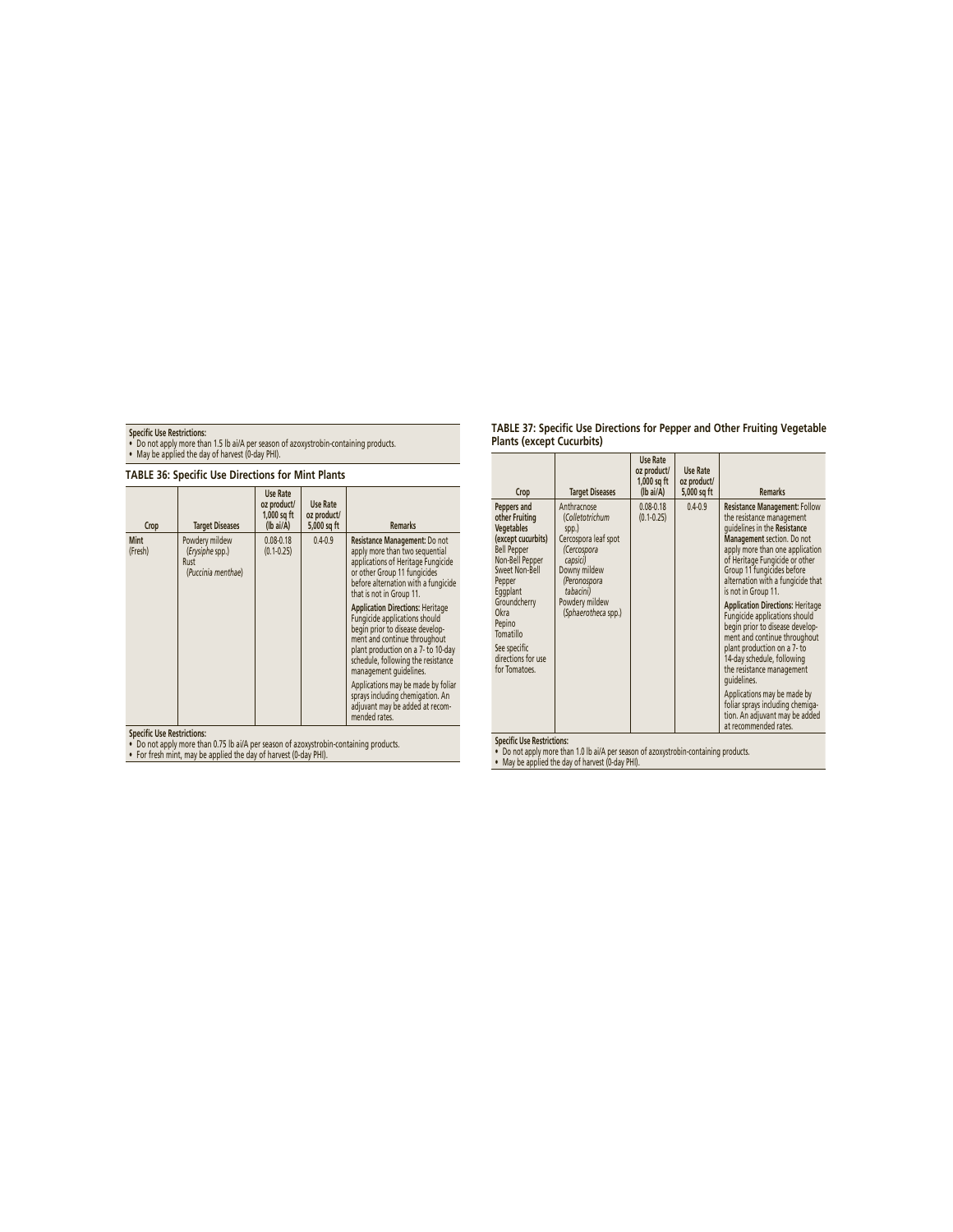**Specifi c Use Restrictions:** • Do not apply more than 1.5 lb ai/A per season of azoxystrobin-containing products. • May be applied the day of harvest (0-day PHI).

| <b>TABLE 36: Specific Use Directions for Mint Plants</b> |                                                                 |                                                              |                                        |                                                                                                                                                                                                                                                                                                                                                                                                                                                                                                                                                                                             |  |  |
|----------------------------------------------------------|-----------------------------------------------------------------|--------------------------------------------------------------|----------------------------------------|---------------------------------------------------------------------------------------------------------------------------------------------------------------------------------------------------------------------------------------------------------------------------------------------------------------------------------------------------------------------------------------------------------------------------------------------------------------------------------------------------------------------------------------------------------------------------------------------|--|--|
| Crop                                                     | <b>Target Diseases</b>                                          | Use Rate<br>oz product/<br>1,000 sq ft<br>$(lb\text{ ai/A})$ | Use Rate<br>oz product/<br>5,000 sq ft | <b>Remarks</b>                                                                                                                                                                                                                                                                                                                                                                                                                                                                                                                                                                              |  |  |
| Mint<br>(Fresh)                                          | Powdery mildew<br>(Erysiphe spp.)<br>Rust<br>(Puccinia menthae) | $0.08 - 0.18$<br>$(0.1 - 0.25)$                              | $0.4 - 0.9$                            | Resistance Management: Do not<br>apply more than two sequential<br>applications of Heritage Fungicide<br>or other Group 11 fungicides<br>before alternation with a fungicide<br>that is not in Group 11.<br><b>Application Directions: Heritage</b><br>Fungicide applications should<br>begin prior to disease develop-<br>ment and continue throughout<br>plant production on a 7- to 10-day<br>schedule, following the resistance<br>management quidelines.<br>Applications may be made by foliar<br>sprays including chemigation. An<br>adjuvant may be added at recom-<br>mended rates. |  |  |

**Specifi c Use Restrictions:** • Do not apply more than 0.75 lb ai/A per season of azoxystrobin-containing products. • For fresh mint, may be applied the day of harvest (0-day PHI).

| TABLE 37: Specific Use Directions for Pepper and Other Fruiting Vegetable |  |  |
|---------------------------------------------------------------------------|--|--|
| <b>Plants (except Cucurbits)</b>                                          |  |  |

| Crop                                                                                                                                                                                                                                                     | <b>Target Diseases</b>                                                                                                                                                           | <b>Use Rate</b><br>oz product/<br>1,000 sq ft<br>$(lb\text{ ai/A})$ | Use Rate<br>oz product/<br>5,000 sq ft | <b>Remarks</b>                                                                                                                                                                                                                                                                                                                                                                                                                                                                                                                                                                                                                                                                       |
|----------------------------------------------------------------------------------------------------------------------------------------------------------------------------------------------------------------------------------------------------------|----------------------------------------------------------------------------------------------------------------------------------------------------------------------------------|---------------------------------------------------------------------|----------------------------------------|--------------------------------------------------------------------------------------------------------------------------------------------------------------------------------------------------------------------------------------------------------------------------------------------------------------------------------------------------------------------------------------------------------------------------------------------------------------------------------------------------------------------------------------------------------------------------------------------------------------------------------------------------------------------------------------|
| Peppers and<br>other Fruiting<br>Vegetables<br>(except cucurbits)<br><b>Bell Pepper</b><br>Non-Bell Pepper<br>Sweet Non-Bell<br>Pepper<br>Eggplant<br>Groundcherry<br>Okra<br>Pepino<br>Tomatillo<br>See specific<br>directions for use<br>for Tomatoes. | Anthracnose<br>(Colletotrichum<br>spp.)<br>Cercospora leaf spot<br>(Cercospora<br>capsici)<br>Downy mildew<br>(Peronospora<br>tabacini)<br>Powdery mildew<br>(Sphaerotheca spp.) | $0.08 - 0.18$<br>$(0.1 - 0.25)$                                     | $0.4 - 0.9$                            | <b>Resistance Management: Follow</b><br>the resistance management<br>quidelines in the Resistance<br>Management section. Do not<br>apply more than one application<br>of Heritage Fungicide or other<br>Group 11 fungicides before<br>alternation with a fungicide that<br>is not in Group 11.<br><b>Application Directions: Heritage</b><br>Fungicide applications should<br>begin prior to disease develop-<br>ment and continue throughout<br>plant production on a 7- to<br>14-day schedule, following<br>the resistance management<br>quidelines.<br>Applications may be made by<br>foliar sprays including chemiga-<br>tion. An adjuvant may be added<br>at recommended rates. |
| And Afficial computation                                                                                                                                                                                                                                 |                                                                                                                                                                                  |                                                                     |                                        |                                                                                                                                                                                                                                                                                                                                                                                                                                                                                                                                                                                                                                                                                      |

**Specifi c Use Restrictions:** • Do not apply more than 1.0 lb ai/A per season of azoxystrobin-containing products. • May be applied the day of harvest (0-day PHI).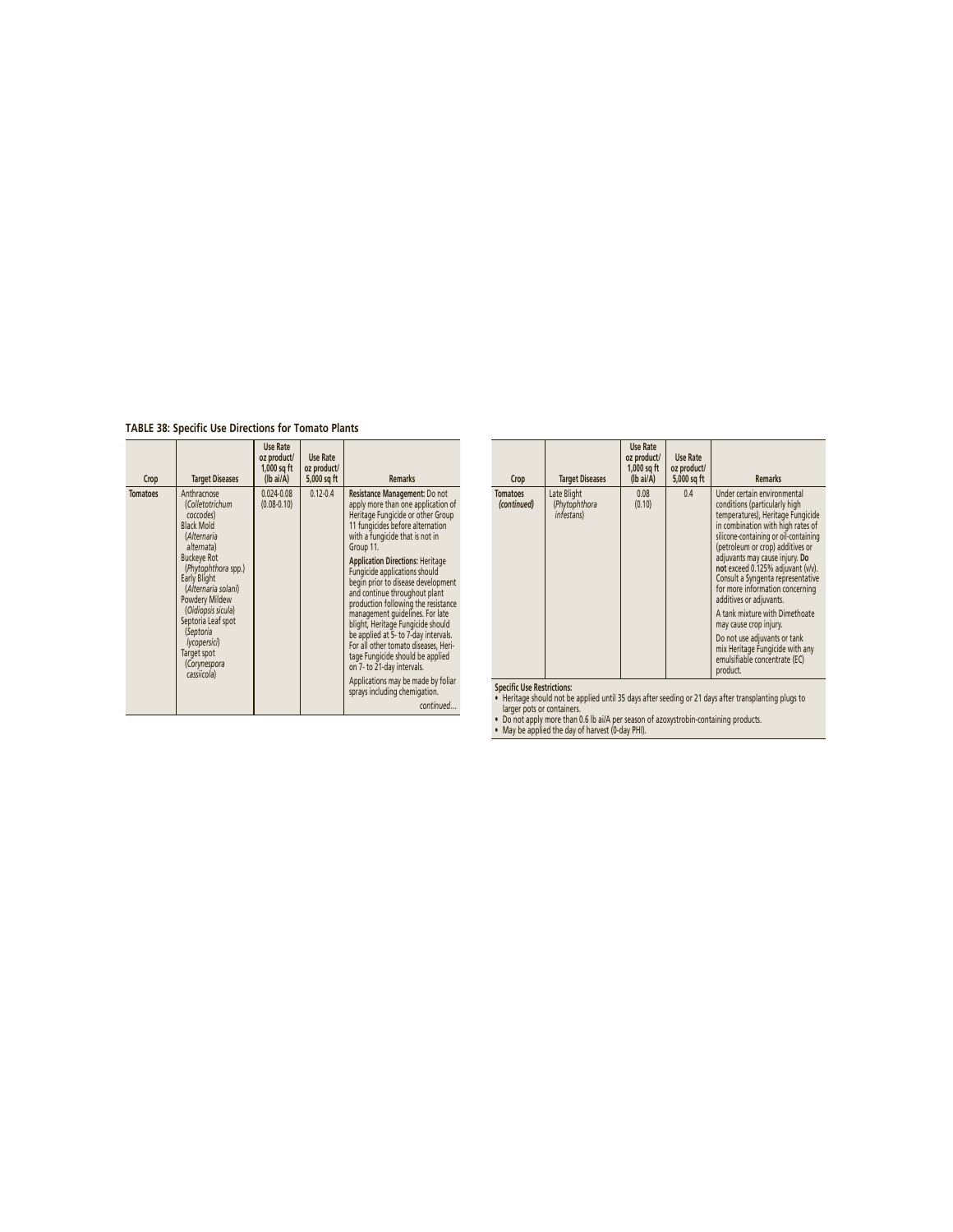**TABLE 38: Specific Use Directions for Tomato Plants**

| Crop            | <b>Target Diseases</b>                                                                                                                                                                                                                                                                                                            | Use Rate<br>oz product/<br>$1,000$ sq ft<br>$(Ib\text{ ai/A})$ | Use Rate<br>oz product/<br>5,000 sq ft | <b>Remarks</b>                                                                                                                                                                                                                                                                                                                                                                                                                                                                                                                                                                                                                                                                                       |
|-----------------|-----------------------------------------------------------------------------------------------------------------------------------------------------------------------------------------------------------------------------------------------------------------------------------------------------------------------------------|----------------------------------------------------------------|----------------------------------------|------------------------------------------------------------------------------------------------------------------------------------------------------------------------------------------------------------------------------------------------------------------------------------------------------------------------------------------------------------------------------------------------------------------------------------------------------------------------------------------------------------------------------------------------------------------------------------------------------------------------------------------------------------------------------------------------------|
| <b>Tomatoes</b> | Anthracnose<br>(Colletotrichum<br>coccodes)<br><b>Black Mold</b><br>(Alternaria<br>alternata)<br><b>Buckeye Rot</b><br>(Phytophthora spp.)<br><b>Early Blight</b><br>(Alternaria solani)<br>Powdery Mildew<br>(Oidiopsis sicula)<br>Septoria Leaf spot<br>(Septoria<br>lycopersici)<br>Target spot<br>(Corynespora<br>cassiicola) | $0.024 - 0.08$<br>$(0.08 - 0.10)$                              | $0.12 - 0.4$                           | Resistance Management: Do not<br>apply more than one application of<br>Heritage Fungicide or other Group<br>11 fungicides before alternation<br>with a fungicide that is not in<br>Group 11.<br><b>Application Directions: Heritage</b><br>Fungicide applications should<br>begin prior to disease development<br>and continue throughout plant<br>production following the resistance<br>management quidelines. For late<br>blight, Heritage Fungicide should<br>be applied at 5- to 7-day intervals.<br>For all other tomato diseases, Heri-<br>tage Fungicide should be applied<br>on 7- to 21-day intervals.<br>Applications may be made by foliar<br>sprays including chemigation.<br>continued |

| Under certain environmental<br>Late Blight<br>0.08<br>0.4<br><b>Tomatoes</b><br>(Phytophthora<br>(0.10)<br>conditions (particularly high<br>(continued)<br>temperatures), Heritage Fungicide<br>infestans)<br>in combination with high rates of<br>silicone-containing or oil-containing<br>(petroleum or crop) additives or<br>adjuvants may cause injury. Do<br>not exceed 0.125% adjuvant (v/v).<br>Consult a Syngenta representative<br>for more information concerning<br>additives or adjuvants.<br>A tank mixture with Dimethoate<br>may cause crop injury.<br>Do not use adjuvants or tank<br>mix Heritage Fungicide with any<br>emulsifiable concentrate (EC)<br>product. | Crop | <b>Target Diseases</b> | Use Rate<br>oz product/<br>$1,000$ sq ft<br>$(lb\text{ ai/A})$ | Use Rate<br>oz product/<br>5,000 sq ft | <b>Remarks</b> |
|------------------------------------------------------------------------------------------------------------------------------------------------------------------------------------------------------------------------------------------------------------------------------------------------------------------------------------------------------------------------------------------------------------------------------------------------------------------------------------------------------------------------------------------------------------------------------------------------------------------------------------------------------------------------------------|------|------------------------|----------------------------------------------------------------|----------------------------------------|----------------|
|                                                                                                                                                                                                                                                                                                                                                                                                                                                                                                                                                                                                                                                                                    |      |                        |                                                                |                                        |                |

specific tose restrictions:<br>• Heritage should not be applied until 35 days after seeding or 21 days after transplanting plugs to<br>• Do not apply more than 0.6 lb ai/A per season of azoxystrobin-containing products.<br>• Do not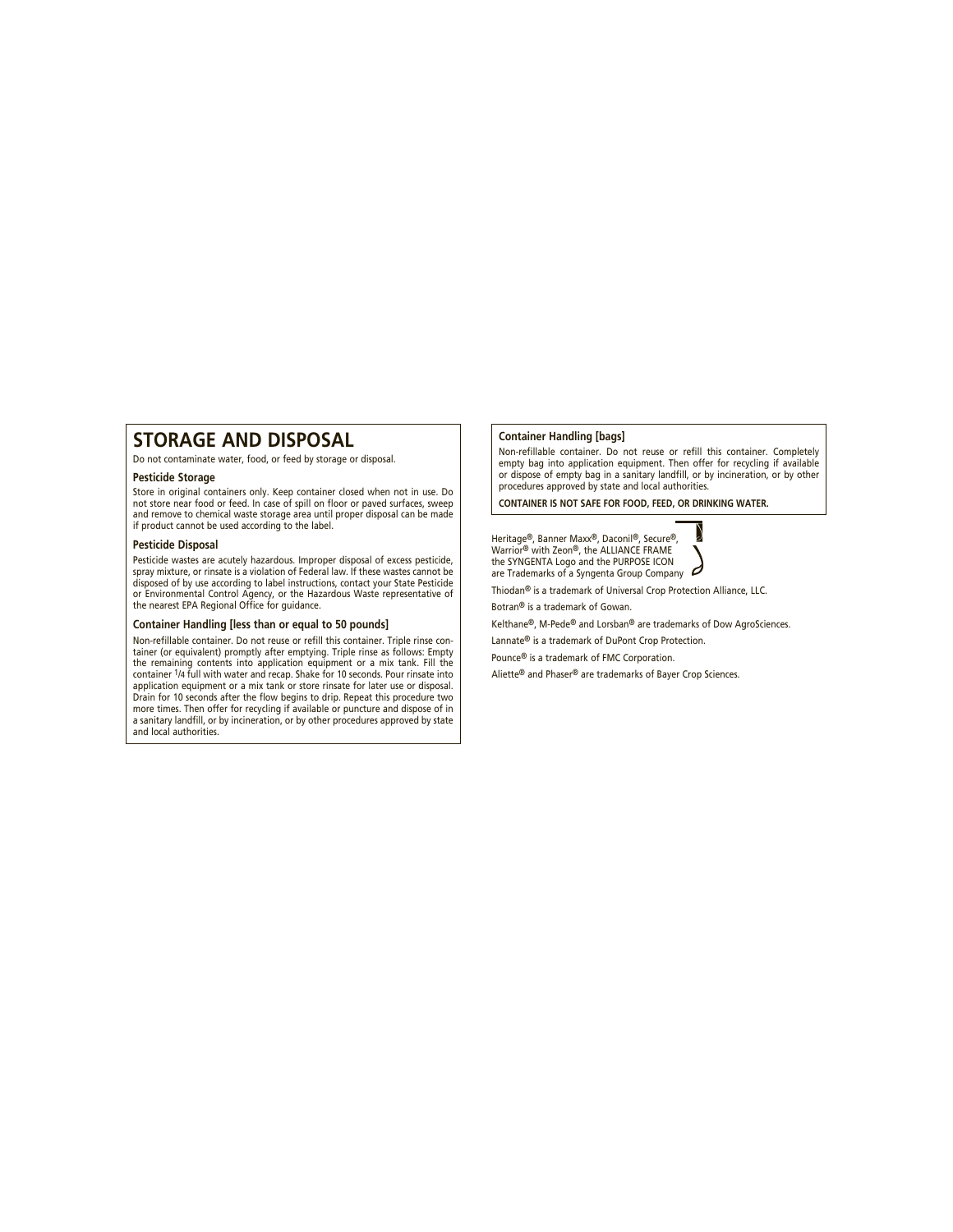# **STORAGE AND DISPOSAL**

Do not contaminate water, food, or feed by storage or disposal.

### **Pesticide Storage**

Store in original containers only. Keep container closed when not in use. Do not store near food or feed. In case of spill on floor or paved surfaces, sweep and remove to chemical waste storage area until proper disposal can be made if product cannot be used according to the label.

#### **Pesticide Disposal**

Pesticide wastes are acutely hazardous. Improper disposal of excess pesticide, spray mixture, or rinsate is a violation of Federal law. If these wastes cannot be disposed of by use according to label instructions, contact your State Pesticide or Environmental Control Agency, or the Hazardous Waste representative of the nearest EPA Regional Office for guidance.

#### **Container Handling [less than or equal to 50 pounds]**

Non-refillable container. Do not reuse or refill this container. Triple rinse container (or equivalent) promptly after emptying. Triple rinse as follows: Empty the remaining contents into application equipment or a mix tank. Fill the container 1/4 full with water and recap. Shake for 10 seconds. Pour rinsate into application equipment or a mix tank or store rinsate for later use or disposal. Drain for 10 seconds after the flow begins to drip. Repeat this procedure two more times. Then offer for recycling if available or puncture and dispose of in a sanitary landfill, or by incineration, or by other procedures approved by state and local authorities.

# **Container Handling [bags]**

Non-refillable container. Do not reuse or refill this container. Completely empty bag into application equipment. Then offer for recycling if available or dispose of empty bag in a sanitary landfill, or by incineration, or by other procedures approved by state and local authorities.

**CONTAINER IS NOT SAFE FOR FOOD, FEED, OR DRINKING WATER.**

Heritage®, Banner Maxx®, Daconil®, Secure®, Warrior® with Zeon®, the ALLIANCE FRAME the SYNGENTA Logo and the PURPOSE ICON are Trademarks of a Syngenta Group Company



Thiodan® is a trademark of Universal Crop Protection Alliance, LLC.

Botran® is a trademark of Gowan.

Kelthane®, M-Pede® and Lorsban® are trademarks of Dow AgroSciences.

Lannate® is a trademark of DuPont Crop Protection.

Pounce® is a trademark of FMC Corporation.

Aliette® and Phaser® are trademarks of Bayer Crop Sciences.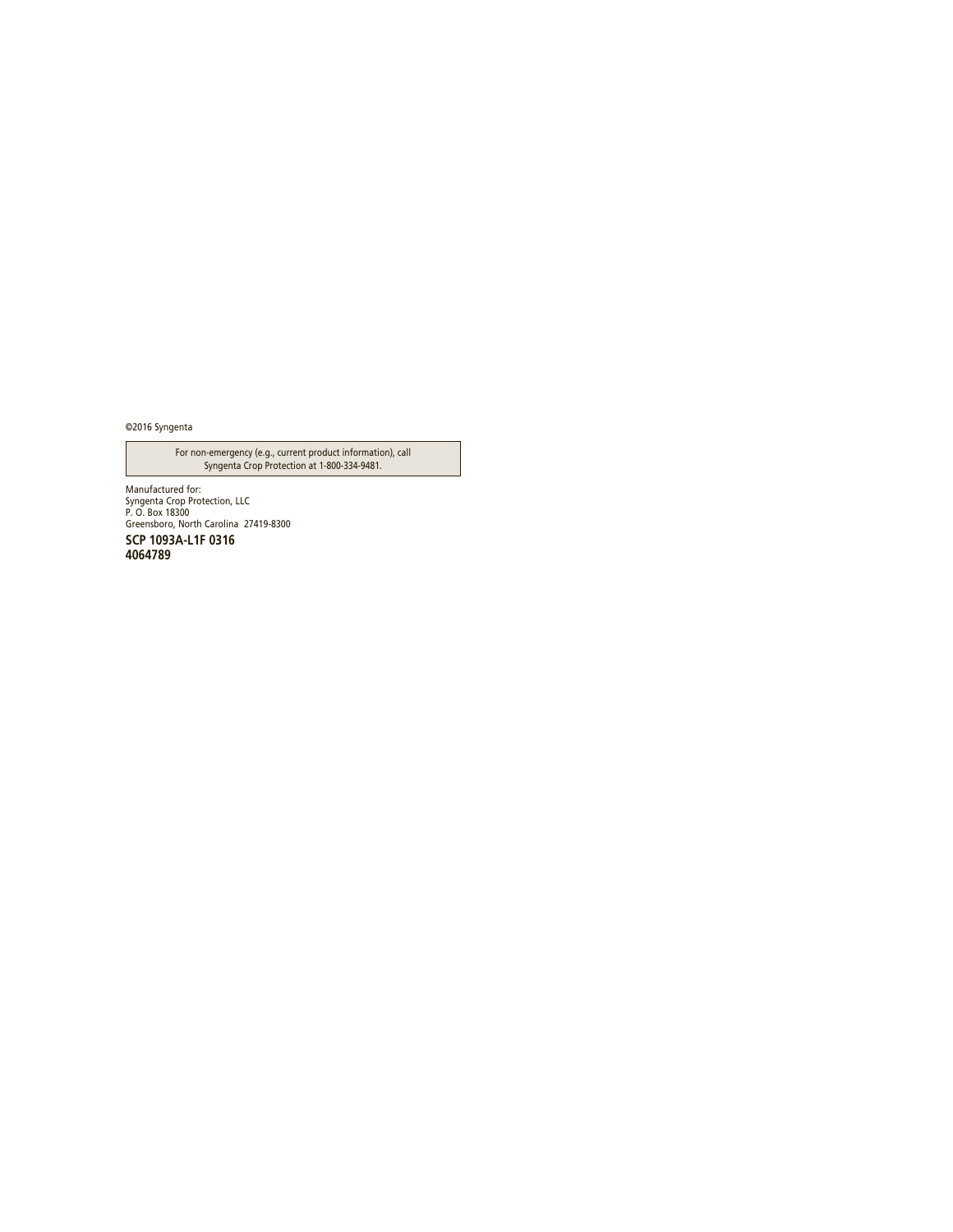©2016 Syngenta

For non-emergency (e.g., current product information), call Syngenta Crop Protection at 1-800-334-9481.

Manufactured for: Syngenta Crop Protection, LLC P. O. Box 18300 Greensboro, North Carolina 27419-8300 **SCP 1093A-L1F 0316 4064789**